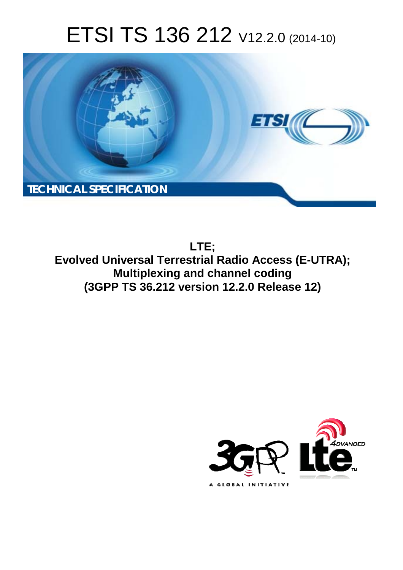# ETSI TS 136 212 V12.2.0 (2014-10)



**LTE; Evolved Universal Terrestrial Radio Access (E-UTRA); Multiplexing and channel coding (3GPP TS 36.212 version 12.2.0 Release 12)** 

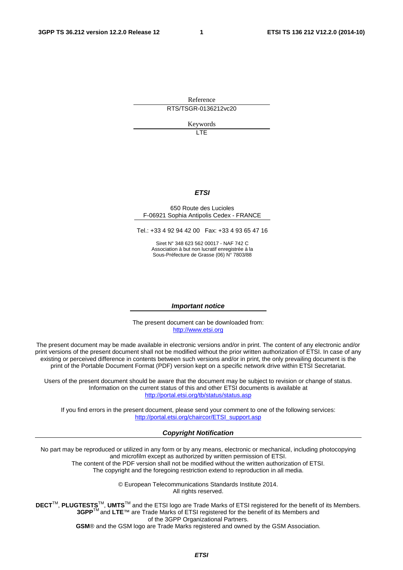Reference RTS/TSGR-0136212vc20

Keywords

 $\overline{1}$ 

#### *ETSI*

#### 650 Route des Lucioles F-06921 Sophia Antipolis Cedex - FRANCE

Tel.: +33 4 92 94 42 00 Fax: +33 4 93 65 47 16

Siret N° 348 623 562 00017 - NAF 742 C Association à but non lucratif enregistrée à la Sous-Préfecture de Grasse (06) N° 7803/88

#### *Important notice*

The present document can be downloaded from: [http://www.etsi.org](http://www.etsi.org/)

The present document may be made available in electronic versions and/or in print. The content of any electronic and/or print versions of the present document shall not be modified without the prior written authorization of ETSI. In case of any existing or perceived difference in contents between such versions and/or in print, the only prevailing document is the print of the Portable Document Format (PDF) version kept on a specific network drive within ETSI Secretariat.

Users of the present document should be aware that the document may be subject to revision or change of status. Information on the current status of this and other ETSI documents is available at <http://portal.etsi.org/tb/status/status.asp>

If you find errors in the present document, please send your comment to one of the following services: [http://portal.etsi.org/chaircor/ETSI\\_support.asp](http://portal.etsi.org/chaircor/ETSI_support.asp)

#### *Copyright Notification*

No part may be reproduced or utilized in any form or by any means, electronic or mechanical, including photocopying and microfilm except as authorized by written permission of ETSI.

The content of the PDF version shall not be modified without the written authorization of ETSI. The copyright and the foregoing restriction extend to reproduction in all media.

> © European Telecommunications Standards Institute 2014. All rights reserved.

**DECT**TM, **PLUGTESTS**TM, **UMTS**TM and the ETSI logo are Trade Marks of ETSI registered for the benefit of its Members. **3GPP**TM and **LTE**™ are Trade Marks of ETSI registered for the benefit of its Members and of the 3GPP Organizational Partners.

**GSM**® and the GSM logo are Trade Marks registered and owned by the GSM Association.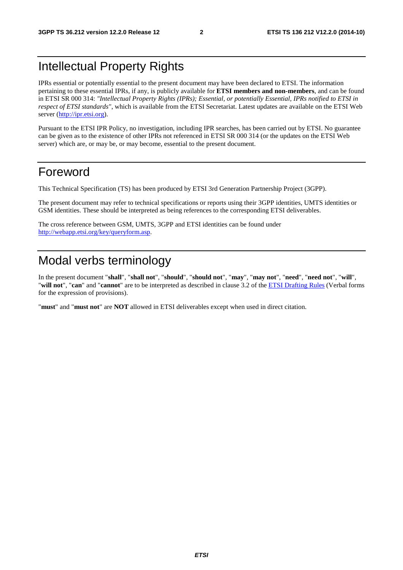# Intellectual Property Rights

IPRs essential or potentially essential to the present document may have been declared to ETSI. The information pertaining to these essential IPRs, if any, is publicly available for **ETSI members and non-members**, and can be found in ETSI SR 000 314: *"Intellectual Property Rights (IPRs); Essential, or potentially Essential, IPRs notified to ETSI in respect of ETSI standards"*, which is available from the ETSI Secretariat. Latest updates are available on the ETSI Web server ([http://ipr.etsi.org\)](http://webapp.etsi.org/IPR/home.asp).

Pursuant to the ETSI IPR Policy, no investigation, including IPR searches, has been carried out by ETSI. No guarantee can be given as to the existence of other IPRs not referenced in ETSI SR 000 314 (or the updates on the ETSI Web server) which are, or may be, or may become, essential to the present document.

# Foreword

This Technical Specification (TS) has been produced by ETSI 3rd Generation Partnership Project (3GPP).

The present document may refer to technical specifications or reports using their 3GPP identities, UMTS identities or GSM identities. These should be interpreted as being references to the corresponding ETSI deliverables.

The cross reference between GSM, UMTS, 3GPP and ETSI identities can be found under [http://webapp.etsi.org/key/queryform.asp.](http://webapp.etsi.org/key/queryform.asp)

# Modal verbs terminology

In the present document "**shall**", "**shall not**", "**should**", "**should not**", "**may**", "**may not**", "**need**", "**need not**", "**will**", "**will not**", "**can**" and "**cannot**" are to be interpreted as described in clause 3.2 of the [ETSI Drafting Rules](http://portal.etsi.org/Help/editHelp!/Howtostart/ETSIDraftingRules.aspx) (Verbal forms for the expression of provisions).

"**must**" and "**must not**" are **NOT** allowed in ETSI deliverables except when used in direct citation.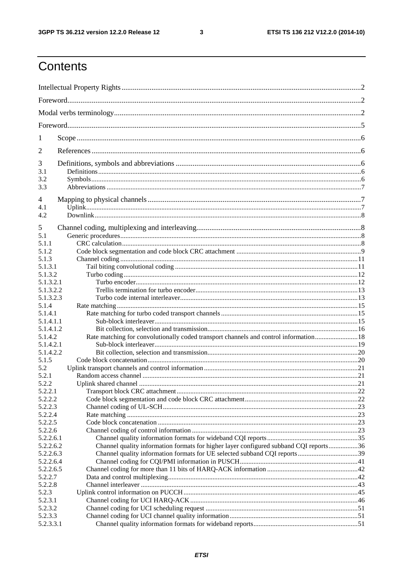$\mathbf{3}$ 

# Contents

| 1                      |                                                                                                                                                                    |  |
|------------------------|--------------------------------------------------------------------------------------------------------------------------------------------------------------------|--|
| 2                      |                                                                                                                                                                    |  |
| 3                      |                                                                                                                                                                    |  |
| 3.1                    |                                                                                                                                                                    |  |
| 3.2                    |                                                                                                                                                                    |  |
| 3.3                    |                                                                                                                                                                    |  |
| 4                      |                                                                                                                                                                    |  |
| 4.1                    |                                                                                                                                                                    |  |
| 4.2                    |                                                                                                                                                                    |  |
|                        |                                                                                                                                                                    |  |
| 5                      |                                                                                                                                                                    |  |
| 5.1                    |                                                                                                                                                                    |  |
| 5.1.1                  |                                                                                                                                                                    |  |
| 5.1.2                  |                                                                                                                                                                    |  |
| 5.1.3                  |                                                                                                                                                                    |  |
| 5.1.3.1                |                                                                                                                                                                    |  |
| 5.1.3.2                |                                                                                                                                                                    |  |
| 5.1.3.2.1              |                                                                                                                                                                    |  |
| 5.1.3.2.2              |                                                                                                                                                                    |  |
| 5.1.3.2.3              |                                                                                                                                                                    |  |
| 5.1.4                  |                                                                                                                                                                    |  |
| 5.1.4.1                |                                                                                                                                                                    |  |
| 5.1.4.1.1              |                                                                                                                                                                    |  |
| 5.1.4.1.2              |                                                                                                                                                                    |  |
| 5.1.4.2                | Rate matching for convolutionally coded transport channels and control information 18                                                                              |  |
| 5.1.4.2.1              |                                                                                                                                                                    |  |
| 5.1.4.2.2              |                                                                                                                                                                    |  |
| 5.1.5                  |                                                                                                                                                                    |  |
| 5.2                    |                                                                                                                                                                    |  |
| 5.2.1                  |                                                                                                                                                                    |  |
| 5.2.2                  | Uplink shared channel                                                                                                                                              |  |
| 5.2.2.1                |                                                                                                                                                                    |  |
| 5.2.2.2                |                                                                                                                                                                    |  |
| 5.2.2.3                |                                                                                                                                                                    |  |
| 5.2.2.4                |                                                                                                                                                                    |  |
| 5.2.2.5                |                                                                                                                                                                    |  |
| 5.2.2.6                |                                                                                                                                                                    |  |
| 5.2.2.6.1<br>5.2.2.6.2 |                                                                                                                                                                    |  |
| 5.2.2.6.3              | Channel quality information formats for higher layer configured subband CQI reports36<br>Channel quality information formats for UE selected subband CQI reports39 |  |
| 5.2.2.6.4              |                                                                                                                                                                    |  |
| 5.2.2.6.5              |                                                                                                                                                                    |  |
| 5.2.2.7                |                                                                                                                                                                    |  |
| 5.2.2.8                |                                                                                                                                                                    |  |
| 5.2.3                  |                                                                                                                                                                    |  |
| 5.2.3.1                |                                                                                                                                                                    |  |
| 5.2.3.2                |                                                                                                                                                                    |  |
| 5.2.3.3                |                                                                                                                                                                    |  |
| 5.2.3.3.1              |                                                                                                                                                                    |  |
|                        |                                                                                                                                                                    |  |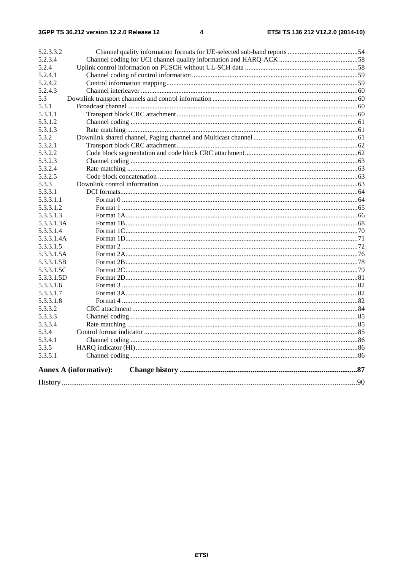| 5.2.3.3.2  |                               |  |
|------------|-------------------------------|--|
| 5.2.3.4    |                               |  |
| 5.2.4      |                               |  |
| 5.2.4.1    |                               |  |
| 5.2.4.2    |                               |  |
| 5.2.4.3    |                               |  |
| 5.3        |                               |  |
| 5.3.1      |                               |  |
| 5.3.1.1    |                               |  |
| 5.3.1.2    |                               |  |
| 5.3.1.3    |                               |  |
| 5.3.2      |                               |  |
| 5.3.2.1    |                               |  |
| 5.3.2.2    |                               |  |
| 5.3.2.3    |                               |  |
| 5.3.2.4    |                               |  |
| 5.3.2.5    |                               |  |
| 5.3.3      |                               |  |
| 5.3.3.1    |                               |  |
| 5.3.3.1.1  |                               |  |
| 5.3.3.1.2  |                               |  |
| 5.3.3.1.3  |                               |  |
| 5.3.3.1.3A |                               |  |
| 5.3.3.1.4  |                               |  |
| 5.3.3.1.4A |                               |  |
| 5.3.3.1.5  |                               |  |
| 5.3.3.1.5A |                               |  |
| 5.3.3.1.5B |                               |  |
| 5.3.3.1.5C |                               |  |
| 5.3.3.1.5D |                               |  |
| 5.3.3.1.6  |                               |  |
| 5.3.3.1.7  |                               |  |
| 5.3.3.1.8  |                               |  |
| 5.3.3.2    |                               |  |
| 5.3.3.3    |                               |  |
| 5.3.3.4    |                               |  |
| 5.3.4      |                               |  |
| 5.3.4.1    |                               |  |
| 5.3.5      |                               |  |
| 5.3.5.1    |                               |  |
|            | <b>Annex A (informative):</b> |  |
|            |                               |  |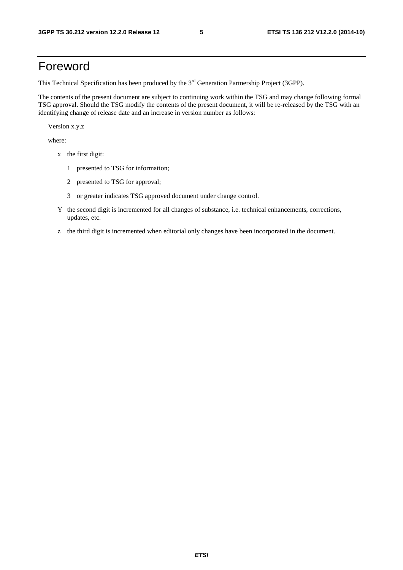# Foreword

This Technical Specification has been produced by the 3<sup>rd</sup> Generation Partnership Project (3GPP).

The contents of the present document are subject to continuing work within the TSG and may change following formal TSG approval. Should the TSG modify the contents of the present document, it will be re-released by the TSG with an identifying change of release date and an increase in version number as follows:

Version x.y.z

where:

- x the first digit:
	- 1 presented to TSG for information;
	- 2 presented to TSG for approval;
	- 3 or greater indicates TSG approved document under change control.
- Y the second digit is incremented for all changes of substance, i.e. technical enhancements, corrections, updates, etc.
- z the third digit is incremented when editorial only changes have been incorporated in the document.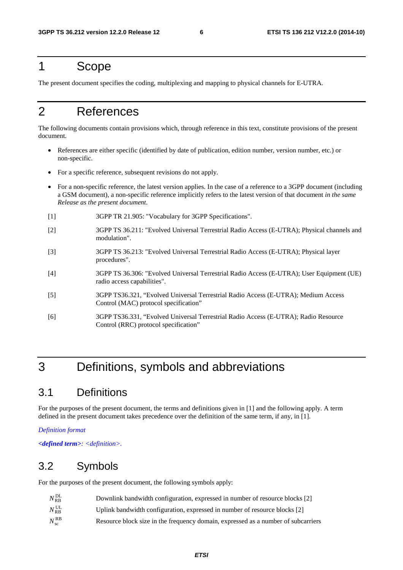# 1 Scope

The present document specifies the coding, multiplexing and mapping to physical channels for E-UTRA.

# 2 References

The following documents contain provisions which, through reference in this text, constitute provisions of the present document.

- References are either specific (identified by date of publication, edition number, version number, etc.) or non-specific.
- For a specific reference, subsequent revisions do not apply.
- For a non-specific reference, the latest version applies. In the case of a reference to a 3GPP document (including a GSM document), a non-specific reference implicitly refers to the latest version of that document *in the same Release as the present document*.
- [1] 3GPP TR 21.905: "Vocabulary for 3GPP Specifications".
- [2] 3GPP TS 36.211: "Evolved Universal Terrestrial Radio Access (E-UTRA); Physical channels and modulation".
- [3] 3GPP TS 36.213: "Evolved Universal Terrestrial Radio Access (E-UTRA); Physical layer procedures".
- [4] 3GPP TS 36.306: "Evolved Universal Terrestrial Radio Access (E-UTRA); User Equipment (UE) radio access capabilities".
- [5] 3GPP TS36.321, "Evolved Universal Terrestrial Radio Access (E-UTRA); Medium Access Control (MAC) protocol specification"
- [6] 3GPP TS36.331, "Evolved Universal Terrestrial Radio Access (E-UTRA); Radio Resource Control (RRC) protocol specification"

# 3 Definitions, symbols and abbreviations

# 3.1 Definitions

For the purposes of the present document, the terms and definitions given in [1] and the following apply. A term defined in the present document takes precedence over the definition of the same term, if any, in [1].

*Definition format* 

*<defined term>: <definition>.* 

## 3.2 Symbols

For the purposes of the present document, the following symbols apply:

| $N_{\mathrm{RB}}^{\mathrm{DL}}$ | Downlink bandwidth configuration, expressed in number of resource blocks [2]      |
|---------------------------------|-----------------------------------------------------------------------------------|
| $N_{\mathrm{RB}}^{\mathrm{UL}}$ | Uplink bandwidth configuration, expressed in number of resource blocks [2]        |
| $N_{\rm sc}^{\rm RB}$           | Resource block size in the frequency domain, expressed as a number of subcarriers |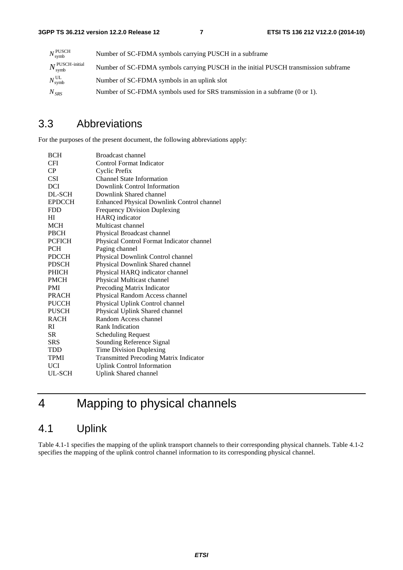| $N_{\text{swmb}}^{\text{PUSCH}}$        | Number of SC-FDMA symbols carrying PUSCH in a subframe                              |
|-----------------------------------------|-------------------------------------------------------------------------------------|
| $N_{\text{symb}}^{\text{PUSCH-inital}}$ | Number of SC-FDMA symbols carrying PUSCH in the initial PUSCH transmission subframe |
| $N_{\text{swmb}}^{\text{UL}}$           | Number of SC-FDMA symbols in an uplink slot                                         |
| $N_{SRS}$                               | Number of SC-FDMA symbols used for SRS transmission in a subframe (0 or 1).         |

# 3.3 Abbreviations

For the purposes of the present document, the following abbreviations apply:

| <b>BCH</b>    | <b>Broadcast channel</b>                      |
|---------------|-----------------------------------------------|
| <b>CFI</b>    | <b>Control Format Indicator</b>               |
| CP.           | Cyclic Prefix                                 |
| <b>CSI</b>    | <b>Channel State Information</b>              |
| <b>DCI</b>    | Downlink Control Information                  |
| DL-SCH        | Downlink Shared channel                       |
| <b>EPDCCH</b> | Enhanced Physical Downlink Control channel    |
| <b>FDD</b>    | <b>Frequency Division Duplexing</b>           |
| HІ            | <b>HARQ</b> indicator                         |
| <b>MCH</b>    | Multicast channel                             |
| <b>PBCH</b>   | Physical Broadcast channel                    |
| <b>PCFICH</b> | Physical Control Format Indicator channel     |
| <b>PCH</b>    | Paging channel                                |
| <b>PDCCH</b>  | Physical Downlink Control channel             |
| <b>PDSCH</b>  | Physical Downlink Shared channel              |
| <b>PHICH</b>  | Physical HARQ indicator channel               |
| <b>PMCH</b>   | Physical Multicast channel                    |
| <b>PMI</b>    | Precoding Matrix Indicator                    |
| <b>PRACH</b>  | Physical Random Access channel                |
| <b>PUCCH</b>  | Physical Uplink Control channel               |
| <b>PUSCH</b>  | Physical Uplink Shared channel                |
| <b>RACH</b>   | Random Access channel                         |
| RI            | Rank Indication                               |
| SR.           | <b>Scheduling Request</b>                     |
| <b>SRS</b>    | Sounding Reference Signal                     |
| TDD           | Time Division Duplexing                       |
| TPMI          | <b>Transmitted Precoding Matrix Indicator</b> |
| UCI           | <b>Uplink Control Information</b>             |
| UL-SCH        | <b>Uplink Shared channel</b>                  |

# 4 Mapping to physical channels

# 4.1 Uplink

Table 4.1-1 specifies the mapping of the uplink transport channels to their corresponding physical channels. Table 4.1-2 specifies the mapping of the uplink control channel information to its corresponding physical channel.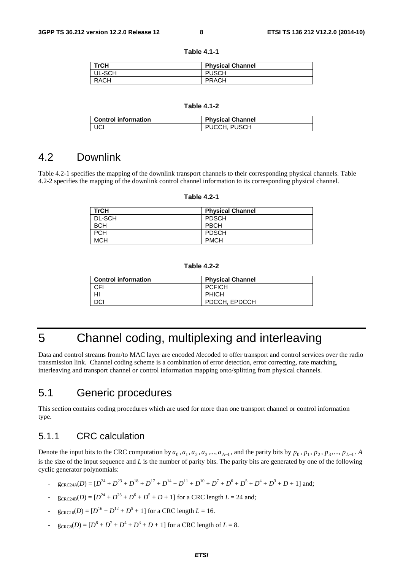| TrCH        | <b>Physical Channel</b> |
|-------------|-------------------------|
| UL-SCH      | <b>PUSCH</b>            |
| <b>RACH</b> | <b>PRACH</b>            |

#### **Table 4.1-1**

#### **Table 4.1-2**

| <b>Control information</b> | <b>Physical Channel</b> |
|----------------------------|-------------------------|
| ' UCI                      | PUCCH, PUSCH            |

### 4.2 Downlink

Table 4.2-1 specifies the mapping of the downlink transport channels to their corresponding physical channels. Table 4.2-2 specifies the mapping of the downlink control channel information to its corresponding physical channel.

#### **Table 4.2-1**

| TrCH       | <b>Physical Channel</b> |
|------------|-------------------------|
| DL-SCH     | <b>PDSCH</b>            |
| <b>BCH</b> | <b>PBCH</b>             |
| <b>PCH</b> | <b>PDSCH</b>            |
| <b>MCH</b> | <b>PMCH</b>             |

#### **Table 4.2-2**

| <b>Control information</b> | <b>Physical Channel</b> |
|----------------------------|-------------------------|
| <b>CFI</b>                 | <b>PCFICH</b>           |
|                            | <b>PHICH</b>            |
| DCI                        | PDCCH, EPDCCH           |

# 5 Channel coding, multiplexing and interleaving

Data and control streams from/to MAC layer are encoded /decoded to offer transport and control services over the radio transmission link. Channel coding scheme is a combination of error detection, error correcting, rate matching, interleaving and transport channel or control information mapping onto/splitting from physical channels.

## 5.1 Generic procedures

This section contains coding procedures which are used for more than one transport channel or control information type.

### 5.1.1 CRC calculation

Denote the input bits to the CRC computation by  $a_0, a_1, a_2, a_3, ..., a_{A-1}$ , and the parity bits by  $p_0, p_1, p_2, p_3, ..., p_{L-1}$ . A is the size of the input sequence and *L* is the number of parity bits. The parity bits are generated by one of the following cyclic generator polynomials:

- $g_{CRC24A}(D) = [D^{24} + D^{23} + D^{18} + D^{17} + D^{14} + D^{11} + D^{10} + D^7 + D^6 + D^5 + D^4 + D^3 + D + 1]$  and;
- $-$  g<sub>CRC24B</sub> $(D) = [D^{24} + D^{23} + D^6 + D^5 + D + 1]$  for a CRC length  $L = 24$  and;
- $g_{CRC16}(D) = [D^{16} + D^{12} + D^5 + 1]$  for a CRC length  $L = 16$ .
- $g_{CRC8}(D) = [D^8 + D^7 + D^4 + D^3 + D + 1]$  for a CRC length of  $L = 8$ .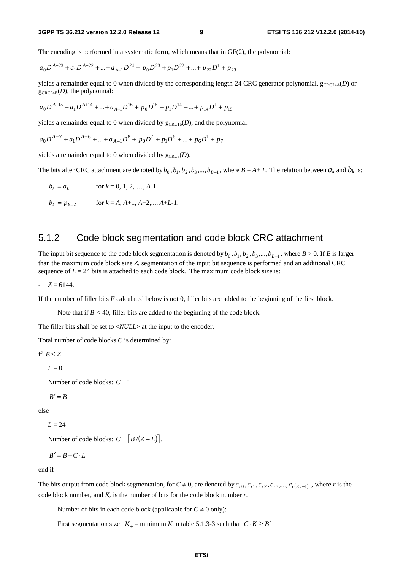The encoding is performed in a systematic form, which means that in GF(2), the polynomial:

$$
a_0 D^{A+23} + a_1 D^{A+22} + ... + a_{A-1} D^{24} + p_0 D^{23} + p_1 D^{22} + ... + p_{22} D^1 + p_{23}
$$

yields a remainder equal to 0 when divided by the corresponding length-24 CRC generator polynomial,  $g_{CRC24A}(D)$  or  $g_{CRC24B}(D)$ , the polynomial:

$$
a_0 D^{A+15} + a_1 D^{A+14} + ... + a_{A-1} D^{16} + p_0 D^{15} + p_1 D^{14} + ... + p_{14} D^1 + p_{15}
$$

yields a remainder equal to 0 when divided by  $g_{CRC16}(D)$ , and the polynomial:

$$
a_0 D^{A+7} + a_1 D^{A+6} + \dots + a_{A-1} D^8 + p_0 D^7 + p_1 D^6 + \dots + p_6 D^1 + p_7
$$

yields a remainder equal to 0 when divided by  $g_{CRC8}(D)$ .

The bits after CRC attachment are denoted by  $b_0$ ,  $b_1$ ,  $b_2$ ,  $b_3$ ,...,  $b_{B-1}$ , where  $B = A + L$ . The relation between  $a_k$  and  $b_k$  is:

$$
b_k = a_k \qquad \text{for } k = 0, 1, 2, ..., A-1
$$

$$
b_k = p_{k-A}
$$
 for  $k = A, A+1, A+2,..., A+L-1$ .

### 5.1.2 Code block segmentation and code block CRC attachment

The input bit sequence to the code block segmentation is denoted by  $b_0$ ,  $b_1$ ,  $b_2$ ,  $b_3$ ,...,  $b_{B-1}$ , where  $B > 0$ . If *B* is larger than the maximum code block size *Z*, segmentation of the input bit sequence is performed and an additional CRC sequence of  $L = 24$  bits is attached to each code block. The maximum code block size is:

 $-Z = 6144.$ 

If the number of filler bits *F* calculated below is not 0, filler bits are added to the beginning of the first block.

Note that if  $B < 40$ , filler bits are added to the beginning of the code block.

The filler bits shall be set to  $\langle NULL \rangle$  at the input to the encoder.

Total number of code blocks *C* is determined by:

$$
\text{if } B \leq Z \\
$$

 $L = 0$ 

Number of code blocks:  $C = 1$ 

 $B' = B$ 

else

 $L = 24$ 

Number of code blocks:  $C = \left[ B/(Z-L) \right]$ .

$$
B'=B+C\cdot L
$$

end if

The bits output from code block segmentation, for  $C \neq 0$ , are denoted by  $c_{r0}, c_{r1}, c_{r2}, c_{r3},..., c_{r(K_r-1)}$ , where *r* is the code block number, and  $K_r$  is the number of bits for the code block number  $r$ .

Number of bits in each code block (applicable for  $C \neq 0$  only):

First segmentation size:  $K_{+}$  = minimum *K* in table 5.1.3-3 such that  $C \cdot K \geq B'$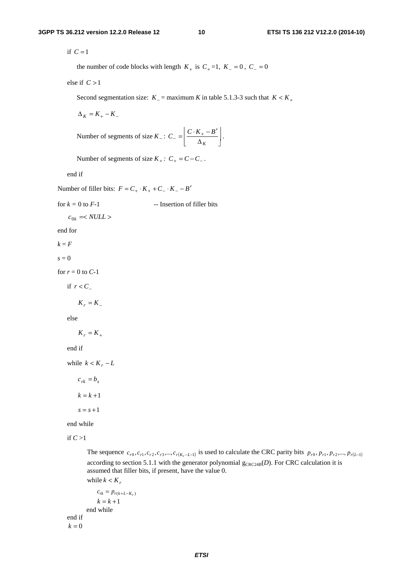if  $C = 1$ 

the number of code blocks with length  $K_+$  is  $C_+ = 1$ ,  $K_- = 0$ ,  $C_- = 0$ 

else if  $C > 1$ 

Second segmentation size:  $K_$  = maximum *K* in table 5.1.3-3 such that  $K < K_+$ 

 $\Delta_K = K_+ - K_-$ 

Number of segments of size 
$$
K_-
$$
:  $C_- = \left[ \frac{C \cdot K_+ - B'}{\Delta_K} \right]$ .

Number of segments of size  $K_+$ :  $C_+ = C - C_-$ .

end if

Number of filler bits:  $F = C_+ \cdot K_+ + C_- \cdot K_- - B'$ 

for 
$$
k = 0
$$
 to  $F-1$  -- Insertion of filter bits  
\n $c_{0k} = \langle NULL \rangle$   
\nend for  
\n $k = F$   
\n $s = 0$   
\nfor  $r = 0$  to  $C-1$   
\nif  $r < C_-$ 

 $K_r = K_+$ 

else

```
K_r = K_+
```
end if

while  $k < K_r - L$ 

 $c_{rk} = b_s$  $k = k + 1$ 

 $s = s + 1$ 

end while

if *C* >1

The sequence  $c_{r0}, c_{r1}, c_{r2}, c_{r3},..., c_{r(K_r-L-1)}$  is used to calculate the CRC parity bits  $p_{r0}, p_{r1}, p_{r2},..., p_{r(L-1)}$ according to section 5.1.1 with the generator polynomial  $g_{CRC24B}(D)$ . For CRC calculation it is assumed that filler bits, if present, have the value 0. while  $k < K_r$ 

```
c_{rk} = p_{r(k+L-K_r)}k = k + 1end while 
end if 
k = 0
```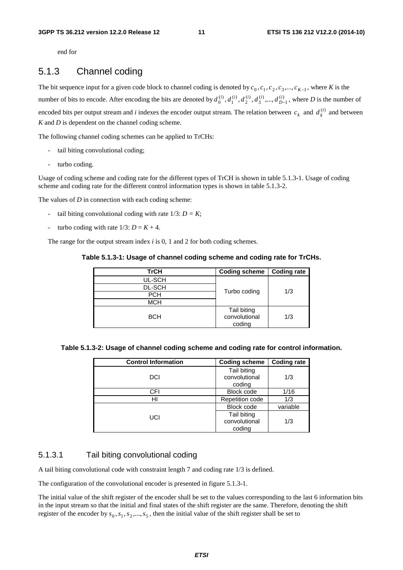end for

### 5.1.3 Channel coding

The bit sequence input for a given code block to channel coding is denoted by  $c_0, c_1, c_2, c_3, ..., c_{K-1}$ , where *K* is the number of bits to encode. After encoding the bits are denoted by  $d_0^{(i)}$ ,  $d_1^{(i)}$ ,  $d_2^{(i)}$ ,  $d_3^{(i)}$ , ...,  $d_{D-1}^{(i)}$ , where *D* is the number of encoded bits per output stream and *i* indexes the encoder output stream. The relation between  $c_k$  and  $d_k^{(i)}$  and between *K* and *D* is dependent on the channel coding scheme.

The following channel coding schemes can be applied to TrCHs:

- tail biting convolutional coding;
- turbo coding.

Usage of coding scheme and coding rate for the different types of TrCH is shown in table 5.1.3-1. Usage of coding scheme and coding rate for the different control information types is shown in table 5.1.3-2.

The values of *D* in connection with each coding scheme:

- tail biting convolutional coding with rate 1/3: *D = K*;
- turbo coding with rate  $1/3$ :  $D = K + 4$ .

The range for the output stream index *i* is 0, 1 and 2 for both coding schemes.

| Table 5.1.3-1: Usage of channel coding scheme and coding rate for TrCHs. |  |  |
|--------------------------------------------------------------------------|--|--|
|--------------------------------------------------------------------------|--|--|

| <b>TrCH</b>   | <b>Coding scheme</b> | <b>Coding rate</b> |
|---------------|----------------------|--------------------|
| UL-SCH        |                      |                    |
| <b>DL-SCH</b> |                      | 1/3                |
| <b>PCH</b>    | Turbo coding         |                    |
| <b>MCH</b>    |                      |                    |
|               | Tail biting          |                    |
| <b>BCH</b>    | convolutional        | 1/3                |
|               | coding               |                    |

| Table 5.1.3-2: Usage of channel coding scheme and coding rate for control information. |  |
|----------------------------------------------------------------------------------------|--|
|                                                                                        |  |

| <b>Control Information</b> | <b>Coding scheme</b>   | <b>Coding rate</b> |
|----------------------------|------------------------|--------------------|
|                            | Tail biting            |                    |
| DCI                        | convolutional          | 1/3                |
|                            | coding                 |                    |
| CFI                        | <b>Block code</b>      | 1/16               |
| HI                         | <b>Repetition code</b> | 1/3                |
| UCI                        | Block code             | variable           |
|                            | Tail biting            |                    |
|                            | convolutional          | 1/3                |
|                            | coding                 |                    |

### 5.1.3.1 Tail biting convolutional coding

A tail biting convolutional code with constraint length 7 and coding rate 1/3 is defined.

The configuration of the convolutional encoder is presented in figure 5.1.3-1.

The initial value of the shift register of the encoder shall be set to the values corresponding to the last 6 information bits in the input stream so that the initial and final states of the shift register are the same. Therefore, denoting the shift register of the encoder by  $s_0, s_1, s_2, ..., s_5$ , then the initial value of the shift register shall be set to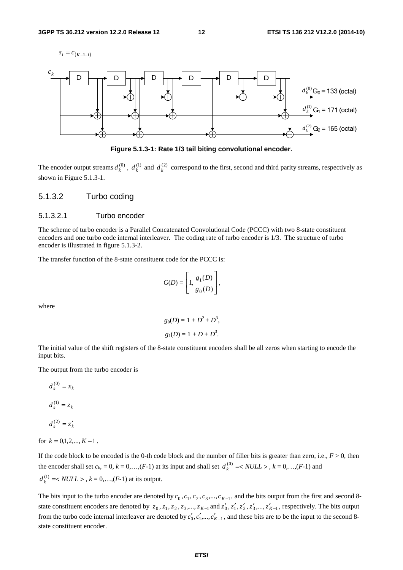



**Figure 5.1.3-1: Rate 1/3 tail biting convolutional encoder.** 

The encoder output streams  $d_k^{(0)}$ ,  $d_k^{(1)}$  and  $d_k^{(2)}$  correspond to the first, second and third parity streams, respectively as shown in Figure 5.1.3-1.

#### 5.1.3.2 Turbo coding

#### 5.1.3.2.1 Turbo encoder

The scheme of turbo encoder is a Parallel Concatenated Convolutional Code (PCCC) with two 8-state constituent encoders and one turbo code internal interleaver. The coding rate of turbo encoder is 1/3. The structure of turbo encoder is illustrated in figure 5.1.3-2.

The transfer function of the 8-state constituent code for the PCCC is:

$$
G(D) = \left[1, \frac{g_1(D)}{g_0(D)}\right],
$$

where

$$
g_0(D) = 1 + D^2 + D^3
$$
,  
 $g_1(D) = 1 + D + D^3$ .

The initial value of the shift registers of the 8-state constituent encoders shall be all zeros when starting to encode the input bits.

The output from the turbo encoder is

$$
d_k^{(0)} = x_k
$$

$$
d_k^{(1)} = z_k
$$

$$
d_k^{(2)} = z'_k
$$

for  $k = 0.1, 2, ..., K - 1$ .

If the code block to be encoded is the 0-th code block and the number of filler bits is greater than zero, i.e.,  $F > 0$ , then the encoder shall set  $c_k$ , = 0,  $k$  = 0,...,(*F*-1) at its input and shall set  $d_k^{(0)} \leq NULL >$ ,  $k = 0, \ldots, (F-1)$  and  $d_k^{(1)} = < NULL >$ ,  $k = 0, ..., (F-1)$  at its output.

The bits input to the turbo encoder are denoted by  $c_0$ ,  $c_1$ ,  $c_2$ ,  $c_3$ ,...,  $c_{K-1}$ , and the bits output from the first and second 8state constituent encoders are denoted by  $z_0, z_1, z_2, z_3, ..., z_{K-1}$  and  $z'_0, z'_1, z'_2, z'_3, ..., z'_{K-1}$ , respectively. The bits output from the turbo code internal interleaver are denoted by  $c'_0, c'_1, ..., c'_{K-1}$ , and these bits are to be the input to the second 8state constituent encoder.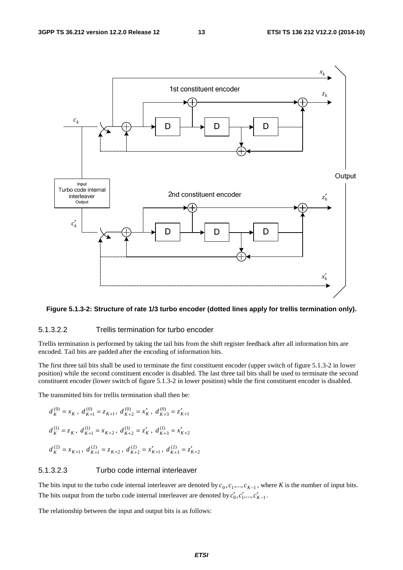

#### **Figure 5.1.3-2: Structure of rate 1/3 turbo encoder (dotted lines apply for trellis termination only).**

### 5.1.3.2.2 Trellis termination for turbo encoder

Trellis termination is performed by taking the tail bits from the shift register feedback after all information bits are encoded. Tail bits are padded after the encoding of information bits.

The first three tail bits shall be used to terminate the first constituent encoder (upper switch of figure 5.1.3-2 in lower position) while the second constituent encoder is disabled. The last three tail bits shall be used to terminate the second constituent encoder (lower switch of figure 5.1.3-2 in lower position) while the first constituent encoder is disabled.

The transmitted bits for trellis termination shall then be:

$$
d_K^{(0)} = x_K, d_{K+1}^{(0)} = z_{K+1}, d_{K+2}^{(0)} = x'_K, d_{K+3}^{(0)} = z'_{K+1}
$$
  

$$
d_K^{(1)} = z_K, d_{K+1}^{(1)} = x_{K+2}, d_{K+2}^{(1)} = z'_K, d_{K+3}^{(1)} = x'_{K+2}
$$
  

$$
d_K^{(2)} = x_{K+1}, d_{K+1}^{(2)} = z_{K+2}, d_{K+2}^{(2)} = x'_{K+1}, d_{K+3}^{(2)} = z'_{K+2}
$$

### 5.1.3.2.3 Turbo code internal interleaver

The bits input to the turbo code internal interleaver are denoted by  $c_0, c_1, ..., c_{K-1}$ , where *K* is the number of input bits. The bits output from the turbo code internal interleaver are denoted by  $c'_0, c'_1, ..., c'_{K-1}$ .

The relationship between the input and output bits is as follows: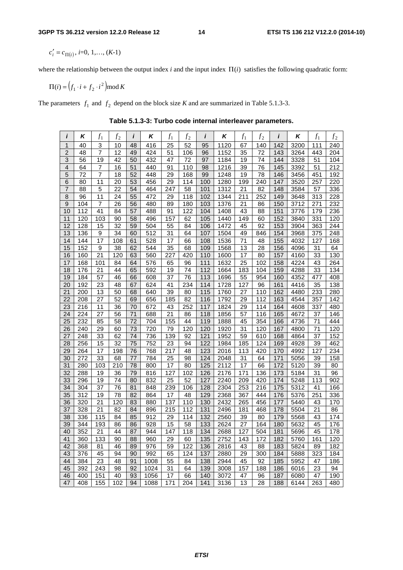$c'_i = c_{\Pi(i)}$ , *i*=0, 1,..., (*K*-1)

where the relationship between the output index *i* and the input index  $\Pi(i)$  satisfies the following quadratic form:

$$
\Pi(i) = \left(f_1 \cdot i + f_2 \cdot i^2\right) \mod K
$$

The parameters  $f_1$  and  $f_2$  depend on the block size *K* and are summarized in Table 5.1.3-3.

*i* | *K* |  $f_1$  |  $f_2$  | *i* | *K* |  $f_1$  |  $f_2$  | *i* | *K* |  $f_1$  |  $f_2$  | *i* | *K* |  $f_1$  |  $f_2$ 1 | 40 | 3 | 10 |48 | 416 | 25 | 52 | 95 |1120 | 67 |140 |142 | 3200 | 111 | 240 2 | 48 | 7 | 12 |49 | 424 | 51 | 106 | 96 | 1152 | 35 | 72 | 143 | 3264 | 443 | 204 3 | 56 | 19 | 42 | 50 | 432 | 47 | 72 | 97 | 1184 | 19 | 74 | 144 | 3328 | 51 | 104 4 | 64 | 7 | 16 |51 | 440 | 91 |110 | 98 |1216 | 39 | 76 |145 | 3392 | 51 |212 5 72 7 18 52 448 29 168 99 1248 19 78 146 3456 451 192 6 | 80 | 11 | 20 | 53 | 456 | 29 | 114 | 100 | 1280 | 199 | 240 | 147 | 3520 | 257 | 220 7 | 88 | 5 | 22 |54 | 464 |247 | 58 | 101 | 1312 | 21 | 82 | 148 | 3584 | 57 | 336 8 | 96 | 11 | 24 | 55 | 472 | 29 | 118 | 102 | 1344 | 211 | 252 | 149 | 3648 | 313 | 228 9 | 104 | 7 | 26 | 56 | 480 | 89 | 180 | 103 | 1376 | 21 | 86 | 150 | 3712 | 271 | 232 10 | 112 | 41 | 84 | 57 | 488 | 91 | 122 | 104 | 1408 | 43 | 88 | 151 | 3776 | 179 | 236 11 | 120 | 103 | 90 | 58 | 496 | 157 | 62 | 105 | 1440 | 149 | 60 | 152 | 3840 | 331 | 120 12 | 128 | 15 | 32 | 59 | 504 | 55 | 84 | 106 | 1472 | 45 | 92 | 153 | 3904 | 363 | 244 13 | 136 | 9 | 34 | 60 | 512 | 31 | 64 | 107 | 1504 | 49 | 846 | 154 | 3968 | 375 | 248 14 | 144 | 17 | 108 | 61 | 528 | 17 | 66 | 108 | 1536 | 71 | 48 | 155 | 4032 | 127 | 168 15 | 152 | 9 | 38 | 62 | 544 | 35 | 68 | 109 | 1568 | 13 | 28 | 156 | 4096 | 31 | 64 16 | 160 | 21 | 120 | 63 | 560 | 227 | 420 | 110 | 1600 | 17 | 80 | 157 | 4160 | 33 | 130 17 | 168 | 101 | 84 | 64 | 576 | 65 | 96 | 111 | 1632 | 25 | 102 | 158 | 4224 | 43 | 264 18 | 176 | 21 | 44 | 65 | 592 | 19 | 74 | 112 | 1664 | 183 | 104 | 159 | 4288 | 33 | 134 19 | 184 | 57 | 46 | 66 | 608 | 37 | 76 | 113 | 1696 | 55 | 954 | 160 | 4352 | 477 | 408 20 | 192 | 23 | 48 | 67 | 624 | 41 | 234 | 114 | 1728 | 127 | 96 | 161 | 4416 | 35 | 138 21 | 200 | 13 | 50 | 68 | 640 | 39 | 80 | 115 | 1760 | 27 | 110 | 162 | 4480 | 233 | 280 22 | 208 | 27 | 52 | 69 | 656 | 185 | 82 | 116 | 1792 | 29 | 112 | 163 | 4544 | 357 | 142 23 | 216 | 11 | 36 | 70 | 672 | 43 | 252 | 117 | 1824 | 29 | 114 | 164 | 4608 | 337 | 480 24 | 224 | 27 | 56 | 71 | 688 | 21 | 86 | 118 | 1856 | 57 | 116 | 165 | 4672 | 37 | 146 25 | 232 | 85 | 58 | 72 | 704 | 155 | 44 | 119 | 1888 | 45 | 354 | 166 | 4736 | 71 | 444 26 | 240 | 29 | 60 | 73 | 720 | 79 | 120 | 120 | 1920 | 31 | 120 | 167 | 4800 | 71 | 120 27 | 248 | 33 | 62 | 74 | 736 | 139 | 92 | 121 | 1952 | 59 | 610 | 168 | 4864 | 37 | 152 28 | 256 | 15 | 32 | 75 | 752 | 23 | 94 | 122 | 1984 | 185 | 124 | 169 | 4928 | 39 | 462 29 264 17 198 76 768 217 48 123 2016 113 420 170 4992 127 234 30 | 272 | 33 | 68 | 77 | 784 | 25 | 98 | 124 | 2048 | 31 | 64 | 171 | 5056 | 39 | 158 31 | 280 | 103 | 210 | 78 | 800 | 17 | 80 | 125 | 2112 | 17 | 66 | 172 | 5120 | 39 | 80 32 | 288 | 19 | 36 | 79 | 816 | 127 | 102 | 126 | 2176 | 171 | 136 | 173 | 5184 | 31 | 96 33 | 296 | 19 | 74 | 80 | 832 | 25 | 52 | 127 | 2240 | 209 | 420 | 174 | 5248 | 113 | 902 34 | 304 | 37 | 76 | 81 | 848 | 239 | 106 | 128 | 2304 | 253 | 216 | 175 | 5312 | 41 | 166 35 | 312 | 19 | 78 | 82 | 864 | 17 | 48 | 129 | 2368 | 367 | 444 | 176 | 5376 | 251 | 336 36 | 320 | 21 | 120 | 83 | 880 | 137 | 110 | 130 | 2432 | 265 | 456 | 177 | 5440 | 43 | 170 37 | 328 | 21 | 82 | 84 | 896 | 215 | 112 | 131 | 2496 | 181 | 468 | 178 | 5504 | 21 | 86 38 | 336 | 115 | 84 | 85 | 912 | 29 | 114 | 132 | 2560 | 39 | 80 | 179 | 5568 | 43 | 174 39 | 344 | 193 | 86 | 86 | 928 | 15 | 58 | 133 | 2624 | 27 | 164 | 180 | 5632 | 45 | 176 40 | 352 | 21 | 44 | 87 | 944 | 147 | 118 | 134 | 2688 | 127 | 504 | 181 | 5696 | 45 | 178 41 | 360 | 133 | 90 | 88 | 960 | 29 | 60 | 135 | 2752 | 143 | 172 | 182 | 5760 | 161 | 120 42 | 368 | 81 | 46 | 89 | 976 | 59 | 122 | 136 | 2816 | 43 | 88 | 183 | 5824 | 89 | 182 43 | 376 | 45 | 94 | 90 | 992 | 65 | 124 | 137 | 2880 | 29 | 300 | 184 | 5888 | 323 | 184 44 | 384 | 23 | 48 | 91 | 1008 | 55 | 84 | 138 | 2944 | 45 | 92 | 185 | 5952 | 47 | 186 45 | 392 | 243 | 98 | 92 | 1024 | 31 | 64 | 139 | 3008 | 157 | 188 | 186 | 6016 | 23 | 94 46 | 400 | 151 | 40 | 93 | 1056 | 17 | 66 | 140 | 3072 | 47 | 96 | 187 | 6080 | 47 | 190 47 | 408 | 155 | 102 | 94 | 1088 | 171 | 204 | 141 | 3136 | 13 | 28 | 188 | 6144 | 263 | 480

**Table 5.1.3-3: Turbo code internal interleaver parameters.**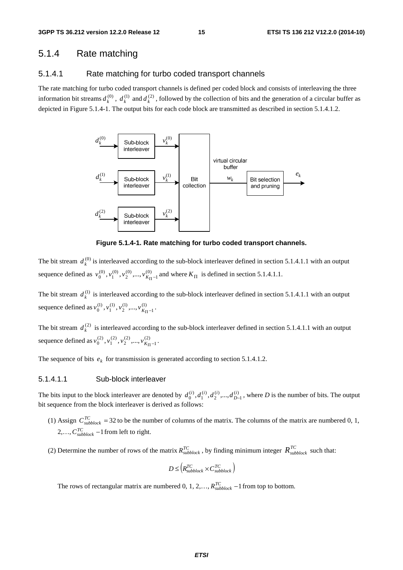### 5.1.4 Rate matching

#### 5.1.4.1 Rate matching for turbo coded transport channels

The rate matching for turbo coded transport channels is defined per coded block and consists of interleaving the three information bit streams  $d_k^{(0)}$ ,  $d_k^{(1)}$  and  $d_k^{(2)}$ , followed by the collection of bits and the generation of a circular buffer as depicted in Figure 5.1.4-1. The output bits for each code block are transmitted as described in section 5.1.4.1.2.



**Figure 5.1.4-1. Rate matching for turbo coded transport channels.** 

The bit stream  $d_k^{(0)}$  is interleaved according to the sub-block interleaver defined in section 5.1.4.1.1 with an output sequence defined as  $v_0^{(0)}$ ,  $v_1^{(0)}$ ,  $v_2^{(0)}$ , ...,  $v_{K_{\Pi}-1}^{(0)}$  $v_0^{(0)}, v_1^{(0)}, v_2^{(0)}, ..., v_{K_{\Pi} - 1}^{(0)}$  and where  $K_{\Pi}$  is defined in section 5.1.4.1.1.

The bit stream  $d_k^{(1)}$  is interleaved according to the sub-block interleaver defined in section 5.1.4.1.1 with an output sequence defined as  $v_0^{(1)}, v_1^{(1)}, v_2^{(1)},..., v_{K_{\Pi}-1}^{(1)}$  $v_0^{(1)}, v_1^{(1)}, v_2^{(1)}, ..., v_{K_{\Pi}-1}^{(1)}$ .

The bit stream  $d_k^{(2)}$  is interleaved according to the sub-block interleaver defined in section 5.1.4.1.1 with an output sequence defined as  $v_0^{(2)}$ ,  $v_1^{(2)}$ ,  $v_2^{(2)}$ ,...,  $v_{K_{\Pi}-1}^{(2)}$  $v_0^{(2)}, v_1^{(2)}, v_2^{(2)}, ..., v_{K_{\Pi}-1}^{(2)}$ .

The sequence of bits  $e_k$  for transmission is generated according to section 5.1.4.1.2.

#### 5.1.4.1.1 Sub-block interleaver

The bits input to the block interleaver are denoted by  $d_0^{(i)}$ ,  $d_1^{(i)}$ ,  $d_2^{(i)}$ , ...,  $d_{D-1}^{(i)}$ , where *D* is the number of bits. The output bit sequence from the block interleaver is derived as follows:

- (1) Assign  $C_{subblock}^{TC}$  = 32 to be the number of columns of the matrix. The columns of the matrix are numbered 0, 1, 2,...,  $C_{subblock}^{TC}$  –1 from left to right.
- (2) Determine the number of rows of the matrix  $R_{subblock}^{TC}$ , by finding minimum integer  $R_{subblock}^{TC}$  such that:

$$
D \leq \left(R_{\text{subblock}}^{TC} \times C_{\text{subblock}}^{TC}\right)
$$

The rows of rectangular matrix are numbered 0, 1, 2, ...,  $R_{subblock}^{TC}$  –1 from top to bottom.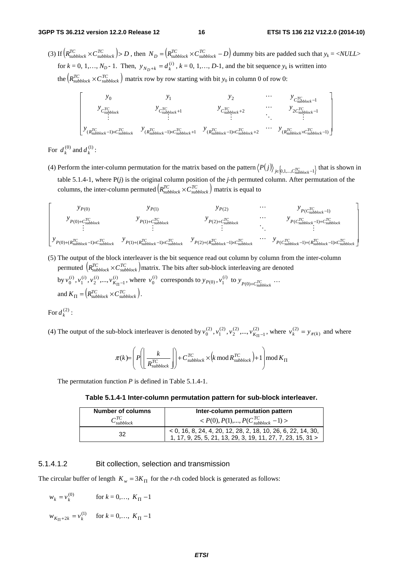(3) If  $\left(R_{\text{subblock}}^{TC} \times C_{\text{subblock}}^{TC}\right) > D$ , then  $N_D = \left(R_{\text{subblock}}^{TC} \times C_{\text{subblock}}^{TC} - D\right)$  dummy bits are padded such that  $y_k = \langle NULL \rangle$ for  $k = 0, 1, ..., N_D - 1$ . Then,  $y_{N_D + k} = d_k^{(i)}$ ,  $k = 0, 1, ..., D-1$ , and the bit sequence  $y_k$  is written into the  $(R_{subblock}^{TC} \times C_{subblock}^{TC})$  matrix row by row starting with bit  $y_0$  in column 0 of row 0:

$$
\begin{bmatrix}\ny_0 & y_1 & y_2 & \cdots & y_{C_{\text{subblock}}^{\text{TC}} - 1} \\
y_{C_{\text{subblock}}^{\text{TC}} & y_{C_{\text{subblock}}^{\text{TC}} + 1} & y_{C_{\text{subblock}}^{\text{TC}} + 2} & y_{2C_{\text{subblock}}^{\text{TC}} - 1} \\
\vdots & \vdots & \ddots & \vdots \\
y_{(R_{\text{subblock}}^{\text{TC}} - 1) \times C_{\text{subblock}}^{\text{TC}} + 1} & y_{(R_{\text{subblock}}^{\text{TC}} - 1) \times C_{\text{subblock}}^{\text{TC}} + 2} & \cdots & y_{(R_{\text{subblock}}^{\text{TC}} \times C_{\text{subblock}}^{\text{TC}} - 1)} \\
\vdots & \vdots & \ddots & \vdots \\
y_{(R_{\text{subblock}}^{\text{TC}} + 1) \times C_{\text{subblock}}^{\text{TC}} + 1} & y_{(R_{\text{subblock}}^{\text{TC}} + 2)} & y_{(R_{\text{subblock}}^{\text{TC}} \times C_{\text{subblock}}^{\text{TC}} - 1)}\n\end{bmatrix}
$$

For  $d_k^{(0)}$  and  $d_k^{(1)}$ :

(4) Perform the inter-column permutation for the matrix based on the pattern  $\langle P(j) \rangle_{j \in [0,1,\dots,C_{subblock}^{TC} - 1]}$  that is shown in table 5.1.4-1, where P(*j*) is the original column position of the *j*-th permuted column. After permutation of the columns, the inter-column permuted  $(R_{\text{subblock}}^{TC} \times C_{\text{subblock}}^{TC})$  matrix is equal to



(5) The output of the block interleaver is the bit sequence read out column by column from the inter-column permuted  $(R_{\textit{subblock}}^{TC} \times C_{\textit{subblock}}^{TC})$  matrix. The bits after sub-block interleaving are denoted

by 
$$
v_0^{(i)}
$$
,  $v_1^{(i)}$ ,  $v_2^{(i)}$ ,...,  $v_{K_{\Pi}}$ <sup>(i)</sup> where  $v_0^{(i)}$  corresponds to  $y_{P(0)}$ ,  $v_1^{(i)}$  to  $y_{P(0)+C_{subblock}}^T \cdots$   
and  $K_{\Pi} = (R_{subblock}^{TC} \times C_{subblock}^{TC})$ .

For 
$$
d_k^{(2)}
$$
:

(4) The output of the sub-block interleaver is denoted by  $v_0^{(2)}$ ,  $v_1^{(2)}$ ,  $v_2^{(2)}$ ,...,  $v_{K_{\text{H}}-1}^{(2)}$  $v_0^{(2)}$ ,  $v_1^{(2)}$ ,  $v_2^{(2)}$ ,...,  $v_{K_{\Pi}}^{(2)}$ , where  $v_k^{(2)} = y_{\pi(k)}$  and where

$$
\pi(k) = \left(P\left(\left[\frac{k}{R_{\text{subblock}}^{TC}}\right]\right) + C_{\text{subblock}}^{TC} \times \left(k \mod R_{\text{subblock}}^{TC}\right) + 1\right) \mod K_{\Pi}
$$

The permutation function *P* is defined in Table 5.1.4-1.

**Table 5.1.4-1 Inter-column permutation pattern for sub-block interleaver.** 

| <b>Number of columns</b> | Inter-column permutation pattern                                                                                             |  |  |
|--------------------------|------------------------------------------------------------------------------------------------------------------------------|--|--|
| $C_{subblock}^{TC}$      | $P(0), P(1), , P(C_{subblock}^{TC} - 1)$                                                                                     |  |  |
| 32                       | $-$ < 0, 16, 8, 24, 4, 20, 12, 28, 2, 18, 10, 26, 6, 22, 14, 30, 1, 17, 9, 25, 5, 21, 13, 29, 3, 19, 11, 27, 7, 23, 15, 31 > |  |  |

#### 5.1.4.1.2 Bit collection, selection and transmission

The circular buffer of length  $K_w = 3K_H$  for the *r*-th coded block is generated as follows:

$$
w_k = v_k^{(0)} \qquad \text{for } k = 0, ..., K_{\Pi} - 1
$$

 $W_{K_{\Pi}+2k} = v_k^{(1)}$  for  $k = 0,..., K_{\Pi} - 1$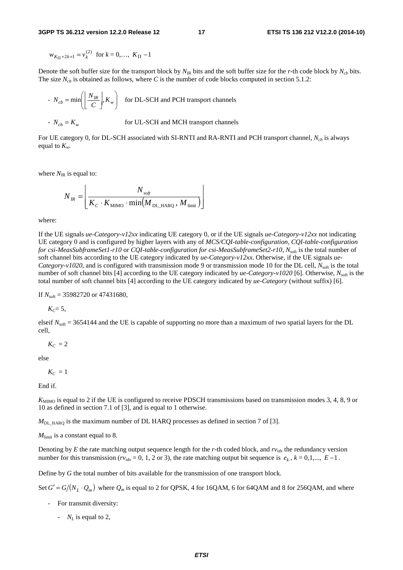$$
w_{K_{\Pi}+2k+1} = v_k^{(2)} \text{ for } k = 0, ..., K_{\Pi} - 1
$$

Denote the soft buffer size for the transport block by  $N_{IR}$  bits and the soft buffer size for the *r*-th code block by  $N_{ch}$  bits. The size  $N_{cb}$  is obtained as follows, where *C* is the number of code blocks computed in section 5.1.2:

- 
$$
N_{cb} = \min \left( \left\lfloor \frac{N_{IR}}{C} \right\rfloor, K_w \right)
$$
 for DL-SCH and PCH transport channels  
-  $N_{cb} = K_w$  for UL-SCH and MCH transport channels

For UE category 0, for DL-SCH associated with SI-RNTI and RA-RNTI and PCH transport channel,  $N_{ch}$  is always equal to  $K_{w}$ .

where  $N_{IR}$  is equal to:

$$
N_{_{IR}}=\boxed{\frac{N_{_{\text{soft}}}}{K_{_{\text{C}}}\cdot K_{_{\text{MIMO}}}\cdot \text{min}\big(\overline{M}_{_{\text{DL\_HARQ}}}\,,\,M_{_{\text{limit}}}\big)}}
$$

where:

If the UE signals *ue-Category-v12xx* indicating UE category 0, or if the UE signals *ue-Category-v12xx* not indicating UE category 0 and is configured by higher layers with any of *MCS/CQI-table-configuration, CQI-table-configuration for csi-MeasSubframeSet1-r10* or *CQI-table-configuration for csi-MeasSubframeSet2-r10*,  $N_{\text{soft}}$  is the total number of soft channel bits according to the UE category indicated by *ue-Category-v12xx*. Otherwise, if the UE signals *ue-Category-v1020*, and is configured with transmission mode 9 or transmission mode 10 for the DL cell,  $N_{\text{soft}}$  is the total number of soft channel bits [4] according to the UE category indicated by *ue-Category-v1020* [6]. Otherwise,  $N_{\text{soft}}$  is the total number of soft channel bits [4] according to the UE category indicated by *ue-Category* (without suffix) [6].

If  $N_{\text{soft}}$  = 35982720 or 47431680,

 $K_{C} = 5$ ,

elseif  $N_{\text{soft}} = 3654144$  and the UE is capable of supporting no more than a maximum of two spatial layers for the DL cell,

$$
K_C=2
$$

else

$$
K_C=1
$$

End if.

*K*<sub>MIMO</sub> is equal to 2 if the UE is configured to receive PDSCH transmissions based on transmission modes 3, 4, 8, 9 or 10 as defined in section 7.1 of [3], and is equal to 1 otherwise.

 $M_{\text{DL-HARO}}$  is the maximum number of DL HARQ processes as defined in section 7 of [3].

 $M<sub>limit</sub>$  is a constant equal to 8.

Denoting by *E* the rate matching output sequence length for the *r*-th coded block, and  $rv_{idx}$  the redundancy version number for this transmission ( $rv_{idx} = 0, 1, 2$  or 3), the rate matching output bit sequence is  $e_k$ ,  $k = 0,1,..., E-1$ .

Define by *G* the total number of bits available for the transmission of one transport block.

Set  $G' = G/(N_L \cdot Q_m)$  where  $Q_m$  is equal to 2 for QPSK, 4 for 16QAM, 6 for 64QAM and 8 for 256QAM, and where

- For transmit diversity:
	- $N_t$  *is equal to 2.*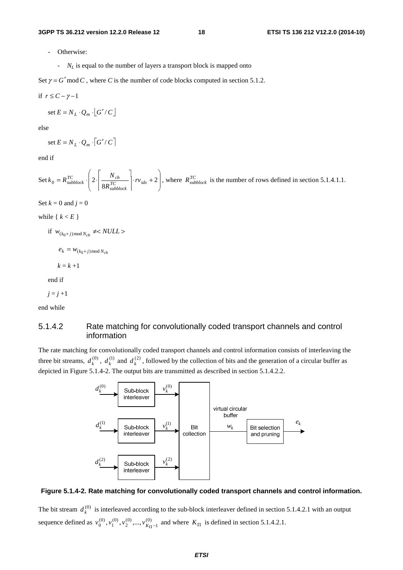- Otherwise:
	- *N<sub>L</sub>* is equal to the number of layers a transport block is mapped onto

Set  $\gamma = G'$  mod *C*, where *C* is the number of code blocks computed in section 5.1.2.

$$
if \ r \leq C - \gamma - 1
$$

set 
$$
E = N_L \cdot Q_m \cdot |G'/C|
$$

else

$$
\text{set } E = N_L \cdot Q_m \cdot \left[ G' / C \right]
$$

end if

Set 
$$
k_0 = R_{subblock}^{TC}
$$
.  $\left(2 \cdot \left[ \frac{N_{cb}}{8R_{subblock}^{TC}} \right] \cdot rv_{idx} + 2 \right)$ , where  $R_{subblock}^{TC}$  is the number of rows defined in section 5.1.4.1.1.

Set  $k = 0$  and  $j = 0$ 

while  $\{ k \lt E \}$ 

if  $W_{(k_0+j) \text{ mod } N_{cb}} \neq NULL$ 

 $e_k = w_{(k_0+j) \text{ mod } N_{cb}}$ 

 $k = k + 1$ 

end if

$$
j=j+1
$$

end while

### 5.1.4.2 Rate matching for convolutionally coded transport channels and control information

The rate matching for convolutionally coded transport channels and control information consists of interleaving the three bit streams,  $d_k^{(0)}$ ,  $d_k^{(1)}$  and  $d_k^{(2)}$ , followed by the collection of bits and the generation of a circular buffer as depicted in Figure 5.1.4-2. The output bits are transmitted as described in section 5.1.4.2.2.



#### **Figure 5.1.4-2. Rate matching for convolutionally coded transport channels and control information.**

The bit stream  $d_k^{(0)}$  is interleaved according to the sub-block interleaver defined in section 5.1.4.2.1 with an output sequence defined as  $v_0^{(0)}$ ,  $v_1^{(0)}$ ,  $v_2^{(0)}$ , ...,  $v_{K_{\Pi}-1}^{(0)}$  $v_0^{(0)}, v_1^{(0)}, v_2^{(0)}, ..., v_{K_{\Pi}^{-1}}^{(0)}$  and where  $K_{\Pi}$  is defined in section 5.1.4.2.1.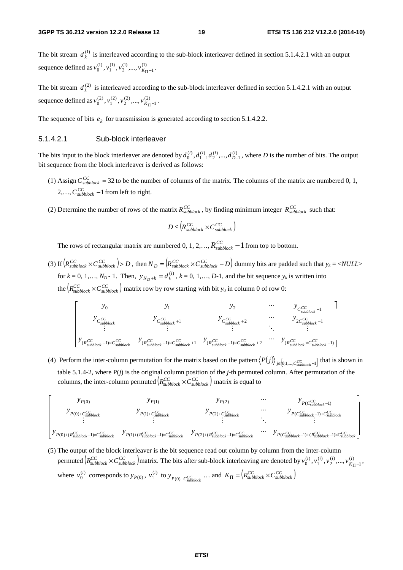The bit stream  $d_k^{(1)}$  is interleaved according to the sub-block interleaver defined in section 5.1.4.2.1 with an output sequence defined as  $v_0^{(1)}, v_1^{(1)}, v_2^{(1)},..., v_{K_{\Pi}-1}^{(1)}$  $v_0^{(1)}, v_1^{(1)}, v_2^{(1)}, ..., v_{K_{\Pi}-1}^{(1)}$ .

The bit stream  $d_k^{(2)}$  is interleaved according to the sub-block interleaver defined in section 5.1.4.2.1 with an output sequence defined as  $v_0^{(2)}$ ,  $v_1^{(2)}$ ,  $v_2^{(2)}$ ,...,  $v_{K_{\Pi}-1}^{(2)}$  $v_0^{(2)}, v_1^{(2)}, v_2^{(2)}, ..., v_{K_{\Pi}-1}^{(2)}$ .

The sequence of bits  $e_k$  for transmission is generated according to section 5.1.4.2.2.

#### 5.1.4.2.1 Sub-block interleaver

The bits input to the block interleaver are denoted by  $d_0^{(i)}$ ,  $d_1^{(i)}$ ,  $d_2^{(i)}$ , ...,  $d_{D-1}^{(i)}$ , where *D* is the number of bits. The output bit sequence from the block interleaver is derived as follows:

- (1) Assign  $C_{subblock}^{CC}$  = 32 to be the number of columns of the matrix. The columns of the matrix are numbered 0, 1, 2,...,  $C_{subblock}^{CC}$  –1 from left to right.
- (2) Determine the number of rows of the matrix  $R_{subblock}^{CC}$ , by finding minimum integer  $R_{subblock}^{CC}$  such that:

$$
D \leq \left(R_{\text{subblock}}^{CC} \times C_{\text{subblock}}^{CC}\right)
$$

The rows of rectangular matrix are numbered 0, 1, 2,...,  $R_{subblock}^{CC}$  –1 from top to bottom.

(3) If  $\left(R_{\text{subblock}}^{CC}\times C_{\text{subblock}}^{CC}\right) > D$ , then  $N_D = \left(R_{\text{subblock}}^{CC}\times C_{\text{subblock}}^{CC} - D\right)$  dummy bits are padded such that  $y_k = \langle NULL \rangle$ for  $k = 0, 1, ..., N_D - 1$ . Then,  $y_{N_D + k} = d_k^{(i)}$ ,  $k = 0, 1, ..., D-1$ , and the bit sequence  $y_k$  is written into the  $(R_{subblock}^{CC} \times C_{subblock}^{CC})$  matrix row by row starting with bit  $y_0$  in column 0 of row 0:

$$
\begin{bmatrix}\ny_0 & y_1 & y_2 & \cdots & y_{C_{\textit{subblock}}^{CC}-1} \\
y_{C_{\textit{subblock}}^{CC}} & y_{C_{\textit{subblock}}^{CC}+1} & y_{C_{\textit{subblock}}^{CC}} & \cdots & y_{C_{\textit{subblock}}^{CC}-1} \\
\vdots & \vdots & \ddots & \vdots \\
y_{(R_{\textit{subblock}}^{CC}-1)\times C_{\textit{subblock}}^{CC}-1} & y_{(R_{\textit{subblock}}^{CC}-1)\times C_{\textit{subblock}}^{CC}+2} & \cdots & y_{(R_{\textit{subblock}}^{CC}-1)}\n\end{bmatrix}
$$

(4) Perform the inter-column permutation for the matrix based on the pattern  $\langle P(j) \rangle_{j \in [0,1,\dots,C_{subblock-1}^C]}$  that is shown in table 5.1.4-2, where P(*j*) is the original column position of the *j*-th permuted column. After permutation of the columns, the inter-column permuted  $(R_{\text{subblock}}^{CC} \times C_{\text{subblock}}^{CC})$  matrix is equal to



(5) The output of the block interleaver is the bit sequence read out column by column from the inter-column permuted  $(R_{\text{subblock}}^{CC} \times C_{\text{subblock}}^{CC})$  matrix. The bits after sub-block interleaving are denoted by  $v_0^{(i)}$ ,  $v_1^{(i)}$ ,  $v_2^{(i)}$ ,...,  $v_{K_{\text{H}}-1}^{(i)}$  $\begin{matrix} (i) \\ 0 \end{matrix}$ ,  $v_1^{(i)}$ ,  $v_2^{(i)}$ , ...,  $v_K^{(i)}$  $v_0^{(i)}, v_1^{(i)}, v_2^{(i)}, ..., v_{K_{\Pi}-1}^{(i)},$ where  $v_0^{(i)}$  corresponds to  $y_{P(0)}$ ,  $v_1^{(i)}$  to  $y_{P(0)+C_{subblock}^{CC}}$  ... and  $K_{\Pi} = (R_{subblock}^{CC} \times C_{subblock}^{CC})$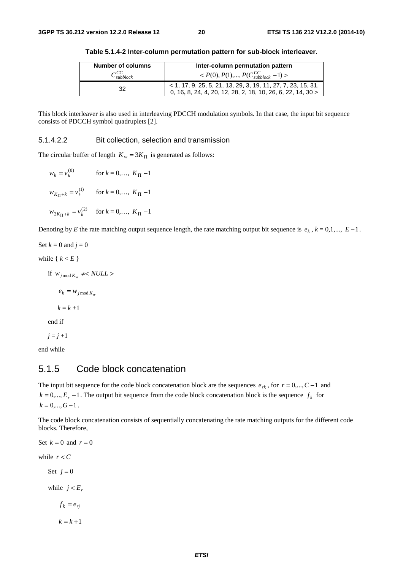| <b>Number of columns</b> | Inter-column permutation pattern                                                                                             |  |  |
|--------------------------|------------------------------------------------------------------------------------------------------------------------------|--|--|
| $C_{subblock}^{CC}$      | $P(0), P(1),, P(C_{subblock}^{CC}-1)$                                                                                        |  |  |
| 32                       | $<$ 1, 17, 9, 25, 5, 21, 13, 29, 3, 19, 11, 27, 7, 23, 15, 31, 0, 16, 8, 24, 4, 20, 12, 28, 2, 18, 10, 26, 6, 22, 14, 30 $>$ |  |  |

**Table 5.1.4-2 Inter-column permutation pattern for sub-block interleaver.** 

This block interleaver is also used in interleaving PDCCH modulation symbols. In that case, the input bit sequence consists of PDCCH symbol quadruplets [2].

#### 5.1.4.2.2 Bit collection, selection and transmission

The circular buffer of length  $K_w = 3K_{\Pi}$  is generated as follows:

$$
w_k = v_k^{(0)} \qquad \text{for } k = 0, ..., K_{\Pi} - 1
$$
  

$$
w_{K_{\Pi} + k} = v_k^{(1)} \qquad \text{for } k = 0, ..., K_{\Pi} - 1
$$
  

$$
w_{2K_{\Pi} + k} = v_k^{(2)} \qquad \text{for } k = 0, ..., K_{\Pi} - 1
$$

Denoting by *E* the rate matching output sequence length, the rate matching output bit sequence is  $e_k$ ,  $k = 0,1,..., E-1$ .

Set  $k = 0$  and  $j = 0$ while  $\{ k \le E \}$ if  $w_{j \mod K_w} \neq NULL$  $e_k = w_{j \mod K_w}$  $k = k + 1$ 

end if

$$
j=j+1
$$

end while

### 5.1.5 Code block concatenation

The input bit sequence for the code block concatenation block are the sequences  $e_{rk}$ , for  $r = 0, ..., C-1$  and  $k = 0, \ldots, E_r - 1$ . The output bit sequence from the code block concatenation block is the sequence  $f_k$  for  $k = 0, \ldots, G-1$ .

The code block concatenation consists of sequentially concatenating the rate matching outputs for the different code blocks. Therefore,

Set  $k = 0$  and  $r = 0$ while  $r < C$ Set  $i = 0$ while  $j < E_r$  $f_k = e_{rj}$  $k = k + 1$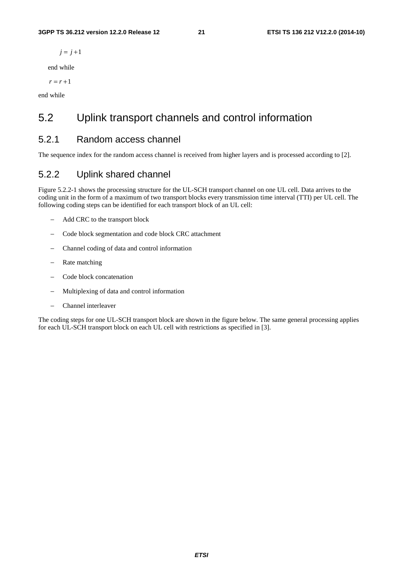#### **3GPP TS 36.212 version 12.2.0 Release 12 21 ETSI TS 136 212 V12.2.0 (2014-10)**

 $j = j + 1$ 

end while

 $r = r + 1$ 

end while

# 5.2 Uplink transport channels and control information

### 5.2.1 Random access channel

The sequence index for the random access channel is received from higher layers and is processed according to [2].

### 5.2.2 Uplink shared channel

Figure 5.2.2-1 shows the processing structure for the UL-SCH transport channel on one UL cell. Data arrives to the coding unit in the form of a maximum of two transport blocks every transmission time interval (TTI) per UL cell. The following coding steps can be identified for each transport block of an UL cell:

- − Add CRC to the transport block
- − Code block segmentation and code block CRC attachment
- − Channel coding of data and control information
- − Rate matching
- − Code block concatenation
- − Multiplexing of data and control information
- − Channel interleaver

The coding steps for one UL-SCH transport block are shown in the figure below. The same general processing applies for each UL-SCH transport block on each UL cell with restrictions as specified in [3].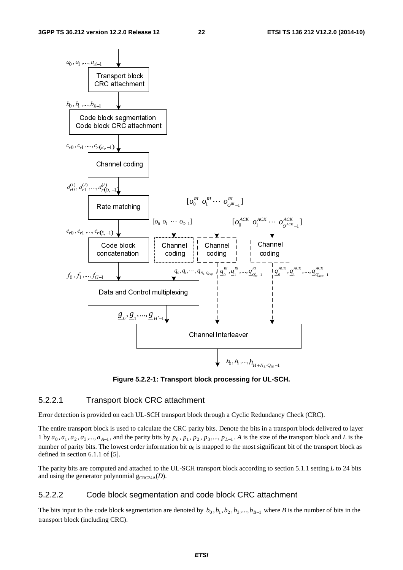

**Figure 5.2.2-1: Transport block processing for UL-SCH.** 

### 5.2.2.1 Transport block CRC attachment

Error detection is provided on each UL-SCH transport block through a Cyclic Redundancy Check (CRC).

The entire transport block is used to calculate the CRC parity bits. Denote the bits in a transport block delivered to layer 1 by  $a_0, a_1, a_2, a_3, \dots, a_{A-1}$ , and the parity bits by  $p_0, p_1, p_2, p_3, \dots, p_{L-1}$ . A is the size of the transport block and *L* is the number of parity bits. The lowest order information bit  $a_0$  is mapped to the most significant bit of the transport block as defined in section 6.1.1 of [5].

The parity bits are computed and attached to the UL-SCH transport block according to section 5.1.1 setting *L* to 24 bits and using the generator polynomial  $g_{CRC24A}(D)$ .

#### 5.2.2.2 Code block segmentation and code block CRC attachment

The bits input to the code block segmentation are denoted by  $b_0$ ,  $b_1$ ,  $b_2$ ,  $b_3$ ,...,  $b_{B-1}$  where *B* is the number of bits in the transport block (including CRC).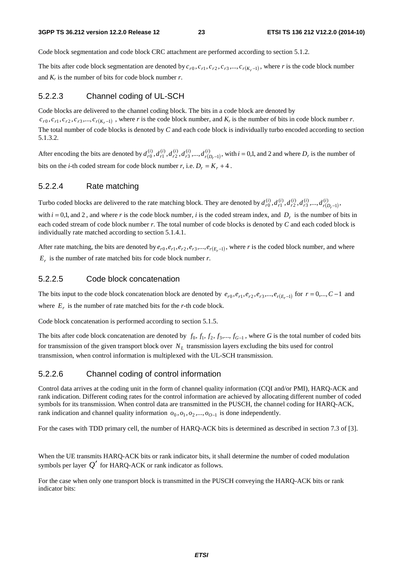Code block segmentation and code block CRC attachment are performed according to section 5.1.2.

The bits after code block segmentation are denoted by  $c_{r0}$ ,  $c_{r1}$ ,  $c_{r2}$ ,  $c_{r3}$ ,...,  $c_{r(K,-1)}$ , where *r* is the code block number and  $K_r$  is the number of bits for code block number  $r$ .

### 5.2.2.3 Channel coding of UL-SCH

Code blocks are delivered to the channel coding block. The bits in a code block are denoted by  $c_{r0}, c_{r1}, c_{r2}, c_{r3},..., c_{r(K_r-1)}$ , where *r* is the code block number, and  $K_r$  is the number of bits in code block number *r*. The total number of code blocks is denoted by *C* and each code block is individually turbo encoded according to section 5.1.3.2.

After encoding the bits are denoted by  $d_{r0}^{(i)}, d_{r1}^{(i)}, d_{r2}^{(i)}, d_{r3}^{(i)},..., d_{r(D_r-1)}^{(i)}$ 1  $\hat{d}_{r0}^{(i)},d_{r1}^{(i)},d_{r2}^{(i)},d_{r3}^{(i)},...,d_{r(D)}^{(i)}$  $d_{r0}^{(i)}$ ,  $d_{r1}^{(i)}$ ,  $d_{r2}^{(i)}$ ,  $d_{r3}^{(i)}$ ,...,  $d_{r(D_r-1)}^{(i)}$ , with  $i = 0,1$ , and 2 and where  $D_r$  is the number of bits on the *i*-th coded stream for code block number *r*, i.e.  $D_r = K_r + 4$ .

### 5.2.2.4 Rate matching

Turbo coded blocks are delivered to the rate matching block. They are denoted by  $d_{r0}^{(i)}, d_{r1}^{(i)}, d_{r2}^{(i)}, d_{r3}^{(i)},...,d_{r(D_r-1)}^{(i)}$ 1  $\hat{d}_{r0}^{(i)},d_{r1}^{(i)},d_{r2}^{(i)},d_{r3}^{(i)},...,d_{r(D)}^{(i)}$  $d_{r0}^{(i)}, d_{r1}^{(i)}, d_{r2}^{(i)}, d_{r3}^{(i)},..., d_{r(D_r-1)}^{(i)},$ 

with  $i = 0,1$ , and 2, and where r is the code block number, i is the coded stream index, and  $D<sub>r</sub>$  is the number of bits in each coded stream of code block number *r*. The total number of code blocks is denoted by *C* and each coded block is individually rate matched according to section 5.1.4.1.

After rate matching, the bits are denoted by  $e_{r0}, e_{r1}, e_{r2}, e_{r3}, \dots, e_{r(E_r-1)}$ , where *r* is the coded block number, and where  $E_r$  is the number of rate matched bits for code block number  $r$ .

### 5.2.2.5 Code block concatenation

The bits input to the code block concatenation block are denoted by  $e_{r0}, e_{r1}, e_{r2}, e_{r3}, \ldots, e_{r(E_r-1)}$  for  $r = 0, \ldots, C-1$  and where  $E_r$  is the number of rate matched bits for the *r*-th code block.

Code block concatenation is performed according to section 5.1.5.

The bits after code block concatenation are denoted by  $f_0, f_1, f_2, f_3, \ldots, f_{G-1}$ , where *G* is the total number of coded bits for transmission of the given transport block over  $N_L$  transmission layers excluding the bits used for control transmission, when control information is multiplexed with the UL-SCH transmission.

#### 5.2.2.6 Channel coding of control information

Control data arrives at the coding unit in the form of channel quality information (CQI and/or PMI), HARQ-ACK and rank indication. Different coding rates for the control information are achieved by allocating different number of coded symbols for its transmission. When control data are transmitted in the PUSCH, the channel coding for HARQ-ACK, rank indication and channel quality information  $o_0, o_1, o_2, ..., o_{O-1}$  is done independently.

For the cases with TDD primary cell, the number of HARQ-ACK bits is determined as described in section 7.3 of [3].

When the UE transmits HARQ-ACK bits or rank indicator bits, it shall determine the number of coded modulation symbols per layer  $Q'$  for HARQ-ACK or rank indicator as follows.

For the case when only one transport block is transmitted in the PUSCH conveying the HARQ-ACK bits or rank indicator bits: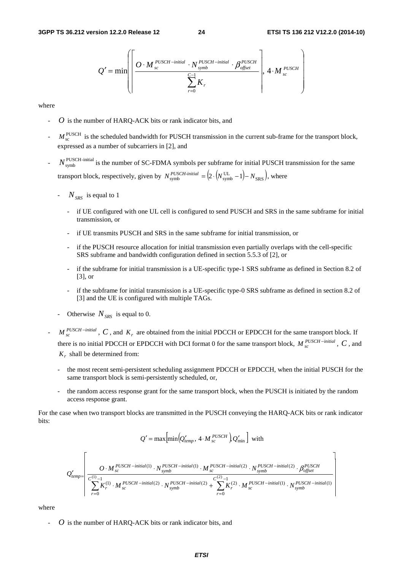$$
Q' = \min \left( \left\lceil \frac{O \cdot M_{\text{sc}}^{\text{PUSCH-inital}} \cdot N_{\text{symbol}}^{\text{PUSCH-inital}} \cdot \beta_{\text{offset}}^{\text{PUSCH}}}{\sum_{r=0}^{C-1} K_r} \right\rceil, 4 \cdot M_{\text{sc}}^{\text{PUSCH}} \right)
$$

where

- *O* is the number of HARQ-ACK bits or rank indicator bits, and
- $M_{\rm sc}^{\rm PUSCH}$  is the scheduled bandwidth for PUSCH transmission in the current sub-frame for the transport block, expressed as a number of subcarriers in [2], and
- $N_{\text{symbol}}^{\text{PUSCH-inital}}$  is the number of SC-FDMA symbols per subframe for initial PUSCH transmission for the same transport block, respectively, given by  $N_{\text{symbol}}^{PUSCH\text{-}initial} = \left( 2 \cdot \left( N_{\text{symbol}}^{\text{UL}} - 1 \right) - N_{\text{SRS}} \right)$ , where
	- $N_{SRS}$  is equal to 1
		- if UE configured with one UL cell is configured to send PUSCH and SRS in the same subframe for initial transmission, or
		- if UE transmits PUSCH and SRS in the same subframe for initial transmission, or
		- if the PUSCH resource allocation for initial transmission even partially overlaps with the cell-specific SRS subframe and bandwidth configuration defined in section 5.5.3 of [2], or
		- if the subframe for initial transmission is a UE-specific type-1 SRS subframe as defined in Section 8.2 of [3], or
		- if the subframe for initial transmission is a UE-specific type-0 SRS subframe as defined in section 8.2 of [3] and the UE is configured with multiple TAGs.
	- Otherwise  $N_{SRS}$  is equal to 0.
- $M_{sc}^{PUSCH initial}$ ,  $C$ , and  $K_r$  are obtained from the initial PDCCH or EPDCCH for the same transport block. If there is no initial PDCCH or EPDCCH with DCI format 0 for the same transport block,  $M_{sc}^{PUSCH - initial}$ ,  $C$ , and *Kr* shall be determined from:
	- the most recent semi-persistent scheduling assignment PDCCH or EPDCCH, when the initial PUSCH for the same transport block is semi-persistently scheduled, or,
	- the random access response grant for the same transport block, when the PUSCH is initiated by the random access response grant.

For the case when two transport blocks are transmitted in the PUSCH conveying the HARQ-ACK bits or rank indicator bits:

$$
Q' = \max \left[ \min \left( Q'_{temp}, 4 \cdot M_{sc}^{PUSCH} \right) Q'_{min} \right]
$$
 with

$$
Q'_{temp} = \left[ \frac{O \cdot M_{sc}^{PUSCH - initial(1)} \cdot N_{symb}^{PUSCH - initial(2)} \cdot M_{sc}^{PUSCH - initial(2)} \cdot N_{symb}^{PUSCH - initial(2)} \cdot \beta_{offset}^{PUSCH - initial(2)} \cdot \beta_{offset}^{PUSCH - initial(2)} \cdot N_{symb}^{PUSCH - initial(2)} \cdot N_{symb}^{PUSCH - initial(2)} \cdot N_{symb}^{PUSCH - initial(2)} \cdot N_{symb}^{PUSCH - initial(2)} \cdot N_{symb}^{PUSCH - initial(2)} \cdot N_{symb}^{PUSCH - initial(2)} \cdot N_{symb}^{PUSCH - initial(2)} \cdot N_{symb}^{PUSCH - initial(2)} \cdot N_{symb}^{PUSCH - initial(2)} \cdot N_{symb}^{PUSCH - initial(2)} \cdot N_{symb}^{PUSCH - initial(2)} \cdot N_{symb}^{PUSCH - initial(2)} \cdot N_{symb}^{PUSCH - initial(2)} \cdot N_{symb}^{PUSCH - initial(2)} \cdot N_{symb}^{PUSCH - initial(2)} \cdot N_{symb}^{PUSCH - initial(2)} \cdot N_{symb}^{PUSCH - initial(2)} \cdot N_{symb}^{PUSCH - initial(2)} \cdot N_{symb}^{PUSCH - initial(2)} \cdot N_{symb}^{PUSCH - initial(2)} \cdot N_{symb}^{PUSCH - initial(2)} \cdot N_{symb}^{PUSCH - initial(2)} \cdot N_{symb}^{PUSCH - initial(2)} \cdot N_{symb}^{PUSCH - initial(2)} \cdot N_{symb}^{PUSCH - initial(2)} \cdot N_{symb}^{PUSCH - initial(2)} \cdot N_{symb}^{PUSCH - initial(2)} \cdot N_{symb}^{PUSCH - initial(2)} \cdot N_{symb}^{PUSCH - initial(2)} \cdot N_{symb}^{PUSCH - initial(2)} \cdot N_{symb}^{PUSCH - initial(2)} \cdot N_{symb}^{PUSCH - initial(2)} \cdot N_{symb}^{PUSCH - initial(2)} \cdot N_{symb}^{PUSCH - initial(2)} \cdot N_{symb}^{PUSCH - initial(2)} \cdot N_{symb}^{PUSCH - initial(2)} \cdot N_{symb}^{PUSCH - initial(2)} \cdot N_{symb}^{PUSCH - initial(2)} \cdot N_{symb}^{PUSCH - initial(2)} \cdot N_{symb}^{PUSCH - initial(2)} \cdot N_{symb}^{PUSCH -
$$

where

- *O* is the number of HARQ-ACK bits or rank indicator bits, and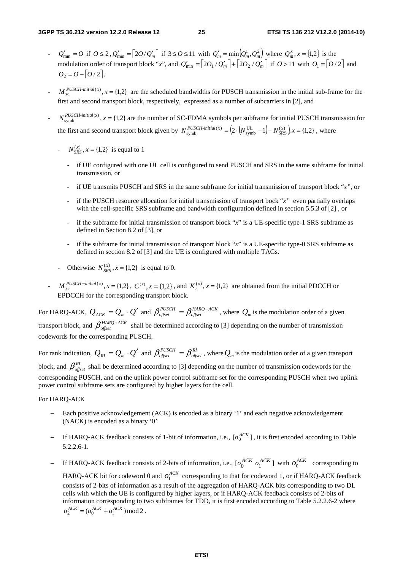- $Q'_{\text{min}} = O$  if  $O \le 2$ ,  $Q'_{\text{min}} = \left[2O/Q'_m\right]$  if  $3 \le O \le 11$  with  $Q'_m = \min\left(Q_m^1, Q_m^2\right)$  where  $Q_m^x, x = \{1,2\}$  is the modulation order of transport block "*x*", and  $Q'_{min} = 2O_1/Q'_m + 2O_2/Q'_m$  if  $O > 11$  with  $O_1 = |O/2|$  and  $Q_2 = Q - [Q/2]$ .
- $M_{\rm sc}^{PUSCH\text{-}initial(x)}$ ,  $x = \{1,2\}$  are the scheduled bandwidths for PUSCH transmission in the initial sub-frame for the first and second transport block, respectively, expressed as a number of subcarriers in [2], and
- $N_{\text{symbol}}^{PUSCH\text{-initial}(x)}$ ,  $x = \{1,2\}$  are the number of SC-FDMA symbols per subframe for initial PUSCH transmission for the first and second transport block given by  $N_{\text{symbol}}^{PUSCH\text{-}initial(x)} = (2 \cdot (N_{\text{symbol}}^{UL} - 1) - N_{\text{SRS}}^{(x)}) x = \{1,2\}$ , where
	- $-S_{SRS}^{(x)}$ ,  $x = \{1,2\}$  is equal to 1
		- if UE configured with one UL cell is configured to send PUSCH and SRS in the same subframe for initial transmission, or
		- if UE transmits PUSCH and SRS in the same subframe for initial transmission of transport block "*x"*, or
		- if the PUSCH resource allocation for initial transmission of transport bock "*x*" even partially overlaps with the cell-specific SRS subframe and bandwidth configuration defined in section 5.5.3 of [2] , or
		- if the subframe for initial transmission of transport block "*x*" is a UE-specific type-1 SRS subframe as defined in Section 8.2 of [3], or
		- if the subframe for initial transmission of transport block "*x*" is a UE-specific type-0 SRS subframe as defined in section 8.2 of [3] and the UE is configured with multiple TAGs.
	- Otherwise  $N_{SRS}^{(x)}$ ,  $x = \{1, 2\}$  is equal to 0.
- $M_{sc}^{PUSCH initial(x)}$ ,  $x = \{1,2\}$ ,  $C^{(x)}$ ,  $x = \{1,2\}$ , and  $K_r^{(x)}$ ,  $x = \{1,2\}$  are obtained from the initial PDCCH or EPDCCH for the corresponding transport block.

For HARQ-ACK,  $Q_{ACK} = Q_m \cdot Q'$  and  $\beta_{offset}^{PUSCH} = \beta_{offset}^{HARQ-ACK}$ *PUSCH*  $\beta_{offset}^{PUSCH} = \beta_{offset}^{HARQ-ACK}$ , where  $Q_m$  is the modulation order of a given transport block, and  $\beta_{offset}^{HARQ-ACK}$  shall be determined according to [3] depending on the number of transmission codewords for the corresponding PUSCH.

For rank indication,  $Q_{RI} = Q_m \cdot Q'$  and  $\beta_{offset}^{PUSCH} = \beta_{offset}^{RI}$  $\beta_{\text{offset}}^{\text{PUSCH}} = \beta_{\text{offset}}^{\text{RI}}$ , where  $Q_m$  is the modulation order of a given transport block, and  $\beta_{\text{offset}}^{RI}$  shall be determined according to [3] depending on the number of transmission codewords for the corresponding PUSCH, and on the uplink power control subframe set for the corresponding PUSCH when two uplink power control subframe sets are configured by higher layers for the cell.

For HARQ-ACK

- − Each positive acknowledgement (ACK) is encoded as a binary '1' and each negative acknowledgement (NACK) is encoded as a binary '0'
- − If HARQ-ACK feedback consists of 1-bit of information, i.e., [ $o_0^{ACK}$ ], it is first encoded according to Table 5.2.2.6-1.
- *–* If HARQ-ACK feedback consists of 2-bits of information, i.e., [ $o_0^{ACK}$   $o_1^{ACK}$ ] with  $o_0^{ACK}$  corresponding to HARQ-ACK bit for codeword 0 and  $o_1^{ACK}$  corresponding to that for codeword 1, or if HARQ-ACK feedback consists of 2-bits of information as a result of the aggregation of HARQ-ACK bits corresponding to two DL cells with which the UE is configured by higher layers, or if HARQ-ACK feedback consists of 2-bits of information corresponding to two subframes for TDD, it is first encoded according to Table 5.2.2.6-2 where  $o_2^{ACK} = (o_0^{ACK} + o_1^{ACK}) \mod 2$ .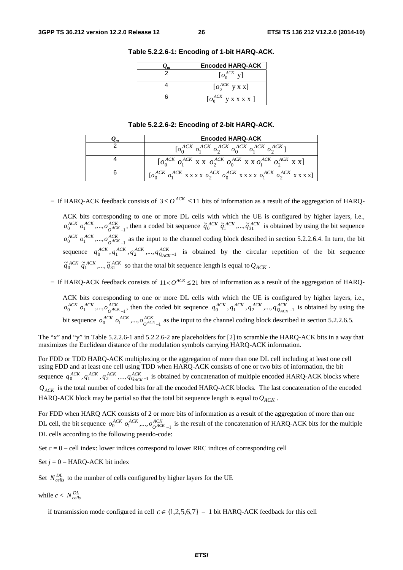| <b>Encoded HARQ-ACK</b>               |  |  |
|---------------------------------------|--|--|
| $\left[0_0^{ACK} \right]$ y]          |  |  |
| $\left[0_{0}^{ACK}$ y x x]            |  |  |
| $\left[0_0^{ACK}$ y x x x x $\right]$ |  |  |

**Table 5.2.2.6-1: Encoding of 1-bit HARQ-ACK.** 

#### **Table 5.2.2.6-2: Encoding of 2-bit HARQ-ACK.**

| Lт | <b>Encoded HARQ-ACK</b>                                                                          |
|----|--------------------------------------------------------------------------------------------------|
|    | $\left[0_{0}^{ACK}\ o_{1}^{ACK}\ o_{2}^{ACK}\ o_{0}^{ACK}\ o_{1}^{ACK}\ o_{2}^{ACK}\right]$      |
|    | $\left[O_0^{ACK} O_1^{ACK}$ X X $O_2^{ACK} O_0^{ACK}$ X X $O_1^{ACK} O_2^{ACK}$ X X $\right]$    |
|    | $[o_0^{ACK} o_1^{ACK}$ x x x x $o_2^{ACK} o_0^{ACK}$ x x x x $o_1^{ACK} o_2^{ACK}$ x x x x x $]$ |

− If HARQ-ACK feedback consists of 3 ≤  $O^{ACK}$  ≤ 11 bits of information as a result of the aggregation of HARQ-

ACK bits corresponding to one or more DL cells with which the UE is configured by higher layers, i.e., *ACK O*  $o_0^{ACK}$   $o_1^{ACK}$ ,...,  $o_{O^{ACK}-1}^{ACK}$ , then a coded bit sequence  $\tilde{q}_0^{ACK}$   $\tilde{q}_1^{ACK}$ ,...,  $\tilde{q}_{31}^{ACK}$  is obtained by using the bit sequence *ACK O*  $o_0^{ACK}$   $o_1^{ACK}$ ,...,  $o_{O^{ACK}-1}^{ACK}$  as the input to the channel coding block described in section 5.2.2.6.4. In turn, the bit sequence  $q_0^{ACK}$ ,  $q_1^{ACK}$ ,  $q_2^{ACK}$ , ...,  $q_{Q_{ACK}-1}^{ACK}$  is obtained by the circular repetition of the bit sequence  $\tilde{q}_0^{ACK}$   $\tilde{q}_1^{ACK}$ ,  $\ldots$ ,  $\tilde{q}_{31}^{ACK}$  so that the total bit sequence length is equal to  $Q_{ACK}$ .

− If HARQ-ACK feedback consists of 11< $O^{ACK}$  ≤ 21 bits of information as a result of the aggregation of HARQ-

ACK bits corresponding to one or more DL cells with which the UE is configured by higher layers, i.e., *ACK O*  $o_0^{ACK}$   $o_1^{ACK}$ ,...,  $o_{O_0^{ACK}-1}^{ACK}$ , then the coded bit sequence  $q_0^{ACK}$ ,  $q_1^{ACK}$ ,  $q_2^{ACK}$ ,...,  $q_{Q_{ACK}-1}^{ACK}$  is obtained by using the bit sequence  $o_0^{ACK}$   $o_1^{ACK}$ ,..., $o_{O^{ACK}}^{ACK}$  $o_0^{ACK}$   $o_1^{ACK}$ ,...,  $o_{O^{ACK}-1}^{ACK}$  as the input to the channel coding block described in section 5.2.2.6.5.

The "x" and "y" in Table 5.2.2.6-1 and 5.2.2.6-2 are placeholders for [2] to scramble the HARQ-ACK bits in a way that maximizes the Euclidean distance of the modulation symbols carrying HARQ-ACK information.

For FDD or TDD HARQ-ACK multiplexing or the aggregation of more than one DL cell including at least one cell using FDD and at least one cell using TDD when HARQ-ACK consists of one or two bits of information, the bit sequence  $q_0^{ACK}$ ,  $q_1^{ACK}$ ,  $q_2^{ACK}$ , ,...,  $q_{Q_{ACK}-1}^{ACK}$  is obtained by concatenation of multiple encoded HARQ-ACK blocks where  $Q_{ACK}$  is the total number of coded bits for all the encoded HARQ-ACK blocks. The last concatenation of the encoded HARQ-ACK block may be partial so that the total bit sequence length is equal to  $Q_{ACK}$ .

For FDD when HARQ ACK consists of 2 or more bits of information as a result of the aggregation of more than one DL cell, the bit sequence  $o_0^{ACK}$   $o_1^{ACK}$ ,...,  $o_{O^{ACK}}^{ACK}$  $o_0^{ACK}$   $o_1^{ACK}$ ,...,  $o_{O^{ACK}-1}^{ACK}$  is the result of the concatenation of HARQ-ACK bits for the multiple DL cells according to the following pseudo-code:

Set  $c = 0$  – cell index: lower indices correspond to lower RRC indices of corresponding cell

Set  $j = 0$  – HARQ-ACK bit index

Set  $N_{cells}^{DL}$  to the number of cells configured by higher layers for the UE

while  $c < N_{\text{cells}}^{DL}$ 

if transmission mode configured in cell  $c \in \{1,2,5,6,7\}$  – 1 bit HARQ-ACK feedback for this cell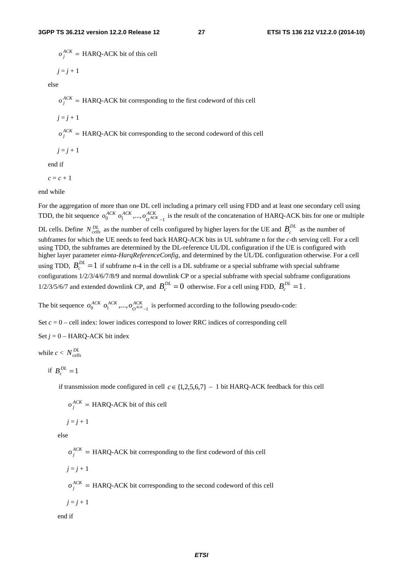$o_j^{ACK}$  = HARQ-ACK bit of this cell

$$
j=j+1
$$

else

 $o_j^{ACK}$  = HARQ-ACK bit corresponding to the first codeword of this cell

 $j = j + 1$ 

 $o_j^{ACK}$  = HARQ-ACK bit corresponding to the second codeword of this cell

 $j = j + 1$ 

end if

 $c = c + 1$ 

end while

For the aggregation of more than one DL cell including a primary cell using FDD and at least one secondary cell using TDD, the bit sequence  $o_0^{ACK}$   $o_1^{ACK}$ ,...,  $o_{O^{ACK}-1}^{ACK}$  is the result of the concatenation of HARQ-ACK bits for one or multiple DL cells. Define  $N_{cells}^{DL}$  as the number of cells configured by higher layers for the UE and  $B_c^{DL}$  as the number of subframes for which the UE needs to feed back HARQ-ACK bits in UL subframe n for the *c*-th serving cell. For a cell using TDD, the subframes are determined by the DL-reference UL/DL configuration if the UE is configured with higher layer parameter *eimta-HarqReferenceConfig*, and determined by the UL/DL configuration otherwise. For a cell using TDD,  $B_c^{DL} = 1$  if subframe n-4 in the cell is a DL subframe or a special subframe with special subframe configurations 1/2/3/4/6/7/8/9 and normal downlink CP or a special subframe with special subframe configurations 1/2/3/5/6/7 and extended downlink CP, and  $B_c^{DL} = 0$  otherwise. For a cell using FDD,  $B_c^{DL} = 1$ .

The bit sequence  $o_0^{ACK}$   $o_1^{ACK}$ ,...,  $o_{O^{ACK}-1}^{ACK}$  is performed according to the following pseudo-code:

Set  $c = 0$  – cell index: lower indices correspond to lower RRC indices of corresponding cell

Set  $j = 0$  – HARQ-ACK bit index

while  $c < N_{cells}^{DL}$ 

$$
if B_c^{DL} = 1
$$

if transmission mode configured in cell  $c \in \{1,2,5,6,7\}$  – 1 bit HARQ-ACK feedback for this cell

 $o_i^{ACK}$  = HARQ-ACK bit of this cell

 $j = j + 1$ 

else

 $o_j^{ACK}$  = HARQ-ACK bit corresponding to the first codeword of this cell

 $j = j + 1$ 

 $o_j^{ACK}$  = HARQ-ACK bit corresponding to the second codeword of this cell

 $j = j + 1$ 

end if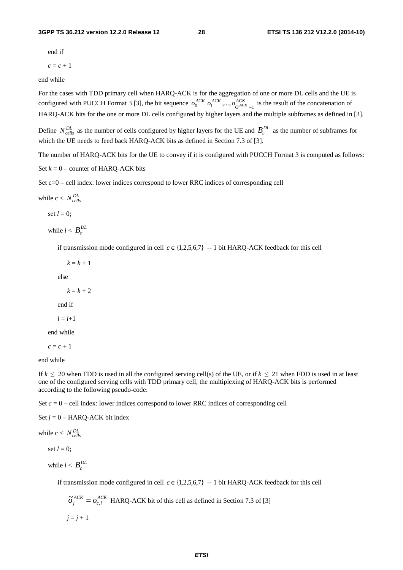#### **3GPP TS 36.212 version 12.2.0 Release 12 28 ETSI TS 136 212 V12.2.0 (2014-10)**

end if

 $c = c + 1$ 

end while

For the cases with TDD primary cell when HARQ-ACK is for the aggregation of one or more DL cells and the UE is configured with PUCCH Format 3 [3], the bit sequence  $o_0^{ACK}$   $o_1^{ACK}$ ,...,  $o_{O^{AC}}^{ACK}$  $o_0^{ACK}$   $o_1^{ACK}$ ,...,  $o_{O^{ACK}_{t-1}}^{ACK}$  is the result of the concatenation of HARQ-ACK bits for the one or more DL cells configured by higher layers and the multiple subframes as defined in [3].

Define  $N_{cells}^{DL}$  as the number of cells configured by higher layers for the UE and  $B_c^{DL}$  as the number of subframes for which the UE needs to feed back HARQ-ACK bits as defined in Section 7.3 of [3].

The number of HARQ-ACK bits for the UE to convey if it is configured with PUCCH Format 3 is computed as follows:

Set  $k = 0$  – counter of HARQ-ACK bits

Set c=0 – cell index: lower indices correspond to lower RRC indices of corresponding cell

while  $c < N_{cells}^{DL}$ 

set  $l = 0$ ;

while  $l < B_c^{DL}$ 

if transmission mode configured in cell  $c \in \{1,2,5,6,7\}$  -- 1 bit HARQ-ACK feedback for this cell

 $k = k + 1$ 

else

 $k = k + 2$ 

end if

 $l = l + 1$ 

end while

 $c = c + 1$ 

end while

If  $k \le 20$  when TDD is used in all the configured serving cell(s) of the UE, or if  $k \le 21$  when FDD is used in at least one of the configured serving cells with TDD primary cell, the multiplexing of HARQ-ACK bits is performed according to the following pseudo-code:

Set  $c = 0$  – cell index: lower indices correspond to lower RRC indices of corresponding cell

Set  $j = 0$  – HARQ-ACK bit index

while  $c < N_{cells}^{DL}$ 

set  $l = 0$ ;

while  $l < B_c^{DL}$ 

if transmission mode configured in cell  $c \in \{1,2,5,6,7\}$  --1 bit HARQ-ACK feedback for this cell

$$
\tilde{o}_j^{ACK} = o_{c,l}^{ACK}
$$
 HARQ-ACK bit of this cell as defined in Section 7.3 of [3]  

$$
j = j + 1
$$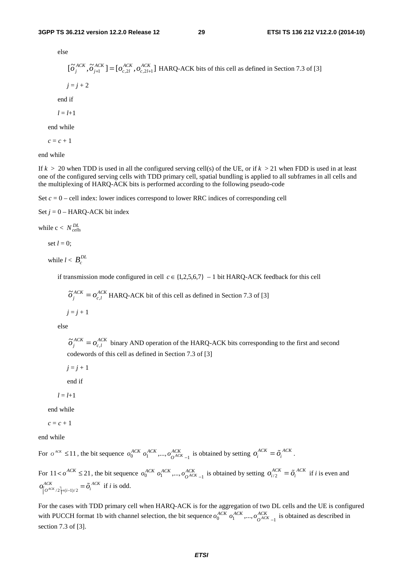else

$$
[\tilde{O}_j^{ACK}, \tilde{O}_{j+1}^{ACK}] = [o_{c,2l}^{ACK}, o_{c,2l+1}^{ACK}]
$$
HARQ-ACK bits of this cell as defined in Section 7.3 of [3]  
 $j = j + 2$   
end if

$$
l = l+1
$$

end while

 $c = c + 1$ 

end while

If  $k > 20$  when TDD is used in all the configured serving cell(s) of the UE, or if  $k > 21$  when FDD is used in at least one of the configured serving cells with TDD primary cell, spatial bundling is applied to all subframes in all cells and the multiplexing of HARQ-ACK bits is performed according to the following pseudo-code

Set  $c = 0$  – cell index: lower indices correspond to lower RRC indices of corresponding cell

Set 
$$
j = 0
$$
 – HARQ-ACK bit index

while  $c < N_{cells}^{DL}$ 

set  $l = 0$ :

while  $l < B_c^{DL}$ 

if transmission mode configured in cell  $c \in \{1,2,5,6,7\} - 1$  bit HARQ-ACK feedback for this cell

 $\widetilde{o}^{\textit{ACK}}_j = o^{\textit{ACK}}_{c,l}$  $\tilde{\sigma}_j^{ACK} = o_{c,l}^{ACK}$  HARQ-ACK bit of this cell as defined in Section 7.3 of [3]  $j = j + 1$ 

else

*ACK lc*  $\tilde{\sigma}_j^{ACK} = o_{c,l}^{ACK}$  binary AND operation of the HARQ-ACK bits corresponding to the first and second codewords of this cell as defined in Section 7.3 of [3]

 $j = j + 1$ 

end if

 $l = l + 1$ 

end while

 $c = c + 1$ 

end while

For  $o^{ACK} \le 11$ , the bit sequence  $o_0^{ACK}$   $o_1^{ACK}$ ,...,  $o_{O^{AC}}^{ACK}$  $o_0^{ACK}$   $o_1^{ACK}$ ,...,  $o_{O^{ACK}-1}^{ACK}$  is obtained by setting  $o_i^{ACK} = \tilde{o}_i^{ACK}$ .

For  $11 < \rho^{ACK} \le 21$ , the bit sequence  $o_0^{ACK}$   $o_1^{ACK}$ ,...,  $o_{OAC}^{ACK}$  $o_0^{ACK}$   $o_1^{ACK}$ ,...,  $o_{O^{ACK}-1}^{ACK}$  is obtained by setting  $o_{i/2}^{ACK} = \tilde{o}_i^{ACK}$  $= \tilde{o}_i^{ACK}$ .<br> $o_{i/2}^{ACK} = \tilde{o}_i^{ACK}$  if *i* is even and  $\left| \frac{ACK}{2} \right| + (i-1)/2$  $o_{\left[O^{ACK}/2\right]+(i-1)/2}^{ACK} = \tilde{o}_i^{ACK}$ 

 $\tilde{o}_i^{ACK}$  if *i* is odd.<br>TDD primary central 1b with channel For the cases with TDD primary cell when HARQ-ACK is for the aggregation of two DL cells and the UE is configured with PUCCH format 1b with channel selection, the bit sequence  $o_0^{ACK}$   $o_1^{ACK}$ ,...,  $o_{O^{AC}}^{ACK}$  $o_0^{ACK}$   $o_1^{ACK}$ ,...,  $o_{O^{ACK}_{t-1}}^{ACK}$  is obtained as described in section 7.3 of [3].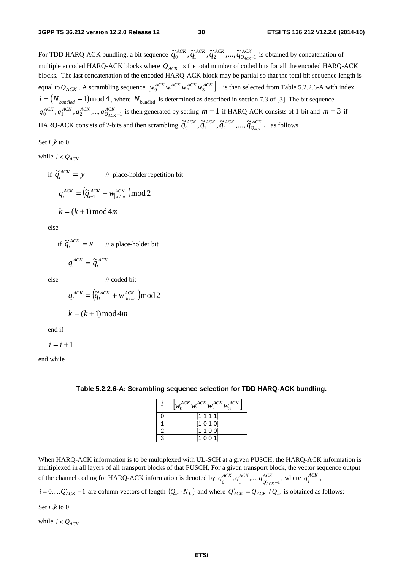For TDD HARQ-ACK bundling, a bit sequence  $\widetilde{q}_0^{ACK}, \widetilde{q}_1^{ACK}, \widetilde{q}_2^{ACK}, ..., \widetilde{q}_{Q_{ACK}}^{ACK}$  $\tilde{q}_0^{ACK}, \tilde{q}_1^{ACK}, \tilde{q}_2^{ACK}, ..., \tilde{q}_{Q_{ACK}-1}^{ACK}$  is obtained by concatenation of multiple encoded HARQ-ACK blocks where  $Q_{ACK}$  is the total number of coded bits for all the encoded HARQ-ACK blocks. The last concatenation of the encoded HARQ-ACK block may be partial so that the total bit sequence length is equal to  $Q_{ACK}$ . A scrambling sequence  $\left[ w_0^{ACK} w_1^{ACK} w_2^{ACK} w_3^{ACK} \right]$  is then selected from Table 5.2.2.6-A with index  $i = (N_{bundred} - 1) \text{mod } 4$ , where  $N_{bundred}$  is determined as described in section 7.3 of [3]. The bit sequence  $q_0^{ACK}$ ,  $q_1^{ACK}$ , ,  $q_2^{ACK}$ , ,...,  $q_{Q_{ACK}-1}^{ACK}$  is then generated by setting  $m = 1$  if HARQ-ACK consists of 1-bit and  $m = 3$  if HARQ-ACK consists of 2-bits and then scrambling  $\tilde{q}_0^{ACK}, \tilde{q}_1^{ACK}, \tilde{q}_2^{ACK}, ..., \tilde{q}_{Q_{ACK}}^{ACK}$  $\widetilde{q}_0^{ACK}, \widetilde{q}_1^{ACK}, \widetilde{q}_2^{ACK}, ..., \widetilde{q}_{Q_{ACK}-1}^{ACK}$  as follows

Set *i ,k* to 0

while  $i < Q_{\text{ACK}}$ 

if  $\tilde{q}_i^{ACK} = y$  // place-holder repetition bit  $(\widetilde{q}_{i-1}^{ACK} + w_{\lfloor k/m \rfloor}^{ACK}) \mod 2$ *mk ACK i*  $q_i^{ACK} = (\widetilde{q}_{i-1}^{ACK} + w)$  $k = (k + 1) \text{mod} 4m$ 

else

if 
$$
\tilde{q}_i^{ACK} = x
$$
 // a place-holder bit

$$
q_i^{ACK} = \widetilde{q}_i^{ACK}
$$

else // coded bit

$$
q_i^{ACK} = (\tilde{q}_i^{ACK} + w_{\lfloor k/m \rfloor}^{ACK}) \mod 2
$$

$$
k = (k+1) \mod 4m
$$

end if

 $i = i + 1$ 

end while

|   | $\left W_0^{ACK}W_1^{ACK}W_2^{ACK}W_2^{ACK}\right $ |
|---|-----------------------------------------------------|
| Ω | [1 1 1 1]                                           |
|   | [1010]                                              |
| 2 | [1 1 0 0]                                           |
| 3 | [1001]                                              |

**Table 5.2.2.6-A: Scrambling sequence selection for TDD HARQ-ACK bundling.** 

When HARQ-ACK information is to be multiplexed with UL-SCH at a given PUSCH, the HARQ-ACK information is multiplexed in all layers of all transport blocks of that PUSCH, For a given transport block, the vector sequence output of the channel coding for HARQ-ACK information is denoted by  $q_0^{ACK}, q_1^{ACK}, ..., q_{Q'_{AC}}^{ACK}$ *ACK ACK*  $q_0^{ACK}, q_1^{ACK}, ..., q_{Q'_{ACK}-1}^{ACK}$ , where  $q_i^{ACK}$ ,

 $i = 0,..., Q'_{ACK} - 1$  are column vectors of length  $(Q_m \cdot N_L)$  and where  $Q'_{ACK} = Q_{ACK} / Q_m$  is obtained as follows:

Set *i ,k* to 0

while  $i < Q_{ACK}$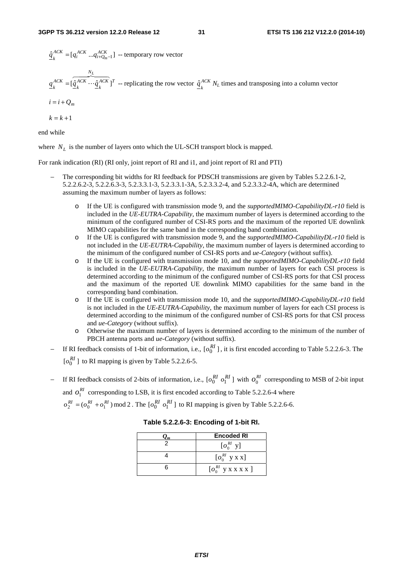$\frac{\hat{q}^{ACK}_{k}}{k}$  =  $[q_i^{ACK} \dots q_{i+Q_m-1}^{ACK}]$  -- temporary row vector

$$
\underline{q}_{k}^{ACK} = [\hat{\underline{q}}_{k}^{ACK} \cdots \hat{\underline{q}}_{k}^{ACK}]^{T}
$$
 - replicating the row vector  $\hat{\underline{q}}_{k}^{ACK} N_{L}$  times and transposing into a column vector  $i = i + Q_{m}$ 

$$
k = k + 1
$$

end while

where  $N_L$  is the number of layers onto which the UL-SCH transport block is mapped.

For rank indication (RI) (RI only, joint report of RI and i1, and joint report of RI and PTI)

- The corresponding bit widths for RI feedback for PDSCH transmissions are given by Tables 5.2.2.6.1-2, 5.2.2.6.2-3, 5.2.2.6.3-3, 5.2.3.3.1-3, 5.2.3.3.1-3A, 5.2.3.3.2-4, and 5.2.3.3.2-4A, which are determined assuming the maximum number of layers as follows:
	- o If the UE is configured with transmission mode 9, and the *supportedMIMO-CapabilityDL-r10* field is included in the *UE-EUTRA-Capability*, the maximum number of layers is determined according to the minimum of the configured number of CSI-RS ports and the maximum of the reported UE downlink MIMO capabilities for the same band in the corresponding band combination.
	- o If the UE is configured with transmission mode 9, and the *supportedMIMO-CapabilityDL-r10* field is not included in the *UE-EUTRA-Capability*, the maximum number of layers is determined according to the minimum of the configured number of CSI-RS ports and *ue-Category* (without suffix).
	- o If the UE is configured with transmission mode 10, and the *supportedMIMO-CapabilityDL-r10* field is included in the *UE-EUTRA-Capability*, the maximum number of layers for each CSI process is determined according to the minimum of the configured number of CSI-RS ports for that CSI process and the maximum of the reported UE downlink MIMO capabilities for the same band in the corresponding band combination.
	- o If the UE is configured with transmission mode 10, and the *supportedMIMO-CapabilityDL-r10* field is not included in the *UE-EUTRA-Capability*, the maximum number of layers for each CSI process is determined according to the minimum of the configured number of CSI-RS ports for that CSI process and *ue-Category* (without suffix).
	- o Otherwise the maximum number of layers is determined according to the minimum of the number of PBCH antenna ports and *ue-Category* (without suffix).
- − If RI feedback consists of 1-bit of information, i.e.,  $[o_0^{RI}]$ , it is first encoded according to Table 5.2.2.6-3. The  $\lbrack o_0^{RI} \rbrack$  to RI mapping is given by Table 5.2.2.6-5.
- − If RI feedback consists of 2-bits of information, i.e.,  $\lbrack o_0^{RI} \rbrack o_1^{RI} \rbrack$  with  $o_0^{RI}$  corresponding to MSB of 2-bit input

and  $O_1^{RI}$  corresponding to LSB, it is first encoded according to Table 5.2.2.6-4 where

 $o_2^{RI} = (o_0^{RI} + o_1^{RI}) \mod 2$ . The  $[o_0^{RI} \ o_1^{RI}]$  to RI mapping is given by Table 5.2.2.6-6.

| Lт | <b>Encoded RI</b>                    |
|----|--------------------------------------|
|    | $\left[O_0^{RI} \text{ y}\right]$    |
|    | $\left[0_0^{RI}$ y x x]              |
|    | $\left[0 \right]_0^{RI}$ y x x x x ] |

**Table 5.2.2.6-3: Encoding of 1-bit RI.**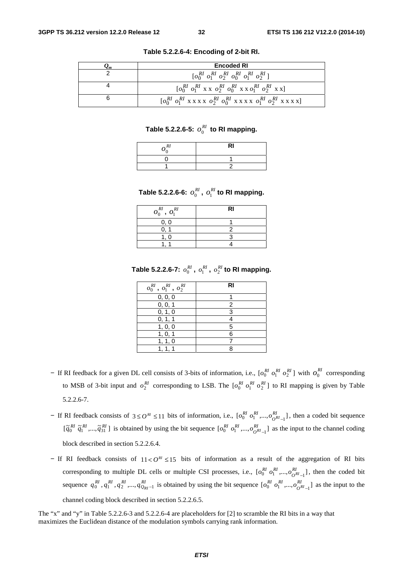| <b>Encoded RI</b>                                                                                                       |
|-------------------------------------------------------------------------------------------------------------------------|
|                                                                                                                         |
| $\begin{bmatrix} o_0^{RI} & o_1^{RI} & x & x & o_2^{RI} & o_0^{RI} & x & x & o_1^{RI} & o_2^{RI} & x & x \end{bmatrix}$ |
|                                                                                                                         |

**Table 5.2.2.6-4: Encoding of 2-bit RI.** 

### **Table 5.2.2.6-5:** *RI o*0 **to RI mapping.**

| $\mathcal{R}^{\prime}$ | RI |
|------------------------|----|
|                        |    |
|                        |    |

Table 5.2.2.6-6:  $o_0^{RI}$  ,  $o_1^{RI}$  to RI mapping.

| $o_0^{RI}$ , $o_1^{RI}$ | RI |
|-------------------------|----|
| 0, 0                    |    |
|                         |    |
|                         |    |
|                         |    |

Table 5.2.2.6-7:  $o_0^{RI}$  ,  $o_1^{RI}$  ,  $o_2^{RI}$  to RI mapping.

| $o_0^{RI}$ , $o_1^{RI}$ , $o_2^{RI}$ | <b>RI</b> |
|--------------------------------------|-----------|
| 0, 0, 0                              |           |
| 0, 0, 1                              | 2         |
| 0, 1, 0                              | З         |
| 0, 1, 1                              |           |
| 1, 0, 0                              | 5         |
| 1, 0, 1                              | հ         |
| 1, 1, 0                              |           |
|                                      |           |

- − If RI feedback for a given DL cell consists of 3-bits of information, i.e.,  $[o_0^{RI} o_1^{RI} o_2^{RI}]$  with  $o_0^{RI}$  corresponding to MSB of 3-bit input and  $o_2^{RI}$  corresponding to LSB. The  $[o_0^{RI} \, o_1^{RI} \, o_2^{RI}]$  to RI mapping is given by Table 5.2.2.6-7.
- − If RI feedback consists of  $3 ≤ 0^{RI} ≤ 11$  bits of information, i.e.,  $\left[0_0^{RI} \t o_1^{RI}, \ldots, 0_{0}^{RI} \t o_1^{RI}\right]$ *O*  $o_0^{RI}$   $o_1^{RI}$ ,..., $o_{O^{RI}-1}^{RI}$ , then a coded bit sequence  $[\tilde{q}_0^{RI} \tilde{q}_1^{RI}, ..., \tilde{q}_{31}^{RI}]$  is obtained by using the bit sequence  $[o_0^{RI} \rho_1^{RI}, ..., o_{0}^{RI}]\$ *O*  $o_0^{RI}$   $o_1^{RI}$ ,..., $o_{o^{RI}-1}^{RI}$  as the input to the channel coding block described in section 5.2.2.6.4.
- − If RI feedback consists of 11 <  $O^{R1}$  ≤ 15 bits of information as a result of the aggregation of RI bits corresponding to multiple DL cells or multiple CSI processes, i.e.,  $[o_0^{RI} \ o_1^{RI},...,o_{O^{RI}-1}^{RI}]$ *O*  $o_0^{RI}$   $o_1^{RI}$ ,..., $o_{O^{RI}-1}^{RI}$ , then the coded bit sequence  $q_0^{RI}, q_1^{RI}, q_2^{RI}, ..., q_{Q_{RI}-1}^{RI}$  is obtained by using the bit sequence  $[o_0^{RI}, o_1^{RI}, ..., o_{O_{RI}-1}^{RI}]$ *O*  $o_0^{RI}$   $o_1^{RI}$ ,..., $o_{O^{RI}-1}^{RI}$  as the input to the

channel coding block described in section 5.2.2.6.5.

The "x" and "y" in Table 5.2.2.6-3 and 5.2.2.6-4 are placeholders for [2] to scramble the RI bits in a way that maximizes the Euclidean distance of the modulation symbols carrying rank information.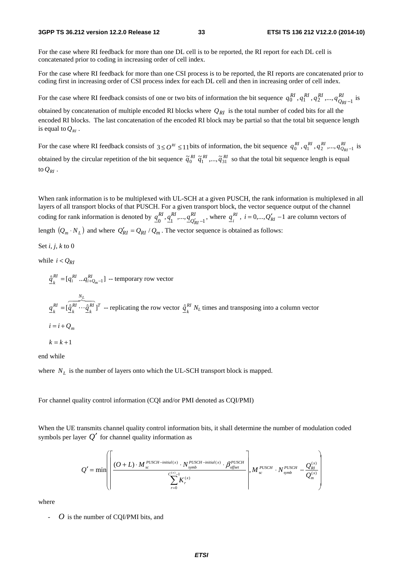#### **3GPP TS 36.212 version 12.2.0 Release 12 33 ETSI TS 136 212 V12.2.0 (2014-10)**

For the case where RI feedback for more than one DL cell is to be reported, the RI report for each DL cell is concatenated prior to coding in increasing order of cell index.

For the case where RI feedback for more than one CSI process is to be reported, the RI reports are concatenated prior to coding first in increasing order of CSI process index for each DL cell and then in increasing order of cell index.

For the case where RI feedback consists of one or two bits of information the bit sequence  $q_0^{RI}$ ,  $q_1^{RI}$ ,  $q_2^{RI}$ ,...,  $q_{Q_R}^{RI}$  $q_0^{RI}$ ,  $q_1^{RI}$ ,  $q_2^{RI}$ , ...,  $q_{Q_{RI}-1}^{RI}$  is

obtained by concatenation of multiple encoded RI blocks where  $Q_{RI}$  is the total number of coded bits for all the encoded RI blocks. The last concatenation of the encoded RI block may be partial so that the total bit sequence length is equal to  $Q_{\text{RI}}$ .

For the case where RI feedback consists of  $3 \leq O^{RI} \leq 11$  bits of information, the bit sequence  $q_0^{RI}$ ,  $q_1^{RI}$ ,  $q_2^{RI}$ , ...,  $q_{Q_{RI}-1}^{RI}$  is obtained by the circular repetition of the bit sequence  $\tilde{q}_0^{RI}$   $\tilde{q}_1^{RI}$  ,...,  $\tilde{q}_3^{RI}$  so that the total bit sequence length is equal to  $Q_{RI}$ .

When rank information is to be multiplexed with UL-SCH at a given PUSCH, the rank information is multiplexed in all layers of all transport blocks of that PUSCH. For a given transport block, the vector sequence output of the channel coding for rank information is denoted by  $q_0^{RI}$ ,  $q_1^{RI}$ , ...,  $q_{Q'_l}^{RI}$ *RIRI*  $\underline{q}_0^{RI}, \underline{q}_1^{RI}, \dots, \underline{q}_{Q'_{RI}-1}^{RI}$ , where  $\underline{q}_i^{RI}$ ,  $i = 0, \dots, Q'_{RI}-1$  are column vectors of length  $(Q_m \cdot N_L)$  and where  $Q'_{RI} = Q_{RI} / Q_m$ . The vector sequence is obtained as follows:

Set 
$$
i, j, k
$$
 to  $0$ 

while  $i < Q_{RI}$ 

 $\frac{\hat{q}_k^{RI}}{k} = [q_i^{RI} \dots q_{i+Q_m-1}^{RI}]$  -- temporary row vector

$$
q_k^{RI} = [\hat{q}_k^{RI} \cdots \hat{q}_k^{RI}]^T
$$
 -- replicating the row vector  $\hat{q}_k^{RI} N_L$  times and transposing into a column vector  
 $i = i + Q_m$   
 $k = k + 1$ 

end while

where  $N_L$  is the number of layers onto which the UL-SCH transport block is mapped.

For channel quality control information (CQI and/or PMI denoted as CQI/PMI)

When the UE transmits channel quality control information bits, it shall determine the number of modulation coded symbols per layer  $Q'$  for channel quality information as

$$
Q' = \min \left( \frac{(O+L) \cdot M_{sc}^{PUSCH - initial(x)} \cdot N_{symb}^{PUSCH - initial(x)} \cdot \beta_{\text{offset}}^{PUSCH}}{\sum_{r=0}^{C^{(x)}-1} K_{r}^{(x)}} \right), M_{sc}^{PUSCH} \cdot N_{symb}^{PUSCH} - \frac{Q_{RI}^{(x)}}{Q_{m}^{(x)}} \right)
$$

where

- *O* is the number of CQI/PMI bits, and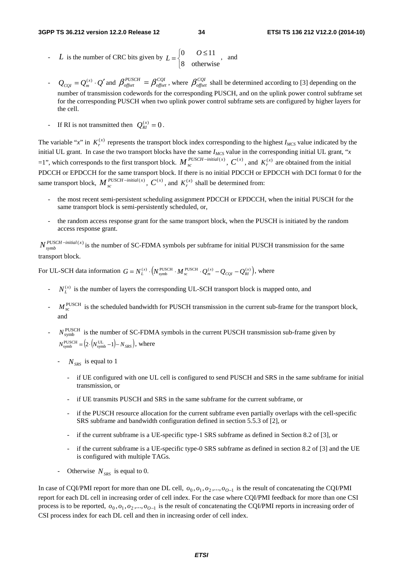- *L* is the number of CRC bits given by  $\overline{a}$  $L = \begin{cases} 0 & O \le 11 \\ 8 & \text{otherwise} \end{cases}$ , and
- $Q_{CQI} = Q_m^{(x)} \cdot Q'$  and  $\beta_{offset}^{PUSCH} = \beta_{offset}^{CQI}$  $\beta_{offset}^{PUSCH} = \beta_{offset}^{CQI}$ , where  $\beta_{offset}^{CQI}$  shall be determined according to [3] depending on the number of transmission codewords for the corresponding PUSCH, and on the uplink power control subframe set for the corresponding PUSCH when two uplink power control subframe sets are configured by higher layers for the cell.
- If RI is not transmitted then  $Q_{RI}^{(x)} = 0$ .

The variable "*x*" in  $K_r^{(x)}$  represents the transport block index corresponding to the highest  $I_{MCS}$  value indicated by the initial UL grant. In case the two transport blocks have the same  $I_{MCS}$  value in the corresponding initial UL grant, " $x$  $=1$ ", which corresponds to the first transport block.  $M_{sc}^{PUSCH - initial(x)}$ ,  $C^{(x)}$ , and  $K_r^{(x)}$  are obtained from the initial PDCCH or EPDCCH for the same transport block. If there is no initial PDCCH or EPDCCH with DCI format 0 for the same transport block,  $M_{sc}^{PUSCH - initial(x)}$ ,  $C^{(x)}$ , and  $K_r^{(x)}$  shall be determined from:

- the most recent semi-persistent scheduling assignment PDCCH or EPDCCH, when the initial PUSCH for the same transport block is semi-persistently scheduled, or,
- the random access response grant for the same transport block, when the PUSCH is initiated by the random access response grant.

 $N_{symbol}^{PUSCH - initial(x)}$  is the number of SC-FDMA symbols per subframe for initial PUSCH transmission for the same transport block.

For UL-SCH data information  $G = N_L^{(x)} \cdot \left( N_{\text{symbol}}^{\text{PUSCH}} \cdot M_{\text{sc}}^{\text{PUSCH}} \cdot Q_m^{(x)} - Q_{CQI} - Q_{RI}^{(x)} \right)$ , where

- $N_L^{(x)}$  is the number of layers the corresponding UL-SCH transport block is mapped onto, and
- $M_{\rm sc}^{\rm PUSCH}$  is the scheduled bandwidth for PUSCH transmission in the current sub-frame for the transport block, and
- $N_{\text{swmb}}^{\text{PUSCH}}$  is the number of SC-FDMA symbols in the current PUSCH transmission sub-frame given by  $N_{\text{symbol}}^{\text{PUSCH}} = (2 \cdot (N_{\text{symbol}}^{\text{UL}} - 1) - N_{SRS})$ , where
	- $N_{SRS}$  is equal to 1
		- if UE configured with one UL cell is configured to send PUSCH and SRS in the same subframe for initial transmission, or
		- if UE transmits PUSCH and SRS in the same subframe for the current subframe, or
		- if the PUSCH resource allocation for the current subframe even partially overlaps with the cell-specific SRS subframe and bandwidth configuration defined in section 5.5.3 of [2], or
		- if the current subframe is a UE-specific type-1 SRS subframe as defined in Section 8.2 of [3], or
		- if the current subframe is a UE-specific type-0 SRS subframe as defined in section 8.2 of [3] and the UE is configured with multiple TAGs.
	- Otherwise  $N_{SRS}$  is equal to 0.

In case of CQI/PMI report for more than one DL cell,  $o_0$ ,  $o_1$ ,  $o_2$ ,...,  $o_{0-1}$  is the result of concatenating the CQI/PMI report for each DL cell in increasing order of cell index. For the case where CQI/PMI feedback for more than one CSI process is to be reported,  $o_0$ ,  $o_1$ ,  $o_2$ ,...,  $o_{0-1}$  is the result of concatenating the CQI/PMI reports in increasing order of CSI process index for each DL cell and then in increasing order of cell index.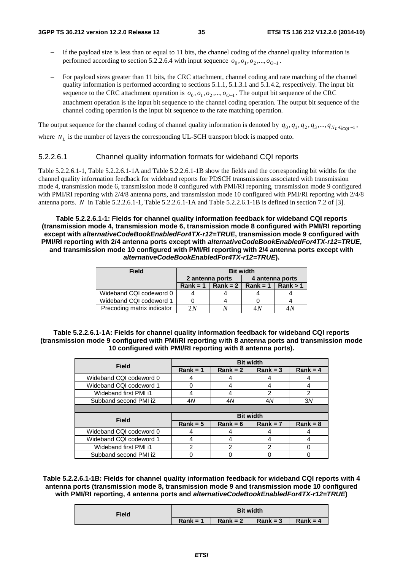- If the payload size is less than or equal to 11 bits, the channel coding of the channel quality information is performed according to section 5.2.2.6.4 with input sequence  $o_0$ ,  $o_1$ ,  $o_2$ ,  $o_2$ ,  $o_3$
- For payload sizes greater than 11 bits, the CRC attachment, channel coding and rate matching of the channel quality information is performed according to sections 5.1.1, 5.1.3.1 and 5.1.4.2, respectively. The input bit sequence to the CRC attachment operation is  $o_0$ ,  $o_1$ ,  $o_2$ , ...,  $o_{0-1}$ . The output bit sequence of the CRC attachment operation is the input bit sequence to the channel coding operation. The output bit sequence of the channel coding operation is the input bit sequence to the rate matching operation.

The output sequence for the channel coding of channel quality information is denoted by  $q_0, q_1, q_2, q_3, ..., q_{N_L}$  *Q<sub>COI</sub>* -1</sub>, where  $N_L$  is the number of layers the corresponding UL-SCH transport block is mapped onto.

#### 5.2.2.6.1 Channel quality information formats for wideband CQI reports

Table 5.2.2.6.1-1, Table 5.2.2.6.1-1A and Table 5.2.2.6.1-1B show the fields and the corresponding bit widths for the channel quality information feedback for wideband reports for PDSCH transmissions associated with transmission mode 4, transmission mode 6, transmission mode 8 configured with PMI/RI reporting, transmission mode 9 configured with PMI/RI reporting with 2/4/8 antenna ports, and transmission mode 10 configured with PMI/RI reporting with 2/4/8 antenna ports. *N* in Table 5.2.2.6.1-1, Table 5.2.2.6.1-1A and Table 5.2.2.6.1-1B is defined in section 7.2 of [3].

**Table 5.2.2.6.1-1: Fields for channel quality information feedback for wideband CQI reports (transmission mode 4, transmission mode 6, transmission mode 8 configured with PMI/RI reporting except with** *alternativeCodeBookEnabledFor4TX-r12=TRUE***, transmission mode 9 configured with PMI/RI reporting with 2/4 antenna ports except with** *alternativeCodeBookEnabledFor4TX-r12=TRUE***, and transmission mode 10 configured with PMI/RI reporting with 2/4 antenna ports except with**  *alternativeCodeBookEnabledFor4TX-r12=TRUE***).** 

| <b>Field</b>               | <b>Bit width</b> |            |                 |          |
|----------------------------|------------------|------------|-----------------|----------|
|                            | 2 antenna ports  |            | 4 antenna ports |          |
|                            | $Rank = 1$       | $Rank = 2$ | Rank = $1 \mid$ | Rank > 1 |
| Wideband CQI codeword 0    |                  |            |                 |          |
| Wideband CQI codeword 1    |                  |            |                 |          |
| Precoding matrix indicator | 2N               |            | 4 N             | 4N       |

**Table 5.2.2.6.1-1A: Fields for channel quality information feedback for wideband CQI reports (transmission mode 9 configured with PMI/RI reporting with 8 antenna ports and transmission mode 10 configured with PMI/RI reporting with 8 antenna ports).** 

| <b>Field</b>            | <b>Bit width</b> |            |               |            |  |
|-------------------------|------------------|------------|---------------|------------|--|
|                         | $Rank = 1$       | $Rank = 2$ | $Rank = 3$    | $Rank = 4$ |  |
| Wideband CQI codeword 0 |                  |            |               |            |  |
| Wideband CQI codeword 1 | ი                | 4          |               |            |  |
| Wideband first PMI i1   | 4                | 4          | $\mathcal{P}$ | 2          |  |
| Subband second PMI i2   | 4N               | 4N         | 4N            | 3N         |  |
|                         |                  |            |               |            |  |
| <b>Field</b>            | <b>Bit width</b> |            |               |            |  |
|                         | $Rank = 5$       | $Rank = 6$ | $Rank = 7$    | $Rank = 8$ |  |
| Wideband CQI codeword 0 | 4                | 4          |               |            |  |
| Wideband CQI codeword 1 | 4                | 4          |               |            |  |
| Wideband first PMI i1   | 2                | 2          | 2             |            |  |
| Subband second PMI i2   |                  |            |               |            |  |

**Table 5.2.2.6.1-1B: Fields for channel quality information feedback for wideband CQI reports with 4 antenna ports (transmission mode 8, transmission mode 9 and transmission mode 10 configured with PMI/RI reporting, 4 antenna ports and** *alternativeCodeBookEnabledFor4TX-r12=TRUE***)** 

| Field | <b>Bit width</b> |            |            |            |  |
|-------|------------------|------------|------------|------------|--|
|       | $Rank = 1$       | $Rank = 2$ | $Rank = 3$ | $Rank = 4$ |  |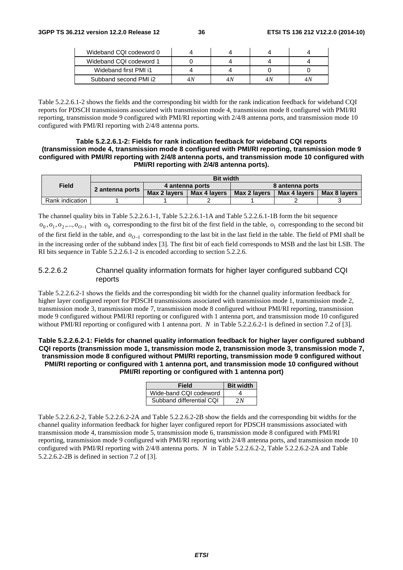| Wideband CQI codeword 0 |    |     |  |
|-------------------------|----|-----|--|
| Wideband CQI codeword 1 |    |     |  |
| Wideband first PMI i1   |    |     |  |
| Subband second PMI i2   | 4Ν | 4 N |  |

Table 5.2.2.6.1-2 shows the fields and the corresponding bit width for the rank indication feedback for wideband CQI reports for PDSCH transmissions associated with transmission mode 4, transmission mode 8 configured with PMI/RI reporting, transmission mode 9 configured with PMI/RI reporting with 2/4/8 antenna ports, and transmission mode 10 configured with PMI/RI reporting with 2/4/8 antenna ports.

## **Table 5.2.2.6.1-2: Fields for rank indication feedback for wideband CQI reports (transmission mode 4, transmission mode 8 configured with PMI/RI reporting, transmission mode 9 configured with PMI/RI reporting with 2/4/8 antenna ports, and transmission mode 10 configured with PMI/RI reporting with 2/4/8 antenna ports).**

|                 | <b>Bit width</b> |              |                 |              |                 |              |  |
|-----------------|------------------|--------------|-----------------|--------------|-----------------|--------------|--|
| <b>Field</b>    |                  |              | 4 antenna ports |              | 8 antenna ports |              |  |
|                 | 2 antenna ports  | Max 2 lavers | Max 4 lavers    | Max 2 lavers | Max 4 lavers    | Max 8 lavers |  |
| Rank indication |                  |              |                 |              |                 |              |  |

The channel quality bits in Table 5.2.2.6.1-1, Table 5.2.2.6.1-1A and Table 5.2.2.6.1-1B form the bit sequence  $o_0$ ,  $o_1$ ,  $o_2$ ,...,  $o_{0-1}$  with  $o_0$  corresponding to the first bit of the first field in the table,  $o_1$  corresponding to the second bit of the first field in the table, and *O*−<sup>1</sup> *o* corresponding to the last bit in the last field in the table. The field of PMI shall be in the increasing order of the subband index [3]. The first bit of each field corresponds to MSB and the last bit LSB. The RI bits sequence in Table 5.2.2.6.1-2 is encoded according to section 5.2.2.6.

## 5.2.2.6.2 Channel quality information formats for higher layer configured subband CQI reports

Table 5.2.2.6.2-1 shows the fields and the corresponding bit width for the channel quality information feedback for higher layer configured report for PDSCH transmissions associated with transmission mode 1, transmission mode 2, transmission mode 3, transmission mode 7, transmission mode 8 configured without PMI/RI reporting, transmission mode 9 configured without PMI/RI reporting or configured with 1 antenna port, and transmission mode 10 configured without PMI/RI reporting or configured with 1 antenna port. *N* in Table 5.2.2.6.2-1 is defined in section 7.2 of [3].

## **Table 5.2.2.6.2-1: Fields for channel quality information feedback for higher layer configured subband CQI reports (transmission mode 1, transmission mode 2, transmission mode 3, transmission mode 7, transmission mode 8 configured without PMI/RI reporting, transmission mode 9 configured without PMI/RI reporting or configured with 1 antenna port, and transmission mode 10 configured without PMI/RI reporting or configured with 1 antenna port)**

| <b>Field</b>             | <b>Bit width</b> |
|--------------------------|------------------|
| Wide-band CQI codeword   |                  |
| Subband differential COI | 2N               |

Table 5.2.2.6.2-2, Table 5.2.2.6.2-2A and Table 5.2.2.6.2-2B show the fields and the corresponding bit widths for the channel quality information feedback for higher layer configured report for PDSCH transmissions associated with transmission mode 4, transmission mode 5, transmission mode 6, transmission mode 8 configured with PMI/RI reporting, transmission mode 9 configured with PMI/RI reporting with 2/4/8 antenna ports, and transmission mode 10 configured with PMI/RI reporting with 2/4/8 antenna ports. *N* in Table 5.2.2.6.2-2, Table 5.2.2.6.2-2A and Table 5.2.2.6.2-2B is defined in section 7.2 of [3].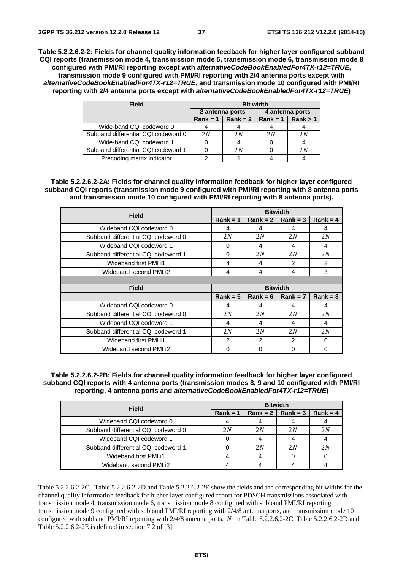**Table 5.2.2.6.2-2: Fields for channel quality information feedback for higher layer configured subband CQI reports (transmission mode 4, transmission mode 5, transmission mode 6, transmission mode 8 configured with PMI/RI reporting except with** *alternativeCodeBookEnabledFor4TX-r12=TRUE***, transmission mode 9 configured with PMI/RI reporting with 2/4 antenna ports except with**  *alternativeCodeBookEnabledFor4TX-r12=TRUE***, and transmission mode 10 configured with PMI/RI reporting with 2/4 antenna ports except with** *alternativeCodeBookEnabledFor4TX-r12=TRUE***)** 

| Field                               | <b>Bit width</b> |                                |                 |          |  |
|-------------------------------------|------------------|--------------------------------|-----------------|----------|--|
|                                     |                  | 2 antenna ports                | 4 antenna ports |          |  |
|                                     |                  | Rank = 1   Rank = 2   Rank = 1 |                 | Rank > 1 |  |
| Wide-band CQI codeword 0            |                  |                                |                 |          |  |
| Subband differential CQI codeword 0 | 2N               | 2N                             | 2N              | 2 N      |  |
| Wide-band CQI codeword 1            |                  |                                |                 |          |  |
| Subband differential CQI codeword 1 |                  | 2N                             |                 | 2N       |  |
| Precoding matrix indicator          |                  |                                |                 |          |  |

**Table 5.2.2.6.2-2A: Fields for channel quality information feedback for higher layer configured subband CQI reports (transmission mode 9 configured with PMI/RI reporting with 8 antenna ports and transmission mode 10 configured with PMI/RI reporting with 8 antenna ports).** 

| <b>Field</b>                        | <b>Bitwidth</b> |                 |            |                |  |
|-------------------------------------|-----------------|-----------------|------------|----------------|--|
|                                     | $Rank = 1$      | $Rank = 2$      | $Rank = 3$ | $Rank = 4$     |  |
| Wideband CQI codeword 0             | 4               | 4               | 4          | 4              |  |
| Subband differential CQI codeword 0 | 2N              | 2N              | 2N         | 2N             |  |
| Wideband CQI codeword 1             | 0               | 4               | 4          | 4              |  |
| Subband differential COI codeword 1 | $\Omega$        | 2N              | 2N         | 2N             |  |
| Wideband first PMI i1               | 4               | 4               | 2          | $\mathfrak{p}$ |  |
| Wideband second PMI i2              | 4               | 4               | 4          | 3              |  |
|                                     |                 |                 |            |                |  |
| <b>Field</b>                        |                 | <b>Bitwidth</b> |            |                |  |
|                                     | $Rank = 5$      | $Rank = 6$      | $Rank = 7$ | $Rank = 8$     |  |
| Wideband CQI codeword 0             | 4               | 4               | 4          | 4              |  |
| Subband differential CQI codeword 0 | 2N              | 2N              | 2N         | 2N             |  |
| Wideband CQI codeword 1             | 4               | 4               | 4          | 4              |  |
| Subband differential CQI codeword 1 | 2N              | 2N              | 2N         | 2N             |  |
| Wideband first PMI i1               | $\mathcal{P}$   | $\mathcal{P}$   | 2          | 0              |  |
| Wideband second PMI i2              | $\Omega$        | $\Omega$        | $\Omega$   | $\Omega$       |  |

**Table 5.2.2.6.2-2B: Fields for channel quality information feedback for higher layer configured subband CQI reports with 4 antenna ports (transmission modes 8, 9 and 10 configured with PMI/RI reporting, 4 antenna ports and** *alternativeCodeBookEnabledFor4TX-r12=TRUE***)** 

| <b>Field</b>                        | <b>Bitwidth</b> |    |                          |            |  |  |
|-------------------------------------|-----------------|----|--------------------------|------------|--|--|
|                                     | $Rank = 1$      |    | Rank = $2 \mid$ Rank = 3 | $Rank = 4$ |  |  |
| Wideband CQI codeword 0             |                 |    |                          |            |  |  |
| Subband differential CQI codeword 0 | 2N              | 2N | 2N                       | 2N         |  |  |
| Wideband CQI codeword 1             |                 |    |                          |            |  |  |
| Subband differential CQI codeword 1 |                 | 2N | 2N                       | 2N         |  |  |
| Wideband first PMI i1               |                 |    |                          |            |  |  |
| Wideband second PMI i2              |                 |    |                          |            |  |  |

Table 5.2.2.6.2-2C, Table 5.2.2.6.2-2D and Table 5.2.2.6.2-2E show the fields and the corresponding bit widths for the channel quality information feedback for higher layer configured report for PDSCH transmissions associated with transmission mode 4, transmission mode 6, transmission mode 8 configured with subband PMI/RI reporting, transmission mode 9 configured with subband PMI/RI reporting with 2/4/8 antenna ports, and transmission mode 10 configured with subband PMI/RI reporting with 2/4/8 antenna ports. *N* in Table 5.2.2.6.2-2C, Table 5.2.2.6.2-2D and Table 5.2.2.6.2-2E is defined in section 7.2 of [3].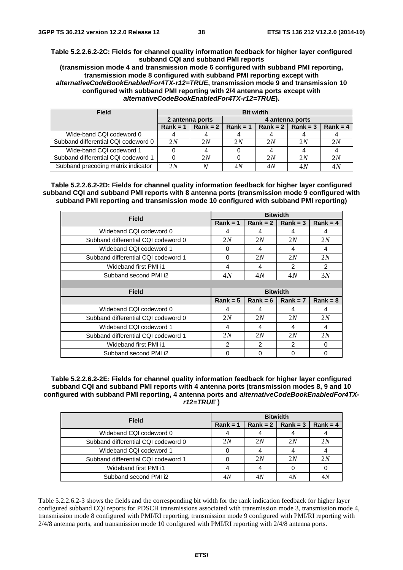**Table 5.2.2.6.2-2C: Fields for channel quality information feedback for higher layer configured subband CQI and subband PMI reports** 

**(transmission mode 4 and transmission mode 6 configured with subband PMI reporting, transmission mode 8 configured with subband PMI reporting except with**  *alternativeCodeBookEnabledFor4TX-r12=TRUE***, transmission mode 9 and transmission 10 configured with subband PMI reporting with 2/4 antenna ports except with**  *alternativeCodeBookEnabledFor4TX-r12=TRUE***).** 

| <b>Field</b>                        | <b>Bit width</b> |                  |            |                     |    |            |  |
|-------------------------------------|------------------|------------------|------------|---------------------|----|------------|--|
|                                     | 2 antenna ports  |                  |            | 4 antenna ports     |    |            |  |
|                                     | $Rank = 1$       | $\vert$ Rank = 2 | $Rank = 1$ | $Rank = 2$ Rank = 3 |    | $Rank = 4$ |  |
| Wide-band CQI codeword 0            |                  |                  |            |                     |    |            |  |
| Subband differential CQI codeword 0 | 2N               | 2N               | 2N         | 2N                  | 2N | 2N         |  |
| Wide-band CQI codeword 1            |                  |                  |            |                     |    |            |  |
| Subband differential CQI codeword 1 | 0                | 2N               |            | 2N                  | 2N | 2N         |  |
| Subband precoding matrix indicator  | 2N               |                  | 4N         | 4N                  | 4N | $4\lambda$ |  |

**Table 5.2.2.6.2-2D: Fields for channel quality information feedback for higher layer configured subband CQI and subband PMI reports with 8 antenna ports (transmission mode 9 configured with subband PMI reporting and transmission mode 10 configured with subband PMI reporting)** 

| Field                               |               |               | <b>Bitwidth</b> |               |
|-------------------------------------|---------------|---------------|-----------------|---------------|
|                                     | $Rank = 1$    | $Rank = 2$    | $Rank = 3$      | $Rank = 4$    |
| Wideband CQI codeword 0             | 4             | 4             | 4               | 4             |
| Subband differential CQI codeword 0 | 2N            | 2N            | 2N              | 2N            |
| Wideband CQI codeword 1             | 0             | 4             | 4               | 4             |
| Subband differential COI codeword 1 | 0             | 2N            | 2N              | 2N            |
| Wideband first PMI i1               | 4             | 4             | $\mathcal{P}$   | $\mathcal{P}$ |
| Subband second PMI i2               | 4N            | 4N            | 4N              | 3N            |
|                                     |               |               |                 |               |
| Field                               |               |               | <b>Bitwidth</b> |               |
|                                     | $Rank = 5$    | $Rank = 6$    | $Rank = 7$      | $Rank = 8$    |
| Wideband CQI codeword 0             | 4             | 4             | 4               | 4             |
| Subband differential CQI codeword 0 | 2N            | 2N            | 2N              | 2N            |
| Wideband CQI codeword 1             | 4             | 4             | 4               | 4             |
| Subband differential COI codeword 1 | 2N            | 2N            | 2N              | 2N            |
| Wideband first PMI i1               | $\mathcal{P}$ | $\mathcal{P}$ | $\mathcal{P}$   | 0             |
| Subband second PMI i2               | 0             | $\Omega$      | $\Omega$        | $\Omega$      |

**Table 5.2.2.6.2-2E: Fields for channel quality information feedback for higher layer configured subband CQI and subband PMI reports with 4 antenna ports (transmission modes 8, 9 and 10 configured with subband PMI reporting, 4 antenna ports and** *alternativeCodeBookEnabledFor4TXr12=TRUE* **)** 

| <b>Field</b>                        | <b>Bitwidth</b> |     |                          |            |  |
|-------------------------------------|-----------------|-----|--------------------------|------------|--|
|                                     | $Rank = 1$      |     | Rank = $2 \mid$ Rank = 3 | $Rank = 4$ |  |
| Wideband CQI codeword 0             |                 |     |                          |            |  |
| Subband differential CQI codeword 0 | 2N              | 2N  | 2N                       | 2N         |  |
| Wideband CQI codeword 1             |                 |     |                          |            |  |
| Subband differential CQI codeword 1 |                 | 2N  | 2N                       | 2N         |  |
| Wideband first PMI i1               |                 |     |                          |            |  |
| Subband second PMI i2               | 4 N             | 4 A |                          | 4Ν         |  |

Table 5.2.2.6.2-3 shows the fields and the corresponding bit width for the rank indication feedback for higher layer configured subband CQI reports for PDSCH transmissions associated with transmission mode 3, transmission mode 4, transmission mode 8 configured with PMI/RI reporting, transmission mode 9 configured with PMI/RI reporting with 2/4/8 antenna ports, and transmission mode 10 configured with PMI/RI reporting with 2/4/8 antenna ports.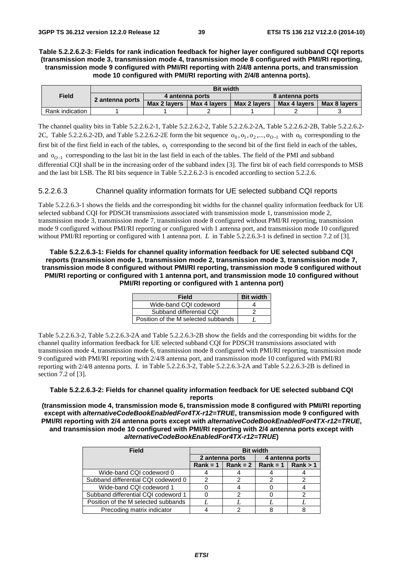## **Table 5.2.2.6.2-3: Fields for rank indication feedback for higher layer configured subband CQI reports (transmission mode 3, transmission mode 4, transmission mode 8 configured with PMI/RI reporting, transmission mode 9 configured with PMI/RI reporting with 2/4/8 antenna ports, and transmission mode 10 configured with PMI/RI reporting with 2/4/8 antenna ports).**

|                 | <b>Bit width</b> |                                    |              |              |              |              |
|-----------------|------------------|------------------------------------|--------------|--------------|--------------|--------------|
| <b>Field</b>    | 2 antenna ports  | 8 antenna ports<br>4 antenna ports |              |              |              |              |
|                 |                  | Max 2 lavers                       | Max 4 lavers | Max 2 lavers | Max 4 lavers | Max 8 lavers |
| Rank indication |                  |                                    |              |              |              |              |

The channel quality bits in Table 5.2.2.6.2-1, Table 5.2.2.6.2-2, Table 5.2.2.6.2-2A, Table 5.2.2.6.2-2B, Table 5.2.2.6.2- 2C, Table 5.2.2.6.2-2D, and Table 5.2.2.6.2-2E form the bit sequence  $o_0, o_1, o_2, ..., o_{O-1}$  with  $o_0$  corresponding to the

first bit of the first field in each of the tables,  $o_1$  corresponding to the second bit of the first field in each of the tables,

and *O*−<sup>1</sup> *o* corresponding to the last bit in the last field in each of the tables. The field of the PMI and subband differential CQI shall be in the increasing order of the subband index [3]. The first bit of each field corresponds to MSB and the last bit LSB. The RI bits sequence in Table 5.2.2.6.2-3 is encoded according to section 5.2.2.6.

## 5.2.2.6.3 Channel quality information formats for UE selected subband CQI reports

Table 5.2.2.6.3-1 shows the fields and the corresponding bit widths for the channel quality information feedback for UE selected subband CQI for PDSCH transmissions associated with transmission mode 1, transmission mode 2, transmission mode 3, transmission mode 7, transmission mode 8 configured without PMI/RI reporting, transmission mode 9 configured without PMI/RI reporting or configured with 1 antenna port, and transmission mode 10 configured without PMI/RI reporting or configured with 1 antenna port. *L* in Table 5.2.2.6.3-1 is defined in section 7.2 of [3].

**Table 5.2.2.6.3-1: Fields for channel quality information feedback for UE selected subband CQI reports (transmission mode 1, transmission mode 2, transmission mode 3, transmission mode 7, transmission mode 8 configured without PMI/RI reporting, transmission mode 9 configured without PMI/RI reporting or configured with 1 antenna port, and transmission mode 10 configured without PMI/RI reporting or configured with 1 antenna port)** 

| <b>Field</b>                        | <b>Bit width</b> |
|-------------------------------------|------------------|
| Wide-band CQI codeword              |                  |
| Subband differential CQI            |                  |
| Position of the M selected subbands |                  |

Table 5.2.2.6.3-2, Table 5.2.2.6.3-2A and Table 5.2.2.6.3-2B show the fields and the corresponding bit widths for the channel quality information feedback for UE selected subband CQI for PDSCH transmissions associated with transmission mode 4, transmission mode 6, transmission mode 8 configured with PMI/RI reporting, transmission mode 9 configured with PMI/RI reporting with 2/4/8 antenna port, and transmission mode 10 configured with PMI/RI reporting with 2/4/8 antenna ports. *L* in Table 5.2.2.6.3-2, Table 5.2.2.6.3-2A and Table 5.2.2.6.3-2B is defined in section 7.2 of [3].

## **Table 5.2.2.6.3-2: Fields for channel quality information feedback for UE selected subband CQI reports**

**(transmission mode 4, transmission mode 6, transmission mode 8 configured with PMI/RI reporting except with** *alternativeCodeBookEnabledFor4TX-r12=TRUE***, transmission mode 9 configured with PMI/RI reporting with 2/4 antenna ports except with** *alternativeCodeBookEnabledFor4TX-r12=TRUE***, and transmission mode 10 configured with PMI/RI reporting with 2/4 antenna ports except with**  *alternativeCodeBookEnabledFor4TX-r12=TRUE***)** 

| <b>Field</b>                        | <b>Bit width</b> |                                           |                 |  |  |
|-------------------------------------|------------------|-------------------------------------------|-----------------|--|--|
|                                     | 2 antenna ports  |                                           | 4 antenna ports |  |  |
|                                     |                  | Rank = 1   Rank = 2   Rank = 1   Rank > 1 |                 |  |  |
| Wide-band CQI codeword 0            |                  |                                           |                 |  |  |
| Subband differential CQI codeword 0 |                  |                                           |                 |  |  |
| Wide-band CQI codeword 1            |                  |                                           |                 |  |  |
| Subband differential CQI codeword 1 |                  |                                           |                 |  |  |
| Position of the M selected subbands |                  |                                           |                 |  |  |
| Precoding matrix indicator          |                  |                                           |                 |  |  |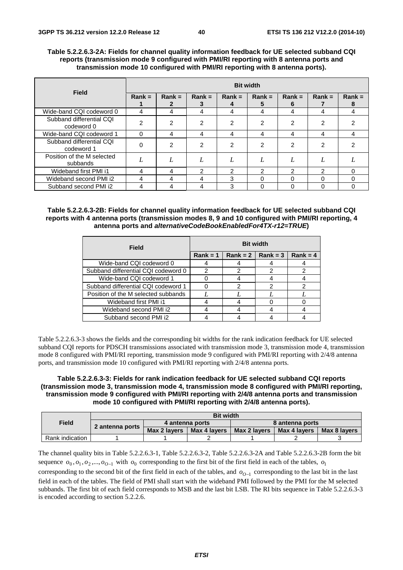## **Table 5.2.2.6.3-2A: Fields for channel quality information feedback for UE selected subband CQI reports (transmission mode 9 configured with PMI/RI reporting with 8 antenna ports and transmission mode 10 configured with PMI/RI reporting with 8 antenna ports).**

| <b>Field</b>                           | <b>Bit width</b> |                |                |                |               |               |          |          |  |  |
|----------------------------------------|------------------|----------------|----------------|----------------|---------------|---------------|----------|----------|--|--|
|                                        | $Rank =$         | $Rank =$       | $Rank =$       | $Rank =$       | $Rank =$      | $Rank =$<br>6 | $Rank =$ | $Rank =$ |  |  |
| Wide-band CQI codeword 0               | 4                | 4              | 4              | 4              | 4             | 4             | 4        | 4        |  |  |
| Subband differential CQI<br>codeword 0 | っ                | $\overline{2}$ | $\overline{2}$ | 2              | 2             | 2             | 2        | ົ        |  |  |
| Wide-band CQI codeword 1               | 0                | 4              | 4              | 4              | 4             | 4             | 4        | 4        |  |  |
| Subband differential COI<br>codeword 1 | 0                | 2              | $\mathcal{P}$  | $\overline{2}$ | $\mathcal{P}$ | 2             | 2        |          |  |  |
| Position of the M selected<br>subbands | L                | 1,             | L              | L              |               |               |          |          |  |  |
| Wideband first PMI i1                  | 4                | 4              | າ              | າ              | っ             | 2             | っ        | $\Omega$ |  |  |
| Wideband second PMI i2                 | 4                | 4              | 4              | 3              | $\Omega$      | $\Omega$      | $\Omega$ | $\Omega$ |  |  |
| Subband second PMI i2                  | 4                | 4              | 4              | 3              | O             | $\Omega$      | $\Omega$ | 0        |  |  |

## **Table 5.2.2.6.3-2B: Fields for channel quality information feedback for UE selected subband CQI reports with 4 antenna ports (transmission modes 8, 9 and 10 configured with PMI/RI reporting, 4 antenna ports and** *alternativeCodeBookEnabledFor4TX-r12=TRUE***)**

| Field                               | <b>Bit width</b> |   |                          |            |  |  |
|-------------------------------------|------------------|---|--------------------------|------------|--|--|
|                                     | $Rank = 1$       |   | Rank = $2 \mid$ Rank = 3 | $Rank = 4$ |  |  |
| Wide-band CQI codeword 0            |                  |   |                          |            |  |  |
| Subband differential CQI codeword 0 | 2                | 2 | າ                        |            |  |  |
| Wide-band CQI codeword 1            |                  |   |                          |            |  |  |
| Subband differential CQI codeword 1 |                  | っ | 2                        |            |  |  |
| Position of the M selected subbands |                  |   |                          |            |  |  |
| Wideband first PMI i1               |                  |   |                          |            |  |  |
| Wideband second PMI i2              |                  |   |                          |            |  |  |
| Subband second PMI i2               |                  |   |                          |            |  |  |

Table 5.2.2.6.3-3 shows the fields and the corresponding bit widths for the rank indication feedback for UE selected subband CQI reports for PDSCH transmissions associated with transmission mode 3, transmission mode 4, transmission mode 8 configured with PMI/RI reporting, transmission mode 9 configured with PMI/RI reporting with 2/4/8 antenna ports, and transmission mode 10 configured with PMI/RI reporting with 2/4/8 antenna ports.

## **Table 5.2.2.6.3-3: Fields for rank indication feedback for UE selected subband CQI reports (transmission mode 3, transmission mode 4, transmission mode 8 configured with PMI/RI reporting, transmission mode 9 configured with PMI/RI reporting with 2/4/8 antenna ports and transmission mode 10 configured with PMI/RI reporting with 2/4/8 antenna ports).**

|                 | <b>Bit width</b> |              |                 |                 |              |              |  |  |  |  |
|-----------------|------------------|--------------|-----------------|-----------------|--------------|--------------|--|--|--|--|
| <b>Field</b>    | 2 antenna ports  |              | 4 antenna ports | 8 antenna ports |              |              |  |  |  |  |
|                 |                  | Max 2 lavers | Max 4 lavers    | Max 2 lavers    | Max 4 lavers | Max 8 lavers |  |  |  |  |
| Rank indication |                  |              |                 |                 |              |              |  |  |  |  |

The channel quality bits in Table 5.2.2.6.3-1, Table 5.2.2.6.3-2, Table 5.2.2.6.3-2A and Table 5.2.2.6.3-2B form the bit sequence  $o_0$ ,  $o_1$ ,  $o_2$ ,...,  $o_{0-1}$  with  $o_0$  corresponding to the first bit of the first field in each of the tables,  $o_1$ corresponding to the second bit of the first field in each of the tables, and *O*−<sup>1</sup> *o* corresponding to the last bit in the last field in each of the tables. The field of PMI shall start with the wideband PMI followed by the PMI for the M selected subbands. The first bit of each field corresponds to MSB and the last bit LSB. The RI bits sequence in Table 5.2.2.6.3-3 is encoded according to section 5.2.2.6.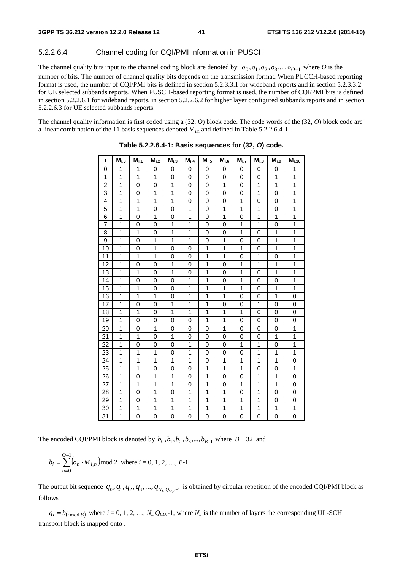## 5.2.2.6.4 Channel coding for CQI/PMI information in PUSCH

The channel quality bits input to the channel coding block are denoted by  $o_0, o_1, o_2, o_3, ..., o_{O-1}$  where *O* is the number of bits. The number of channel quality bits depends on the transmission format. When PUCCH-based reporting format is used, the number of CQI/PMI bits is defined in section 5.2.3.3.1 for wideband reports and in section 5.2.3.3.2 for UE selected subbands reports. When PUSCH-based reporting format is used, the number of CQI/PMI bits is defined in section 5.2.2.6.1 for wideband reports, in section 5.2.2.6.2 for higher layer configured subbands reports and in section 5.2.2.6.3 for UE selected subbands reports.

The channel quality information is first coded using a (32, *O*) block code. The code words of the (32, *O*) block code are a linear combination of the 11 basis sequences denoted  $M_{i,n}$  and defined in Table 5.2.2.6.4-1.

| i              | $M_{i,0}$      | $M_{i,1}$    | $M_{i,2}$      | M <sub>i.3</sub> | $M_{i,4}$      | $M_{i,5}$    | $M_{i,6}$      | $M_{i,7}$   | $M_{i,8}$    | $M_{i.9}$    | $M_{i,10}$     |
|----------------|----------------|--------------|----------------|------------------|----------------|--------------|----------------|-------------|--------------|--------------|----------------|
| 0              | 1              | 1            | 0              | 0                | 0              | 0            | 0              | 0           | 0            | 0            | 1              |
| 1              | 1              | 1            | 1              | 0                | 0              | 0            | 0              | 0           | 0            | 1            | 1              |
| $\overline{2}$ | 1              | 0            | $\mathbf 0$    | 1                | 0              | 0            | 1              | 0           | 1            | 1            | 1              |
| 3              | 1              | 0            | 1              | 1                | $\overline{0}$ | 0            | 0              | 0           | 1            | 0            | 1              |
| 4              | $\overline{1}$ | $\mathbf{1}$ | $\overline{1}$ | 1                | 0              | 0            | $\mathbf 0$    | 1           | 0            | 0            | $\overline{1}$ |
| 5              | 1              | $\mathbf{1}$ | $\mathbf 0$    | 0                | 1              | 0            | 1              | 1           | 1            | 0            | 1              |
| 6              | 1              | 0            | 1              | 0                | 1              | 0            | 1              | 0           | 1            | 1            | 1              |
| $\overline{7}$ | 1              | 0            | 0              | 1                | 1              | 0            | 0              | 1           | 1            | 0            | 1              |
| 8              | 1              | 1            | 0              | 1                | 1              | 0            | 0              | 1           | 0            | 1            | 1              |
| 9              | 1              | 0            | 1              | 1                | 1              | 0            | 1              | 0           | 0            | 1            | 1              |
| 10             | 1              | 0            | 1              | 0                | 0              | 1            | 1              | 1           | 0            | $\mathbf{1}$ | 1              |
| 11             | 1              | 1            | 1              | 0                | 0              | 1            | 1              | 0           | 1            | 0            | 1              |
| 12             | $\mathbf{1}$   | 0            | $\mathbf 0$    | 1                | 0              | 1            | 0              | 1           | 1            | 1            | 1              |
| 13             | 1              | 1            | 0              | 1                | 0              | 1            | 0              | 1           | 0            | $\mathbf{1}$ | $\overline{1}$ |
| 14             | 1              | 0            | $\mathbf 0$    | 0                | 1              | 1            | 0              | 1           | 0            | 0            | 1              |
| 15             | 1              | 1            | 0              | 0                | 1              | 1            | 1              | 1           | 0            | 1            | 1              |
| 16             | 1              | 1            | 1              | 0                | 1              | $\mathbf{1}$ | $\mathbf{1}$   | 0           | 0            | 1            | 0              |
| 17             | 1              | 0            | 0              | 1                | 1              | 1            | 0              | 0           | 1            | 0            | 0              |
| 18             | 1              | 1            | $\mathbf 0$    | 1                | 1              | $\mathbf{1}$ | 1              | 1           | 0            | 0            | 0              |
| 19             | 1              | 0            | 0              | 0                | 0              | 1            | 1              | 0           | 0            | 0            | 0              |
| 20             | 1              | 0            | 1              | 0                | 0              | 0            | $\overline{1}$ | 0           | 0            | 0            | 1              |
| 21             | 1              | 1            | 0              | 1                | 0              | 0            | 0              | 0           | 0            | 1            | 1              |
| 22             | 1              | 0            | $\mathbf 0$    | 0                | 1              | 0            | $\Omega$       | 1           | $\mathbf{1}$ | 0            | 1              |
| 23             | 1              | 1            | 1              | 0                | 1              | 0            | 0              | 0           | 1            | 1            | 1              |
| 24             | 1              | 1            | 1              | 1                | 1              | 0            | 1              | 1           | 1            | 1            | 0              |
| 25             | 1              | 1            | 0              | 0                | 0              | 1            | 1              | 1           | 0            | 0            | 1              |
| 26             | 1              | 0            | 1              | 1                | 0              | 1            | 0              | 0           | 1            | 1            | 0              |
| 27             | 1              | 1            | 1              | 1                | 0              | 1            | 0              | 1           | 1            | 1            | 0              |
| 28             | 1              | 0            | 1              | 0                | 1              | 1            | 1              | 0           | 1            | 0            | 0              |
| 29             | 1              | 0            | $\mathbf{1}$   | 1                | 1              | 1            | $\mathbf{1}$   | 1           | 1            | 0            | 0              |
| 30             | 1              | 1            | 1              | 1                | 1              | 1            | 1              | 1           | 1            | 1            | 1              |
| 31             | 1              | 0            | 0              | 0                | 0              | 0            | 0              | $\mathbf 0$ | 0            | 0            | $\overline{0}$ |

**Table 5.2.2.6.4-1: Basis sequences for (32,** *O***) code.** 

The encoded CQI/PMI block is denoted by  $b_0$ ,  $b_1$ ,  $b_2$ ,  $b_3$ ,...,  $b_{B-1}$  where  $B = 32$  and

$$
b_i = \sum_{n=0}^{O-1} (o_n \cdot M_{i,n}) \mod 2 \text{ where } i = 0, 1, 2, ..., B-1.
$$

The output bit sequence  $q_0, q_1, q_2, q_3, ..., q_{N_L}$  *q<sub>cqq</sub>* $-1$  is obtained by circular repetition of the encoded CQI/PMI block as follows

 $q_i = b_{(i \mod B)}$  where  $i = 0, 1, 2, ..., N_L \cdot Q_{CQI}$ -1, where  $N_L$  is the number of layers the corresponding UL-SCH sport block is mapped onto. transport block is mapped onto .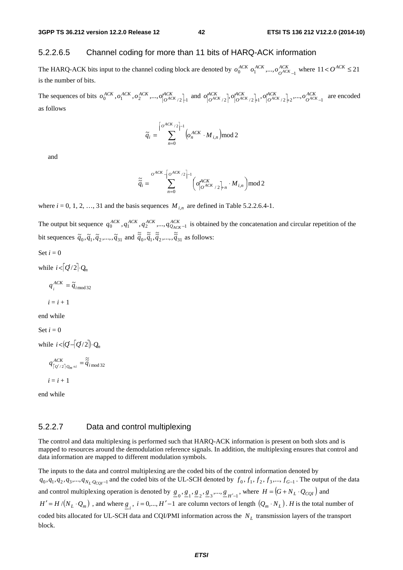## 5.2.2.6.5 Channel coding for more than 11 bits of HARQ-ACK information

The HARQ-ACK bits input to the channel coding block are denoted by  $o_0^{ACK}$   $o_1^{ACK}$ ,..., $o_{O^{ACK}}^{ACK}$  $o_0^{ACK}$   $o_1^{ACK}$ ,...,  $o_{O^{ACK}-1}^{ACK}$  where  $11 < O^{ACK} \le 21$ is the number of bits.

The sequences of bits  $o_0^{ACK}$ ,  $o_1^{ACK}$ ,  $o_2^{ACK}$ ,...,  $o_{[O^{ACK}/2]}^{ACK}$  and  $o_{[O^{ACK}/2]}^{ACK}$ ,  $o_{[O^{ACK}/2]}^{ACK}$ ,  $o_{[O^{ACK}/2]}^{ACK}$ ,  $o_{[O^{ACK}/2]}^{ACK}$ , ...,  $o_{[O^{ACK}/2]}^{ACK}$ *ACK O ACK O*  $\sigma_{\left[O^{ACK}/2\right]}^{ACK}$ ,  $\sigma_{\left[O^{ACK}/2\right]+1}^{ACK}$ ,  $\sigma_{\left[O^{ACK}/2\right]+2}^{ACK}$ ,  $\sigma_{\left[O^{ACK}-1\right]}^{ACK}$  are encoded as follows

$$
\widetilde{q}_i = \sum_{n=0}^{\left|o^{ACK}/2\right|-1} \left(o_n^{ACK} \cdot M_{i,n}\right) \mod 2
$$

and

$$
\widetilde{\widetilde{q}}_i = \sum_{n=0}^{O^{ACK}} \left[ O_{O^{ACK}/2}^{ACK} \right]^{-1} \left( O_{O^{ACK}/2}^{ACK} \right)_{n} \cdot M_{i,n} \mod 2
$$

where  $i = 0, 1, 2, \ldots, 31$  and the basis sequences  $M_{i,n}$  are defined in Table 5.2.2.6.4-1.

The output bit sequence  $q_0^{ACK}$ ,  $q_1^{ACK}$ ,  $q_2^{ACK}$ ,...,  $q_{Q_{ACK}}^{ACK-1}$  is obtained by the concatenation and circular repetition of the bit sequences  $\tilde{q}_0, \tilde{q}_1, \tilde{q}_2, ..., \tilde{q}_{31}$  and  $\tilde{\tilde{q}}_0, \tilde{\tilde{q}}_1, \tilde{\tilde{q}}_2, ..., \tilde{\tilde{q}}_{31}$  as follows:

Set  $i = 0$ 

while  $i < [Q/2] \cdot Q_n$ 

$$
q_i^{ACK} = \tilde{q}_{i \mod 32}
$$
  

$$
i = i + 1
$$

end while

$$
\operatorname{Set} i = 0
$$

while  $i < |Q - [Q/2] \cdot Q_m$ 

$$
q^{ACK}_{\lceil Q^{/2} \rceil Q_m + i} = \tilde{\tilde{q}}_{i \bmod 32}
$$

 $i = i + 1$ 

end while

## 5.2.2.7 Data and control multiplexing

The control and data multiplexing is performed such that HARQ-ACK information is present on both slots and is mapped to resources around the demodulation reference signals. In addition, the multiplexing ensures that control and data information are mapped to different modulation symbols.

The inputs to the data and control multiplexing are the coded bits of the control information denoted by  $q_0, q_1, q_2, q_3, \ldots, q_{N_L}$  *Q<sub>CQI</sub>* −1 and the coded bits of the UL-SCH denoted by  $f_0, f_1, f_2, f_3, \ldots, f_{G-1}$ . The output of the data and control multiplexing operation is denoted by  $\underline{g}_0$ ,  $\underline{g}_1$ ,  $\underline{g}_2$ ,  $\underline{g}_3$ ,...,  $\underline{g}_{H'-1}$ , where  $H = (G + N_L \cdot Q_{CQI})$  and  $H' = H/(N_L \cdot Q_m)$ , and where  $g_i$ ,  $i = 0,..., H'-1$  are column vectors of length  $(Q_m \cdot N_L)$ . *H* is the total number of coded bits allocated for UL-SCH data and CQI/PMI information across the  $N_L$  transmission layers of the transport block.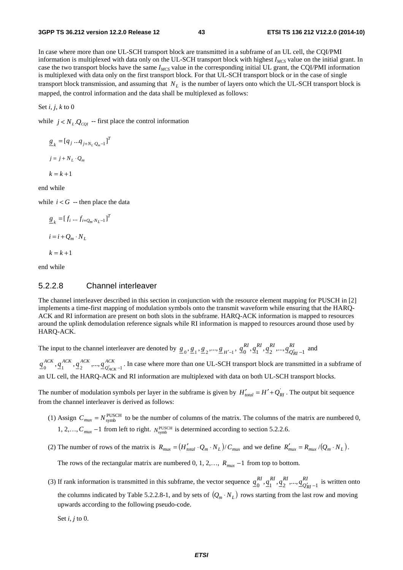In case where more than one UL-SCH transport block are transmitted in a subframe of an UL cell, the CQI/PMI information is multiplexed with data only on the UL-SCH transport block with highest *IMCS* value on the initial grant. In case the two transport blocks have the same *IMCS* value in the corresponding initial UL grant, the CQI/PMI information is multiplexed with data only on the first transport block. For that UL-SCH transport block or in the case of single transport block transmission, and assuming that  $N_L$  is the number of layers onto which the UL-SCH transport block is mapped, the control information and the data shall be multiplexed as follows:

Set *i*, *j*, *k* to 0

while  $j < N_L Q_{COI}$  -- first place the control information

$$
\underline{g}_k = [q_j \dots q_{j+N_L \cdot Q_m - 1}]^T
$$
  

$$
j = j + N_L \cdot Q_m
$$
  

$$
k = k + 1
$$

end while

while  $i < G$  -- then place the data

$$
\underline{g}_k = [f_i \dots f_{i+Q_m \cdot N_L - 1}]^T
$$
  

$$
i = i + Q_m \cdot N_L
$$
  

$$
k = k + 1
$$

end while

## 5.2.2.8 Channel interleaver

The channel interleaver described in this section in conjunction with the resource element mapping for PUSCH in [2] implements a time-first mapping of modulation symbols onto the transmit waveform while ensuring that the HARQ-ACK and RI information are present on both slots in the subframe. HARQ-ACK information is mapped to resources around the uplink demodulation reference signals while RI information is mapped to resources around those used by HARQ-ACK.

The input to the channel interleaver are denoted by  $g_0, g_1, g_2, ..., g_{H'-1}, q_0^{RI}, q_1^{RI}, q_2^{RI}, ..., q_{Q'}^{RI}$ *RIRIRI*  $q_0^{R1}, \underline{q}_1^{R1}, \underline{q}_2^{R1}, ..., \underline{q}_{Q'_{RI}-1}^{R1}$  and

*ACK Q ACK ACK ACK*  $q_0^{ACA}$ ,  $q_1^{ACA}$ ,  $q_2^{ACA}$ ,  $\ldots$ ,  $q_{Q'ACK-1}^{ACA}$ . In case where more than one UL-SCH transport block are transmitted in a subframe of an UL cell, the HARQ-ACK and RI information are multiplexed with data on both UL-SCH transport blocks.

The number of modulation symbols per layer in the subframe is given by  $H'_{total} = H' + Q'_{RI}$ . The output bit sequence from the channel interleaver is derived as follows:

- (1) Assign  $C_{max} = N_{symb}^{PUSCH}$  to be the number of columns of the matrix. The columns of the matrix are numbered 0, 1, 2,...,  $C_{max}$  −1 from left to right.  $N_{symb}^{\text{PUSCH}}$  is determined according to section 5.2.2.6.
- (2) The number of rows of the matrix is  $R_{\text{max}} = (H'_{\text{total}} \cdot Q_m \cdot N_L) / C_{\text{max}}$  and we define  $R'_{\text{max}} = R_{\text{max}} / (Q_m \cdot N_L)$ .

The rows of the rectangular matrix are numbered 0, 1, 2,…,  $R_{\text{max}} - 1$  from top to bottom.

(3) If rank information is transmitted in this subframe, the vector sequence  $q_0^{RI}$ ,  $q_1^{RI}$ ,  $q_2^{RI}$ , ...,  $q_{Q_1'}^{RI}$ *RIRIRI*  $\underline{q}_0^{RI}, \underline{q}_1^{RI}, \underline{q}_2^{RI}, ..., \underline{q}_{Q'_{RI}-1}^{RI}$  is written onto the columns indicated by Table 5.2.2.8-1, and by sets of  $(Q_m \cdot N_L)$  rows starting from the last row and moving upwards according to the following pseudo-code.

Set *i*, *j* to 0.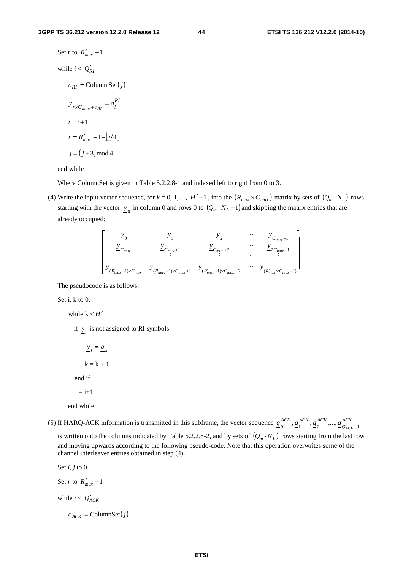Set *r* to 
$$
R'_{max} - 1
$$
  
\nwhile  $i < Q'_{RI}$   
\n $c_{RI} = \text{Column Set}(j)$   
\n $\frac{y}{r \times C_{max} + c_{RI}} = \frac{q_i^{RI}}{q_i^{I}}$   
\n $i = i + 1$   
\n $r = R'_{max} - 1 - \left\lfloor i/4 \right\rfloor$   
\n $j = (j + 3) \mod 4$ 

end while

Where ColumnSet is given in Table 5.2.2.8-1 and indexed left to right from 0 to 3.

(4) Write the input vector sequence, for  $k = 0, 1, \ldots, H' - 1$ , into the  $(R_{\text{max}} \times C_{\text{max}})$  matrix by sets of  $(Q_m \cdot N_L)$  rows starting with the vector  $y_0$  in column 0 and rows 0 to  $(Q_m \cdot N_L - 1)$  and skipping the matrix entries that are already occupied:

$$
\begin{bmatrix}\n\underline{y}_{0} & \underline{y}_{1} & \underline{y}_{2} & \cdots & \underline{y}_{C_{max}-1} \\
\underline{y}_{C_{max}} & \underline{y}_{C_{max}+1} & \underline{y}_{C_{max}+2} & \cdots & \underline{y}_{2C_{max}-1} \\
\vdots & \vdots & \ddots & \vdots \\
\underline{y}_{(R'_{max}-1)\times C_{max}} & \underline{y}_{(R'_{max}-1)\times C_{max}+1} & \underline{y}_{(R'_{max}-1)\times C_{max}+2} & \cdots & \underline{y}_{(R'_{max}\times C_{max}-1)}\n\end{bmatrix}
$$

The pseudocode is as follows:

Set i, k to 0.

while  $k < H'$ ,

if  $y_i$  is not assigned to RI symbols

 $\underline{y}_i = \underline{g}_k$  $k = k + 1$  end if  $i = i+1$ 

end while

(5) If HARQ-ACK information is transmitted in this subframe, the vector sequence  $q_0^{ACK}$ ,  $q_1^{ACK}$ ,  $q_2^{ACK}$ , ...,  $q_{Q'_{AC}}^{ACK}$ *ACK ACK ACK*  $q_0^{ACK}, q_1^{ACK}, q_2^{ACK}, ..., q_{Q'_{ACK}-1}^{ACK}$ 

is written onto the columns indicated by Table 5.2.2.8-2, and by sets of  $(Q_m \cdot N_L)$  rows starting from the last row and moving upwards according to the following pseudo-code. Note that this operation overwrites some of the channel interleaver entries obtained in step (4).

```
Set i, j to 0. 
Set r to R'_{\text{max}} - 1while i < Q'_{ACK}c_{ACK} = ColumnSet(j)
```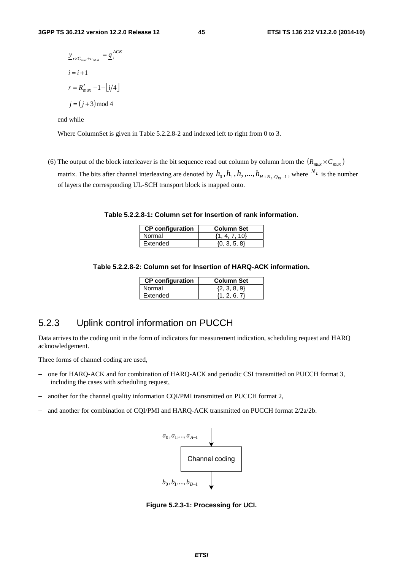$$
\underline{y}_{r \times C_{max} + c_{ACK}} = \underline{q}_i^{ACK}
$$
  

$$
i = i + 1
$$
  

$$
r = R'_{max} - 1 - \lfloor i/4 \rfloor
$$
  

$$
j = (j + 3) \mod 4
$$

end while

Where ColumnSet is given in Table 5.2.2.8-2 and indexed left to right from 0 to 3.

(6) The output of the block interleaver is the bit sequence read out column by column from the  $(R_{\textit{max}} \times C_{\textit{max}})$ matrix. The bits after channel interleaving are denoted by  $h_0$ ,  $h_1$ ,  $h_2$ ,...,  $h_{H+N_L,Q_N-1}$ , where  $N_L$  is the number of layers the corresponding UL-SCH transport block is mapped onto.

**Table 5.2.2.8-1: Column set for Insertion of rank information.** 

| <b>CP</b> configuration | <b>Column Set</b> |
|-------------------------|-------------------|
| <b>Normal</b>           | $\{1, 4, 7, 10\}$ |
| LExtended               | $\{0, 3, 5, 8\}$  |

**Table 5.2.2.8-2: Column set for Insertion of HARQ-ACK information.** 

| <b>CP</b> configuration | <b>Column Set</b> |
|-------------------------|-------------------|
| Normal                  | (2, 3, 8, 9)      |
| Extended                | {1 ጋ ፍ 7}         |

# 5.2.3 Uplink control information on PUCCH

Data arrives to the coding unit in the form of indicators for measurement indication, scheduling request and HARQ acknowledgement.

Three forms of channel coding are used,

- − one for HARQ-ACK and for combination of HARQ-ACK and periodic CSI transmitted on PUCCH format 3, including the cases with scheduling request,
- − another for the channel quality information CQI/PMI transmitted on PUCCH format 2,
- − and another for combination of CQI/PMI and HARQ-ACK transmitted on PUCCH format 2/2a/2b.



**Figure 5.2.3-1: Processing for UCI.**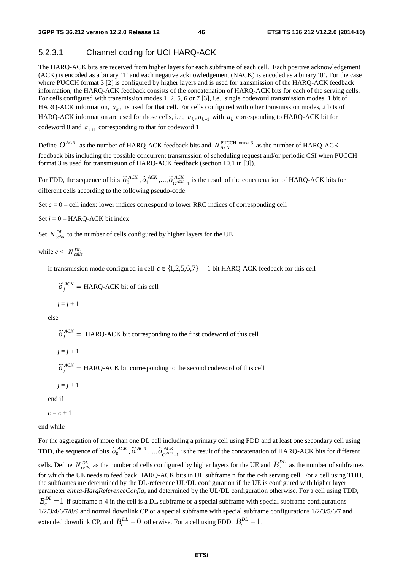# 5.2.3.1 Channel coding for UCI HARQ-ACK

The HARQ-ACK bits are received from higher layers for each subframe of each cell. Each positive acknowledgement (ACK) is encoded as a binary '1' and each negative acknowledgement (NACK) is encoded as a binary '0'. For the case where PUCCH format 3 [2] is configured by higher layers and is used for transmission of the HARQ-ACK feedback information, the HARQ-ACK feedback consists of the concatenation of HARQ-ACK bits for each of the serving cells. For cells configured with transmission modes 1, 2, 5, 6 or 7 [3], i.e., single codeword transmission modes, 1 bit of HARQ-ACK information,  $a_k$ , is used for that cell. For cells configured with other transmission modes, 2 bits of HARQ-ACK information are used for those cells, i.e.,  $a_k$ ,  $a_{k+1}$  with  $a_k$  corresponding to HARQ-ACK bit for codeword 0 and  $a_{k+1}$  corresponding to that for codeword 1.

Define  $O^{ACK}$  as the number of HARQ-ACK feedback bits and  $N_{A/N}^{PUCCH \, format \, 3}$  as the number of HARQ-ACK feedback bits including the possible concurrent transmission of scheduling request and/or periodic CSI when PUCCH format 3 is used for transmission of HARQ-ACK feedback (section 10.1 in [3]).

For FDD, the sequence of bits  $\tilde{\sigma}_0^{ACK}$ ,  $\tilde{\sigma}_1^{ACK}$ , ...,  $\tilde{\sigma}_{O^{ACK}}^{ACK}$  $\tilde{\sigma}_0^{ACK}$ ,  $\tilde{\sigma}_1^{ACK}$ , ...,  $\tilde{\sigma}_{O^{ACK}-1}^{ACK}$  is the result of the concatenation of HARQ-ACK bits for different cells according to the following pseudo-code:

Set  $c = 0$  – cell index: lower indices correspond to lower RRC indices of corresponding cell

Set  $j = 0$  – HARQ-ACK bit index

Set  $N_{cells}^{DL}$  to the number of cells configured by higher layers for the UE

while  $c < N_{cells}^{DL}$ 

if transmission mode configured in cell  $c \in \{1,2,5,6,7\}$  --1 bit HARQ-ACK feedback for this cell

 $\tilde{\sigma}_j^{ACK}$  = HARQ-ACK bit of this cell

$$
j=j+1
$$

else

 $\tilde{\sigma}_j^{ACK}$  = HARQ-ACK bit corresponding to the first codeword of this cell

 $j = j + 1$ 

 $\tilde{\sigma}_j^{ACK}$  = HARQ-ACK bit corresponding to the second codeword of this cell

 $j = j + 1$ 

end if

 $c = c + 1$ 

end while

For the aggregation of more than one DL cell including a primary cell using FDD and at least one secondary cell using TDD, the sequence of bits  $\tilde{\sigma}_0^{ACK}$ ,  $\tilde{\sigma}_1^{ACK}$ , ...,  $\tilde{\sigma}_{O^{ACK}-1}^{ACK}$  is the result of the concatenation of HARQ-ACK bits for different cells. Define  $N_{cells}^{DL}$  as the number of cells configured by higher layers for the UE and  $B_c^{DL}$  as the number of subframes for which the UE needs to feed back HARQ-ACK bits in UL subframe n for the *c*-th serving cell. For a cell using TDD, the subframes are determined by the DL-reference UL/DL configuration if the UE is configured with higher layer parameter *eimta-HarqReferenceConfig*, and determined by the UL/DL configuration otherwise. For a cell using TDD,  $B_c^{DL} = 1$  if subframe n-4 in the cell is a DL subframe or a special subframe with special subframe configurations 1/2/3/4/6/7/8/9 and normal downlink CP or a special subframe with special subframe configurations 1/2/3/5/6/7 and extended downlink CP, and  $B_c^{DL} = 0$  otherwise. For a cell using FDD,  $B_c^{DL} = 1$ .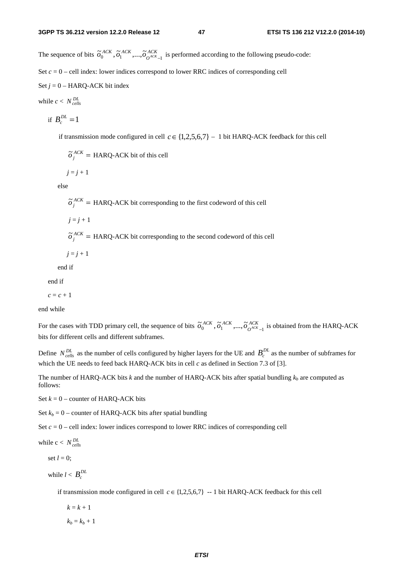The sequence of bits  $\tilde{\sigma}_0^{ACK}, \tilde{\sigma}_1^{ACK}, ..., \tilde{\sigma}_{O^{ACK}-1}^{ACK}$  is performed according to the following pseudo-code: Set  $c = 0$  – cell index: lower indices correspond to lower RRC indices of corresponding cell Set  $j = 0$  – HARQ-ACK bit index

while  $c < N_{cells}^{DL}$ 

$$
\text{if } B_c^{DL} = 1
$$

if transmission mode configured in cell  $c \in \{1,2,5,6,7\}$  – 1 bit HARQ-ACK feedback for this cell

 $\tilde{\sigma}_j^{ACK}$  = HARQ-ACK bit of this cell

 $j = j + 1$ 

else

 $\tilde{\sigma}_j^{ACK}$  = HARQ-ACK bit corresponding to the first codeword of this cell

$$
j=j+1
$$

 $\tilde{\sigma}_j^{ACK}$  = HARQ-ACK bit corresponding to the second codeword of this cell

 $j = j + 1$ 

```
 end if
```
end if

 $c = c + 1$ 

end while

For the cases with TDD primary cell, the sequence of bits  $\tilde{\sigma}_0^{ACK}$ ,  $\tilde{\sigma}_1^{ACK}$ ,  $\ldots$ ,  $\tilde{\sigma}_{O^{ACK}-1}^{ACK}$  is obtained from the HARQ-ACK bits for different cells and different subframes.

Define  $N_{cells}^{DL}$  as the number of cells configured by higher layers for the UE and  $B_c^{DL}$  as the number of subframes for which the UE needs to feed back HARQ-ACK bits in cell *c* as defined in Section 7.3 of [3].

The number of HARQ-ACK bits  $k$  and the number of HARQ-ACK bits after spatial bundling  $k_b$  are computed as follows:

Set  $k = 0$  – counter of HARQ-ACK bits

Set  $k_b = 0$  – counter of HARQ-ACK bits after spatial bundling

Set  $c = 0$  – cell index: lower indices correspond to lower RRC indices of corresponding cell

while  $c < N_{cells}^{DL}$ 

set  $l = 0$ :

while  $l < B_c^{DL}$ 

if transmission mode configured in cell  $c \in \{1,2,5,6,7\}$  -- 1 bit HARQ-ACK feedback for this cell

 $k = k + 1$ 

 $k_b = k_b + 1$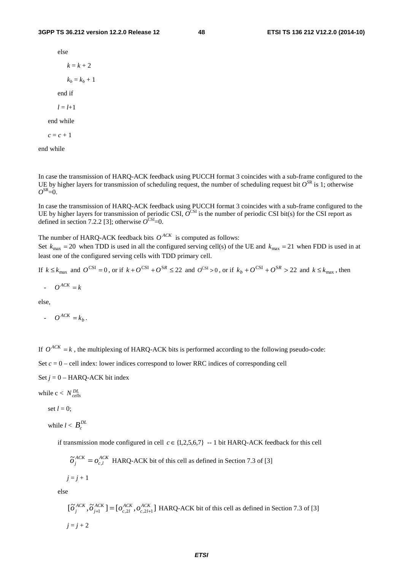else

$$
k = k + 2
$$

 $k_b = k_b + 1$ 

end if

 $l = l + 1$ 

end while

$$
c = c + 1
$$

end while

In case the transmission of HARQ-ACK feedback using PUCCH format 3 coincides with a sub-frame configured to the UE by higher layers for transmission of scheduling request, the number of scheduling request bit  $O^{SR}$  is 1; otherwise  $O^{SR}=0$ .

In case the transmission of HARQ-ACK feedback using PUCCH format 3 coincides with a sub-frame configured to the UE by higher layers for transmission of periodic CSI,  $\overline{O}^{\text{CSI}}$  is the number of periodic CSI bit(s) for the CSI report as defined in section 7.2.2 [3]; otherwise  $O^{\text{CSI}}=0$ .

The number of HARQ-ACK feedback bits  $O^{ACK}$  is computed as follows:

Set  $k_{\text{max}} = 20$  when TDD is used in all the configured serving cell(s) of the UE and  $k_{\text{max}} = 21$  when FDD is used in at least one of the configured serving cells with TDD primary cell.

If  $k \leq k_{\text{max}}$  and  $O^{\text{CSI}} = 0$ , or if  $k + O^{\text{CSI}} + O^{\text{SSI}} \leq 22$  and  $O^{\text{CSI}} > 0$ , or if  $k_b + O^{\text{CSI}} + O^{\text{SSI}} > 22$  and  $k \leq k_{\text{max}}$ , then

 $\cdot$  *O*<sup>*ACK*</sup> = *k* 

else,

 $O^{ACK} = k_b$ .

If  $O^{ACK} = k$ , the multiplexing of HARQ-ACK bits is performed according to the following pseudo-code:

Set  $c = 0$  – cell index: lower indices correspond to lower RRC indices of corresponding cell

Set *j* = 0 – HARQ-ACK bit index

while  $c < N_{cells}^{DL}$ 

set  $l = 0$ :

while  $l < B_c^{DL}$ 

if transmission mode configured in cell  $c \in \{1,2,5,6,7\}$  --1 bit HARQ-ACK feedback for this cell

$$
\tilde{\sigma}_{j}^{ACK} = o_{c,l}^{ACK}
$$
 HARQ-ACK bit of this cell as defined in Section 7.3 of [3]

 $j = j + 1$ 

else

$$
[\tilde{\sigma}_{j}^{ACK}, \tilde{\sigma}_{j+1}^{ACK}] = [\sigma_{c,2l}^{ACK}, \sigma_{c,2l+1}^{ACK}]
$$
 HARQ-ACK bit of this cell as defined in Section 7.3 of [3]  

$$
j = j + 2
$$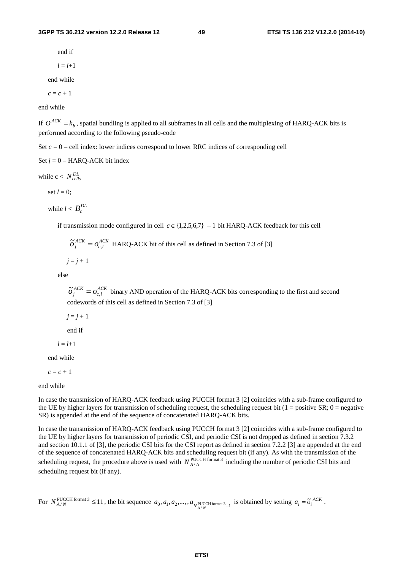#### **3GPP TS 36.212 version 12.2.0 Release 12 49 ETSI TS 136 212 V12.2.0 (2014-10)**

end if

$$
l = l+1
$$

end while

 $c = c + 1$ 

end while

If  $O^{ACK} = k_b$ , spatial bundling is applied to all subframes in all cells and the multiplexing of HARQ-ACK bits is performed according to the following pseudo-code

Set  $c = 0$  – cell index: lower indices correspond to lower RRC indices of corresponding cell

Set  $j = 0$  – HARO-ACK bit index

while  $c < N_{cells}^{DL}$ 

set  $l = 0$ ;

while 
$$
l < B_c^{DL}
$$

if transmission mode configured in cell  $c \in \{1,2,5,6,7\} - 1$  bit HARQ-ACK feedback for this cell

$$
\tilde{\sigma}_{j}^{ACK} = o_{c,l}^{ACK}
$$
 HARQ-ACK bit of this cell as defined in Section 7.3 of [3]

 $j = j + 1$ 

else

*ACK lc*  $\tilde{\sigma}_j^{ACK} = o_{c,l}^{ACK}$  binary AND operation of the HARQ-ACK bits corresponding to the first and second codewords of this cell as defined in Section 7.3 of [3]

 $j = j + 1$ 

end if

 $l = l + 1$ 

end while

 $c = c + 1$ 

end while

In case the transmission of HARQ-ACK feedback using PUCCH format 3 [2] coincides with a sub-frame configured to the UE by higher layers for transmission of scheduling request, the scheduling request bit ( $1 =$  positive SR;  $0 =$  negative SR) is appended at the end of the sequence of concatenated HARQ-ACK bits.

In case the transmission of HARQ-ACK feedback using PUCCH format 3 [2] coincides with a sub-frame configured to the UE by higher layers for transmission of periodic CSI, and periodic CSI is not dropped as defined in section 7.3.2 and section 10.1.1 of [3], the periodic CSI bits for the CSI report as defined in section 7.2.2 [3] are appended at the end of the sequence of concatenated HARQ-ACK bits and scheduling request bit (if any). As with the transmission of the scheduling request, the procedure above is used with  $N_{A/N}^{\text{PUCCH format 3}}$  including the number of periodic CSI bits and scheduling request bit (if any).

For  $N_{A/N}^{\text{PUCCH format 3}} \le 11$ , the bit sequence  $a_0, a_1, a_2, ..., a_{N_{A/N}}^{\text{PUCCH format 3}}$  is obtained by setting  $a_i = \tilde{o}_i^{ACK}$ .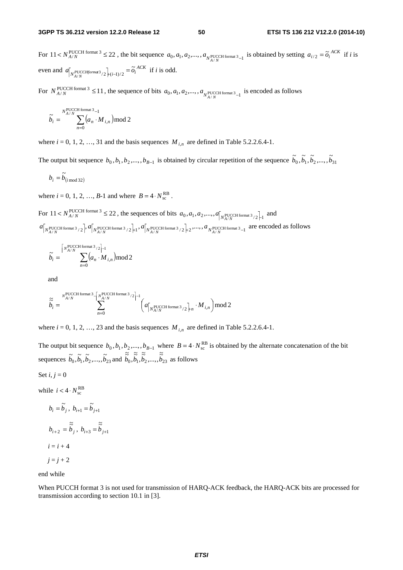For  $11 < N_{A/N}^{\text{PUCCH format 3}} \le 22$ , the bit sequence  $a_0, a_1, a_2, \ldots, a_{N_{A/N}}^{\text{PUCCH format 3}}$  is obtained by setting  $a_{i/2} = \tilde{o}_i^{ACK}$  if *i* is even and  $a_{N_{A/N}}$ <sup>*N*</sup><sub>*R*/*N*</sub>  $\left| u_{i-1/2} \right| = \widetilde{o}_i^{ACK}$  $\tilde{\sigma}$  $\sum_{i \in N}$ <br>  $\sum_{i \in N}$ <sub>1</sub>  $\sum_{i \in \{i-1\}}$ <sub>2</sub> =  $\widetilde{o}_i$ <sup>2</sup>ACK</sup> if *i* is odd.

For  $N_{A/N}^{\text{PUCCH format 3}} \le 11$ , the sequence of bits  $a_0, a_1, a_2, ..., a_{N_{A/N}}^{\text{PUCCH format 3}}$  is encoded as follows

$$
\widetilde{b}_i = \sum_{n=0}^{N_{A/N}^{\text{PUCCH format 3}}-1} (a_n \cdot M_{i,n}) \bmod 2
$$

where  $i = 0, 1, 2, \ldots, 31$  and the basis sequences  $M_{i,n}$  are defined in Table 5.2.2.6.4-1.

The output bit sequence  $b_0, b_1, b_2, ..., b_{B-1}$  is obtained by circular repetition of the sequence  $\tilde{b}_0, \tilde{b}_1, \tilde{b}_2, ..., \tilde{b}_{31}$ 

$$
b_i = \widetilde{b}_{(i \bmod 32)}
$$

where  $i = 0, 1, 2, ..., B-1$  and where  $B = 4 \cdot N_{\rm sc}^{\rm RB}$ .

For  $11 < N_{A/N}^{\text{PUCCH format 3}} \leq 22$ , the sequences of bits  $a_0, a_1, a_2, ..., a_{N_{A/N}}^{\text{PUCCH format 3}}/2_{11}$  and  $a_{N_{A/N}}$   $\left[\frac{1}{N_{A/N}}\right]$   $a_{N_{A/N}}$   $\left[\frac{1}{N_{A/N}}\right]$   $\left[\frac{1}{N_{A/N}}\right]$   $\left[\frac{1}{N_{A/N}}\right]$   $\left[\frac{1}{N_{A/N}}\right]$   $\left[\frac{1}{N_{A/N}}\right]$   $\left[\frac{1}{N_{A/N}}\right]$   $\left[\frac{1}{N_{A/N}}\right]$   $\left[\frac{1}{N_{A/N}}\right]$  are encoded as follows

$$
\widetilde{b}_i = \sum_{n=0}^{\lceil N_{A/N}^{\text{PUCCH format }3}/2 \rceil - 1} (a_n \cdot M_{i,n}) \mod 2
$$

and

$$
\widetilde{\widetilde{b}_i} = \sum_{n=0}^{N_{A/N}^{\text{PUCCH format 3}}-\left[\frac{N_{A/N}^{\text{PUCCH format 3}}/2\right]-1}{\sum_{n=0}^{N_{A/N}^{\text{PUCCH format 3}}-\left(\frac{N_{A/N}}{N_{A/N}^{\text{PUCCH format 3}}/2\right)+n}\cdot M_{i,n}\right) \bmod 2}
$$

where  $i = 0, 1, 2, \ldots, 23$  and the basis sequences  $M_{i,n}$  are defined in Table 5.2.2.6.4-1.

The output bit sequence  $b_0, b_1, b_2, ..., b_{B-1}$  where  $B = 4 \cdot N_{\rm sc}^{\rm RB}$  is obtained by the alternate concatenation of the bit sequences  $\tilde{b}_0, \tilde{b}_1, \tilde{b}_2, ..., \tilde{b}_{23}$  and  $\tilde{\tilde{b}}_0, \tilde{\tilde{b}}_1, \tilde{\tilde{b}}_2, ..., \tilde{\tilde{b}}_{23}$  as follows

$$
Set i, j = 0
$$

while  $i < 4 \cdot N_{\text{sc}}^{\text{RB}}$ 

$$
b_i = \widetilde{b}_j, \ b_{i+1} = \widetilde{b}_{j+1}
$$
  

$$
b_{i+2} = \widetilde{\widetilde{b}}_j, \ b_{i+3} = \widetilde{\widetilde{b}}_{j+1}
$$
  

$$
i = i + 4
$$
  

$$
j = j + 2
$$

end while

When PUCCH format 3 is not used for transmission of HARQ-ACK feedback, the HARQ-ACK bits are processed for transmission according to section 10.1 in [3].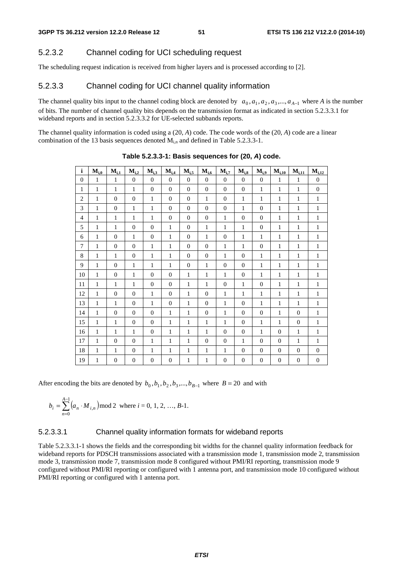# 5.2.3.2 Channel coding for UCI scheduling request

The scheduling request indication is received from higher layers and is processed according to [2].

# 5.2.3.3 Channel coding for UCI channel quality information

The channel quality bits input to the channel coding block are denoted by  $a_0, a_1, a_2, a_3, \ldots, a_{A-1}$  where *A* is the number of bits. The number of channel quality bits depends on the transmission format as indicated in section 5.2.3.3.1 for wideband reports and in section 5.2.3.3.2 for UE-selected subbands reports.

The channel quality information is coded using a (20, *A*) code. The code words of the (20, *A*) code are a linear combination of the 13 basis sequences denoted  $M_{i,n}$  and defined in Table 5.2.3.3-1.

| $\mathbf{i}$   | $M_{i,0}$    | $M_{i,1}$        | $M_{i,2}$      | $M_{i,3}$      | $M_{i,4}$        | $M_{i,5}$      | $M_{i,6}$        | $M_{i,7}$        | $M_{i.8}$        | $M_{i,9}$        | $M_{i,10}$       | $M_{i,11}$       | $M_{i,12}$       |
|----------------|--------------|------------------|----------------|----------------|------------------|----------------|------------------|------------------|------------------|------------------|------------------|------------------|------------------|
| $\mathbf{0}$   | $\mathbf{1}$ | $\mathbf{1}$     | $\overline{0}$ | $\overline{0}$ | $\overline{0}$   | $\overline{0}$ | $\boldsymbol{0}$ | $\mathbf{0}$     | $\overline{0}$   | $\overline{0}$   | $\mathbf{1}$     | $\mathbf{1}$     | $\boldsymbol{0}$ |
| 1              | $\mathbf{1}$ | $\mathbf{1}$     | 1              | $\overline{0}$ | $\theta$         | $\theta$       | $\mathbf{0}$     | $\theta$         | $\overline{0}$   | $\mathbf{1}$     | 1                | 1                | $\mathbf{0}$     |
| $\mathfrak{2}$ | $\mathbf{1}$ | $\overline{0}$   | $\overline{0}$ | $\mathbf{1}$   | $\boldsymbol{0}$ | $\overline{0}$ | $\mathbf{1}$     | $\overline{0}$   | $\mathbf{1}$     | $\mathbf{1}$     | $\mathbf{1}$     | $\mathbf{1}$     | 1                |
| 3              | $\mathbf{1}$ | $\mathbf{0}$     | $\mathbf{1}$   | 1              | $\boldsymbol{0}$ | $\theta$       | $\mathbf{0}$     | $\overline{0}$   | $\mathbf{1}$     | $\mathbf{0}$     | 1                | $\mathbf{1}$     | 1                |
| $\overline{4}$ | $\mathbf{1}$ | 1                | 1              | $\mathbf{1}$   | $\boldsymbol{0}$ | $\theta$       | $\overline{0}$   | 1                | $\boldsymbol{0}$ | $\theta$         | 1                | 1                | 1                |
| 5              | $\mathbf{1}$ | 1                | $\overline{0}$ | $\theta$       | 1                | $\theta$       | 1                | 1                | 1                | $\theta$         | 1                | 1                | 1                |
| 6              | $\mathbf{1}$ | $\overline{0}$   | $\mathbf{1}$   | $\overline{0}$ | $\mathbf{1}$     | $\mathbf{0}$   | $\mathbf{1}$     | $\overline{0}$   | $\mathbf{1}$     | $\mathbf{1}$     | $\mathbf{1}$     | 1                | 1                |
| 7              | 1            | $\mathbf{0}$     | $\theta$       | 1              | 1                | $\mathbf{0}$   | $\overline{0}$   | 1                | 1                | $\theta$         | 1                | $\mathbf{1}$     | 1                |
| 8              | $\mathbf{1}$ | $\mathbf{1}$     | $\overline{0}$ | $\mathbf{1}$   | 1                | $\theta$       | $\overline{0}$   | 1                | $\overline{0}$   | 1                | $\mathbf{1}$     | 1                | 1                |
| 9              | $\mathbf{1}$ | $\mathbf{0}$     | $\mathbf{1}$   | $\mathbf{1}$   | 1                | $\theta$       | $\mathbf{1}$     | $\overline{0}$   | $\overline{0}$   | 1                | $\mathbf{1}$     | 1                | 1                |
| 10             | 1            | $\overline{0}$   | 1              | $\overline{0}$ | $\overline{0}$   | 1              | $\mathbf{1}$     | 1                | $\boldsymbol{0}$ | 1                | 1                | $\mathbf{1}$     | 1                |
| 11             | $\mathbf{1}$ | $\mathbf{1}$     | 1              | $\overline{0}$ | $\theta$         | $\mathbf{1}$   | $\mathbf{1}$     | $\theta$         | $\mathbf{1}$     | $\theta$         | 1                | $\mathbf{1}$     | 1                |
| 12             | $\mathbf{1}$ | $\boldsymbol{0}$ | $\overline{0}$ | $\mathbf{1}$   | $\boldsymbol{0}$ | $\mathbf{1}$   | $\overline{0}$   | $\mathbf{1}$     | $\mathbf{1}$     | 1                | 1                | $\mathbf{1}$     | 1                |
| 13             | $\mathbf{1}$ | $\mathbf{1}$     | $\Omega$       | 1              | $\theta$         | $\mathbf{1}$   | $\mathbf{0}$     | $\mathbf{1}$     | $\overline{0}$   | $\mathbf{1}$     | $\mathbf{1}$     | $\mathbf{1}$     | 1                |
| 14             | $\mathbf{1}$ | $\overline{0}$   | $\theta$       | $\overline{0}$ | 1                | $\mathbf{1}$   | $\overline{0}$   | $\mathbf{1}$     | $\overline{0}$   | $\mathbf{0}$     | $\mathbf{1}$     | $\overline{0}$   | 1                |
| 15             | $\mathbf{1}$ | $\mathbf{1}$     | $\overline{0}$ | $\overline{0}$ | $\mathbf{1}$     | $\mathbf{1}$   | $\mathbf{1}$     | $\mathbf{1}$     | $\overline{0}$   | $\mathbf{1}$     | $\mathbf{1}$     | $\mathbf{0}$     | 1                |
| 16             | $\mathbf{1}$ | 1                | $\mathbf{1}$   | $\overline{0}$ | 1                | $\mathbf{1}$   | $\mathbf{1}$     | $\overline{0}$   | $\boldsymbol{0}$ | 1                | $\theta$         | $\mathbf{1}$     | 1                |
| 17             | 1            | $\mathbf{0}$     | $\Omega$       | 1              | 1                | 1              | $\mathbf{0}$     | $\theta$         | 1                | $\Omega$         | $\Omega$         | $\mathbf{1}$     | 1                |
| 18             | $\mathbf{1}$ | $\mathbf{1}$     | $\overline{0}$ | $\mathbf{1}$   | 1                | $\mathbf{1}$   | $\mathbf{1}$     | $\mathbf{1}$     | $\overline{0}$   | $\theta$         | $\mathbf{0}$     | $\mathbf{0}$     | $\boldsymbol{0}$ |
| 19             | $\mathbf{1}$ | $\boldsymbol{0}$ | $\overline{0}$ | $\mathbf{0}$   | $\boldsymbol{0}$ | $\mathbf{1}$   | 1                | $\boldsymbol{0}$ | $\boldsymbol{0}$ | $\boldsymbol{0}$ | $\boldsymbol{0}$ | $\boldsymbol{0}$ | $\boldsymbol{0}$ |

**Table 5.2.3.3-1: Basis sequences for (20,** *A***) code.** 

After encoding the bits are denoted by  $b_0$ ,  $b_1$ ,  $b_2$ ,  $b_3$ ,...,  $b_{B-1}$  where  $B = 20$  and with

$$
b_i = \sum_{n=0}^{A-1} (a_n \cdot M_{i,n}) \mod 2 \text{ where } i = 0, 1, 2, ..., B-1.
$$

## 5.2.3.3.1 Channel quality information formats for wideband reports

Table 5.2.3.3.1-1 shows the fields and the corresponding bit widths for the channel quality information feedback for wideband reports for PDSCH transmissions associated with a transmission mode 1, transmission mode 2, transmission mode 3, transmission mode 7, transmission mode 8 configured without PMI/RI reporting, transmission mode 9 configured without PMI/RI reporting or configured with 1 antenna port, and transmission mode 10 configured without PMI/RI reporting or configured with 1 antenna port.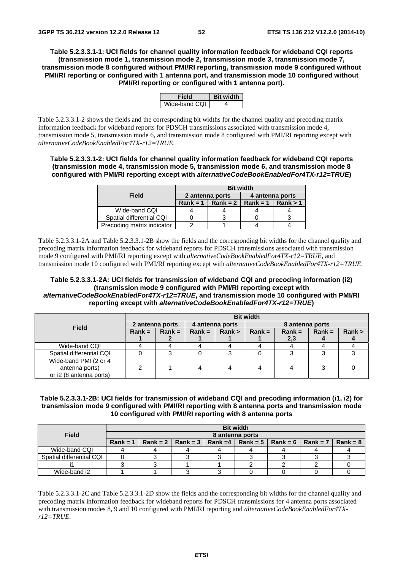**Table 5.2.3.3.1-1: UCI fields for channel quality information feedback for wideband CQI reports (transmission mode 1, transmission mode 2, transmission mode 3, transmission mode 7, transmission mode 8 configured without PMI/RI reporting, transmission mode 9 configured without PMI/RI reporting or configured with 1 antenna port, and transmission mode 10 configured without PMI/RI reporting or configured with 1 antenna port).** 

|               | SIT WI |
|---------------|--------|
| Wide-band CQI |        |

Table 5.2.3.3.1-2 shows the fields and the corresponding bit widths for the channel quality and precoding matrix information feedback for wideband reports for PDSCH transmissions associated with transmission mode 4, transmission mode 5, transmission mode 6, and transmission mode 8 configured with PMI/RI reporting except with *alternativeCodeBookEnabledFor4TX-r12=TRUE*.

**Table 5.2.3.3.1-2: UCI fields for channel quality information feedback for wideband CQI reports (transmission mode 4, transmission mode 5, transmission mode 6, and transmission mode 8 configured with PMI/RI reporting except with** *alternativeCodeBookEnabledFor4TX-r12=TRUE***)** 

|                            | <b>Bit width</b> |            |                 |          |  |  |  |  |
|----------------------------|------------------|------------|-----------------|----------|--|--|--|--|
| Field                      | 2 antenna ports  |            | 4 antenna ports |          |  |  |  |  |
|                            | $Rank = 1$       | $Rank = 2$ | $Rank = 1$      | Rank > 1 |  |  |  |  |
| Wide-band CQI              |                  |            |                 |          |  |  |  |  |
| Spatial differential CQI   |                  |            |                 |          |  |  |  |  |
| Precoding matrix indicator |                  |            |                 |          |  |  |  |  |

Table 5.2.3.3.1-2A and Table 5.2.3.3.1-2B show the fields and the corresponding bit widths for the channel quality and precoding matrix information feedback for wideband reports for PDSCH transmissions associated with transmission mode 9 configured with PMI/RI reporting except with *alternativeCodeBookEnabledFor4TX-r12=TRUE*, and transmission mode 10 configured with PMI/RI reporting except with *alternativeCodeBookEnabledFor4TX-r12=TRUE*.

## **Table 5.2.3.3.1-2A: UCI fields for transmission of wideband CQI and precoding information (i2) (transmission mode 9 configured with PMI/RI reporting except with**  *alternativeCodeBookEnabledFor4TX-r12=TRUE***, and transmission mode 10 configured with PMI/RI reporting except with** *alternativeCodeBookEnabledFor4TX-r12=TRUE***)**

|                          | <b>Bit width</b> |                 |          |                 |          |          |                 |        |  |  |
|--------------------------|------------------|-----------------|----------|-----------------|----------|----------|-----------------|--------|--|--|
| <b>Field</b>             |                  | 2 antenna ports |          | 4 antenna ports |          |          | 8 antenna ports |        |  |  |
|                          | $Rank =$         | $Rank =$        | $Rank =$ | Rank >          | $Rank =$ | $Rank =$ | $Rank =$        | Rank > |  |  |
|                          |                  |                 |          |                 |          | 2,3      |                 |        |  |  |
| Wide-band CQI            |                  |                 |          |                 |          |          |                 |        |  |  |
| Spatial differential CQI |                  |                 |          |                 |          |          |                 |        |  |  |
| Wide-band PMI (2 or 4    |                  |                 |          |                 |          |          |                 |        |  |  |
| antenna ports)           |                  |                 |          |                 |          | 4        |                 |        |  |  |
| or i2 (8 antenna ports)  |                  |                 |          |                 |          |          |                 |        |  |  |

## **Table 5.2.3.3.1-2B: UCI fields for transmission of wideband CQI and precoding information (i1, i2) for transmission mode 9 configured with PMI/RI reporting with 8 antenna ports and transmission mode 10 configured with PMI/RI reporting with 8 antenna ports**

|                          | <b>Bit width</b> |  |  |  |  |                                                                            |  |            |  |  |  |
|--------------------------|------------------|--|--|--|--|----------------------------------------------------------------------------|--|------------|--|--|--|
| Field                    | 8 antenna ports  |  |  |  |  |                                                                            |  |            |  |  |  |
|                          |                  |  |  |  |  | Rank = 1   Rank = 2   Rank = 3   Rank = 4   Rank = 5   Rank = 6   Rank = 7 |  | $Rank = 8$ |  |  |  |
| Wide-band CQI            |                  |  |  |  |  |                                                                            |  |            |  |  |  |
| Spatial differential CQI |                  |  |  |  |  |                                                                            |  |            |  |  |  |
|                          |                  |  |  |  |  |                                                                            |  |            |  |  |  |
| Wide-band i2             |                  |  |  |  |  |                                                                            |  |            |  |  |  |

Table 5.2.3.3.1-2C and Table 5.2.3.3.1-2D show the fields and the corresponding bit widths for the channel quality and precoding matrix information feedback for wideband reports for PDSCH transmissions for 4 antenna ports associated with transmission modes 8, 9 and 10 configured with PMI/RI reporting and *alternativeCodeBookEnabledFor4TXr12=TRUE*.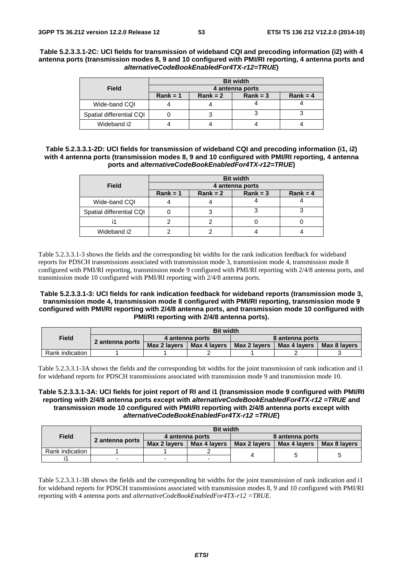## **Table 5.2.3.3.1-2C: UCI fields for transmission of wideband CQI and precoding information (i2) with 4 antenna ports (transmission modes 8, 9 and 10 configured with PMI/RI reporting, 4 antenna ports and**  *alternativeCodeBookEnabledFor4TX-r12=TRUE***)**

|                          | <b>Bit width</b> |            |            |  |  |  |  |  |  |
|--------------------------|------------------|------------|------------|--|--|--|--|--|--|
| <b>Field</b>             | 4 antenna ports  |            |            |  |  |  |  |  |  |
|                          | $Rank = 1$       | $Rank = 3$ | $Rank = 4$ |  |  |  |  |  |  |
| Wide-band CQI            |                  |            |            |  |  |  |  |  |  |
| Spatial differential CQI |                  |            |            |  |  |  |  |  |  |
| Wideband i2              |                  |            |            |  |  |  |  |  |  |

## **Table 5.2.3.3.1-2D: UCI fields for transmission of wideband CQI and precoding information (i1, i2) with 4 antenna ports (transmission modes 8, 9 and 10 configured with PMI/RI reporting, 4 antenna ports and** *alternativeCodeBookEnabledFor4TX-r12=TRUE***)**

|                          |                 |            | <b>Bit width</b> |            |  |  |  |  |
|--------------------------|-----------------|------------|------------------|------------|--|--|--|--|
| <b>Field</b>             | 4 antenna ports |            |                  |            |  |  |  |  |
|                          | $Rank = 1$      | $Rank = 2$ | $Rank = 3$       | $Rank = 4$ |  |  |  |  |
| Wide-band CQI            |                 |            |                  |            |  |  |  |  |
| Spatial differential CQI |                 |            |                  |            |  |  |  |  |
|                          |                 |            |                  |            |  |  |  |  |
| Wideband i2              |                 |            |                  |            |  |  |  |  |

Table 5.2.3.3.1-3 shows the fields and the corresponding bit widths for the rank indication feedback for wideband reports for PDSCH transmissions associated with transmission mode 3, transmission mode 4, transmission mode 8 configured with PMI/RI reporting, transmission mode 9 configured with PMI/RI reporting with 2/4/8 antenna ports, and transmission mode 10 configured with PMI/RI reporting with 2/4/8 antenna ports.

## **Table 5.2.3.3.1-3: UCI fields for rank indication feedback for wideband reports (transmission mode 3, transmission mode 4, transmission mode 8 configured with PMI/RI reporting, transmission mode 9 configured with PMI/RI reporting with 2/4/8 antenna ports, and transmission mode 10 configured with PMI/RI reporting with 2/4/8 antenna ports).**

|                 | <b>Bit width</b> |              |                 |                 |              |              |
|-----------------|------------------|--------------|-----------------|-----------------|--------------|--------------|
| Field           | 2 antenna ports  |              | 4 antenna ports | 8 antenna ports |              |              |
|                 |                  | Max 2 lavers | Max 4 lavers    | Max 2 lavers    | Max 4 lavers | Max 8 lavers |
| Rank indication |                  |              |                 |                 |              |              |

Table 5.2.3.3.1-3A shows the fields and the corresponding bit widths for the joint transmission of rank indication and i1 for wideband reports for PDSCH transmissions associated with transmission mode 9 and transmission mode 10.

## **Table 5.2.3.3.1-3A: UCI fields for joint report of RI and i1 (transmission mode 9 configured with PMI/RI reporting with 2/4/8 antenna ports except with** *alternativeCodeBookEnabledFor4TX-r12 =TRUE* **and transmission mode 10 configured with PMI/RI reporting with 2/4/8 antenna ports except with** *alternativeCodeBookEnabledFor4TX-r12 =TRUE***)**

|                 |                 | <b>Bit width</b>                                |  |                 |              |              |  |  |
|-----------------|-----------------|-------------------------------------------------|--|-----------------|--------------|--------------|--|--|
| <b>Field</b>    |                 | 4 antenna ports<br>Max 2 lavers<br>Max 4 lavers |  | 8 antenna ports |              |              |  |  |
|                 | 2 antenna ports |                                                 |  | Max 2 lavers    | Max 4 lavers | Max 8 lavers |  |  |
| Rank indication |                 |                                                 |  |                 |              |              |  |  |
|                 |                 |                                                 |  |                 |              |              |  |  |

Table 5.2.3.3.1-3B shows the fields and the corresponding bit widths for the joint transmission of rank indication and i1 for wideband reports for PDSCH transmissions associated with transmission modes 8, 9 and 10 configured with PMI/RI reporting with 4 antenna ports and *alternativeCodeBookEnabledFor4TX-r12 =TRUE*.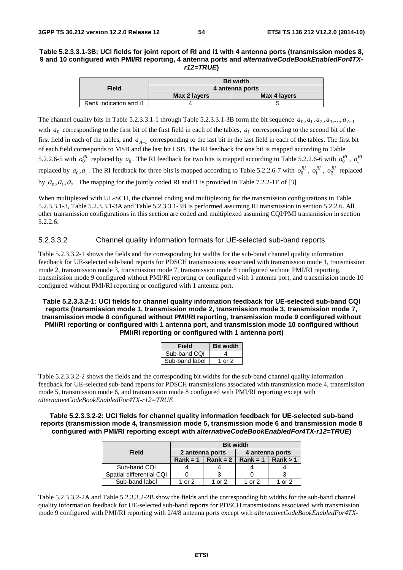## **Table 5.2.3.3.1-3B: UCI fields for joint report of RI and i1 with 4 antenna ports (transmission modes 8, 9 and 10 configured with PMI/RI reporting, 4 antenna ports and** *alternativeCodeBookEnabledFor4TXr12=TRUE***)**

|                        |                 | <b>Bit width</b> |  |  |  |  |  |  |  |
|------------------------|-----------------|------------------|--|--|--|--|--|--|--|
| Field                  | 4 antenna ports |                  |  |  |  |  |  |  |  |
|                        | Max 2 layers    | Max 4 layers     |  |  |  |  |  |  |  |
| Rank indication and i1 |                 |                  |  |  |  |  |  |  |  |

The channel quality bits in Table 5.2.3.3.1-1 through Table 5.2.3.3.1-3B form the bit sequence  $a_0, a_1, a_2, a_3, \ldots, a_{A-1}$ with  $a_0$  corresponding to the first bit of the first field in each of the tables,  $a_1$  corresponding to the second bit of the first field in each of the tables, and *a*<sub>*A*−1</sub> corresponding to the last bit in the last field in each of the tables. The first bit of each field corresponds to MSB and the last bit LSB. The RI feedback for one bit is mapped according to Table 5.2.2.6-5 with  $o_0^{RI}$  replaced by  $a_0$ . The RI feedback for two bits is mapped according to Table 5.2.2.6-6 with  $o_0^{RI}$ ,  $o_1^{RI}$ replaced by  $a_0, a_1$ . The RI feedback for three bits is mapped according to Table 5.2.2.6-7 with  $o_0^{RI}$ ,  $o_1^{RI}$ ,  $o_2^{RI}$  replaced by  $a_0$ ,  $a_1$ ,  $a_2$ . The mapping for the jointly coded RI and i1 is provided in Table 7.2.2-1E of [3].

When multiplexed with UL-SCH, the channel coding and multiplexing for the transmission configurations in Table 5.2.3.3.1-3, Table 5.2.3.3.1-3A and Table 5.2.3.3.1-3B is performed assuming RI transmission in section 5.2.2.6. All other transmission configurations in this section are coded and multiplexed assuming CQI/PMI transmission in section 5.2.2.6.

## 5.2.3.3.2 Channel quality information formats for UE-selected sub-band reports

Table 5.2.3.3.2-1 shows the fields and the corresponding bit widths for the sub-band channel quality information feedback for UE-selected sub-band reports for PDSCH transmissions associated with transmission mode 1, transmission mode 2, transmission mode 3, transmission mode 7, transmission mode 8 configured without PMI/RI reporting, transmission mode 9 configured without PMI/RI reporting or configured with 1 antenna port, and transmission mode 10 configured without PMI/RI reporting or configured with 1 antenna port.

**Table 5.2.3.3.2-1: UCI fields for channel quality information feedback for UE-selected sub-band CQI reports (transmission mode 1, transmission mode 2, transmission mode 3, transmission mode 7, transmission mode 8 configured without PMI/RI reporting, transmission mode 9 configured without PMI/RI reporting or configured with 1 antenna port, and transmission mode 10 configured without PMI/RI reporting or configured with 1 antenna port)** 

| Field          | <b>Bit width</b> |
|----------------|------------------|
| Sub-band CQI   |                  |
| Sub-band label | 1 or 2           |

Table 5.2.3.3.2-2 shows the fields and the corresponding bit widths for the sub-band channel quality information feedback for UE-selected sub-band reports for PDSCH transmissions associated with transmission mode 4, transmission mode 5, transmission mode 6, and transmission mode 8 configured with PMI/RI reporting except with *alternativeCodeBookEnabledFor4TX-r12=TRUE*.

## **Table 5.2.3.3.2-2: UCI fields for channel quality information feedback for UE-selected sub-band reports (transmission mode 4, transmission mode 5, transmission mode 6 and transmission mode 8 configured with PMI/RI reporting except with** *alternativeCodeBookEnabledFor4TX-r12=TRUE***)**

|                          | <b>Bit width</b> |                 |                          |              |  |  |  |
|--------------------------|------------------|-----------------|--------------------------|--------------|--|--|--|
| Field                    |                  | 2 antenna ports | 4 antenna ports          |              |  |  |  |
|                          | $Rank = 1$       | $Rank = 2$      | Rank = $1 \mid$ Rank > 1 |              |  |  |  |
| Sub-band CQI             |                  |                 |                          |              |  |  |  |
| Spatial differential CQI |                  |                 |                          |              |  |  |  |
| Sub-band label           | 1 or 2           | 1 or $2$        | 1 or $2$                 | $\alpha r$ 2 |  |  |  |

Table 5.2.3.3.2-2A and Table 5.2.3.3.2-2B show the fields and the corresponding bit widths for the sub-band channel quality information feedback for UE-selected sub-band reports for PDSCH transmissions associated with transmission mode 9 configured with PMI/RI reporting with 2/4/8 antenna ports except with *alternativeCodeBookEnabledFor4TX-*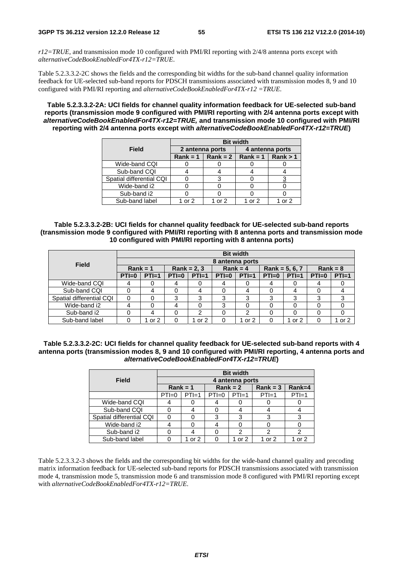*r12=TRUE,* and transmission mode 10 configured with PMI/RI reporting with 2/4/8 antenna ports except with *alternativeCodeBookEnabledFor4TX-r12=TRUE*.

Table 5.2.3.3.2-2C shows the fields and the corresponding bit widths for the sub-band channel quality information feedback for UE-selected sub-band reports for PDSCH transmissions associated with transmission modes 8, 9 and 10 configured with PMI/RI reporting and *alternativeCodeBookEnabledFor4TX-r12 =TRUE*.

**Table 5.2.3.3.2-2A: UCI fields for channel quality information feedback for UE-selected sub-band reports (transmission mode 9 configured with PMI/RI reporting with 2/4 antenna ports except with**  *alternativeCodeBookEnabledFor4TX-r12=TRUE,* **and transmission mode 10 configured with PMI/RI reporting with 2/4 antenna ports except with** *alternativeCodeBookEnabledFor4TX-r12=TRUE***)** 

|                          | <b>Bit width</b> |                                           |                 |      |  |  |  |
|--------------------------|------------------|-------------------------------------------|-----------------|------|--|--|--|
| Field                    |                  | 2 antenna ports                           | 4 antenna ports |      |  |  |  |
|                          |                  | Rank = 1   Rank = 2   Rank = 1   Rank > 1 |                 |      |  |  |  |
| Wide-band CQI            |                  |                                           |                 |      |  |  |  |
| Sub-band CQI             |                  |                                           |                 |      |  |  |  |
| Spatial differential CQI |                  |                                           |                 |      |  |  |  |
| Wide-band i2             |                  |                                           |                 |      |  |  |  |
| Sub-band i2              |                  |                                           |                 |      |  |  |  |
| Sub-band label           | $\alpha r$ 2     | $\alpha r$ 2                              | $\alpha r$ 2    | nr 2 |  |  |  |

**Table 5.2.3.3.2-2B: UCI fields for channel quality feedback for UE-selected sub-band reports (transmission mode 9 configured with PMI/RI reporting with 8 antenna ports and transmission mode 10 configured with PMI/RI reporting with 8 antenna ports)** 

|                          |            |                 |               |         |            | <b>Bit width</b> |                  |         |            |         |  |  |
|--------------------------|------------|-----------------|---------------|---------|------------|------------------|------------------|---------|------------|---------|--|--|
| <b>Field</b>             |            | 8 antenna ports |               |         |            |                  |                  |         |            |         |  |  |
|                          | $Rank = 1$ |                 | $Rank = 2, 3$ |         | $Rank = 4$ |                  | Rank = $5, 6, 7$ |         | $Rank = 8$ |         |  |  |
|                          | $PTI=0$    | $PTI=1$         | $PTI=0$       | $PTI=1$ | $PTI=0$    | $PTI=1$          | $PTI=0$          | $PTI=1$ | $PTI=0$    | $PTI=1$ |  |  |
| Wide-band CQI            | 4          |                 |               |         | 4          |                  | 4                | 0       | 4          |         |  |  |
| Sub-band CQI             | 0          | 4               |               | 4       |            | 4                | 0                | 4       | 0          |         |  |  |
| Spatial differential CQI | 0          | $\Omega$        | 3             | 3       | 3          | 3                | 3                | 3       | 3          | 3       |  |  |
| Wide-band i2             | 4          |                 |               |         | 3          |                  | 0                |         | 0          |         |  |  |
| Sub-band i2              |            |                 |               |         |            | ົ                |                  |         | 0          |         |  |  |
| Sub-band label           |            | or $2$          |               | or 2    |            | or 2             | 0                | 1 or 2  | 0          | 1 or 2  |  |  |

**Table 5.2.3.3.2-2C: UCI fields for channel quality feedback for UE-selected sub-band reports with 4 antenna ports (transmission modes 8, 9 and 10 configured with PMI/RI reporting, 4 antenna ports and**  *alternativeCodeBookEnabledFor4TX-r12=TRUE***)** 

|                          | <b>Bit width</b>   |                 |            |         |            |         |  |  |  |  |
|--------------------------|--------------------|-----------------|------------|---------|------------|---------|--|--|--|--|
| <b>Field</b>             |                    | 4 antenna ports |            |         |            |         |  |  |  |  |
|                          | $Rank = 1$         |                 | $Rank = 2$ |         | $Rank = 3$ | Rank=4  |  |  |  |  |
|                          | $PTI=1$<br>$PTI=0$ |                 | $PTI=0$    | $PTI=1$ | $PTI=1$    | $PTI=1$ |  |  |  |  |
| Wide-band CQI            |                    |                 |            |         |            |         |  |  |  |  |
| Sub-band CQI             |                    |                 |            |         |            |         |  |  |  |  |
| Spatial differential CQI | n                  |                 | 3          | 3       | 3          |         |  |  |  |  |
| Wide-band i2             |                    |                 |            |         |            |         |  |  |  |  |
| Sub-band i2              |                    |                 |            | 2       |            |         |  |  |  |  |
| Sub-band label           |                    | or $2$          |            | or $2$  | 1 or 2     | or 2    |  |  |  |  |

Table 5.2.3.3.2-3 shows the fields and the corresponding bit widths for the wide-band channel quality and precoding matrix information feedback for UE-selected sub-band reports for PDSCH transmissions associated with transmission mode 4, transmission mode 5, transmission mode 6 and transmission mode 8 configured with PMI/RI reporting except with *alternativeCodeBookEnabledFor4TX-r12=TRUE*.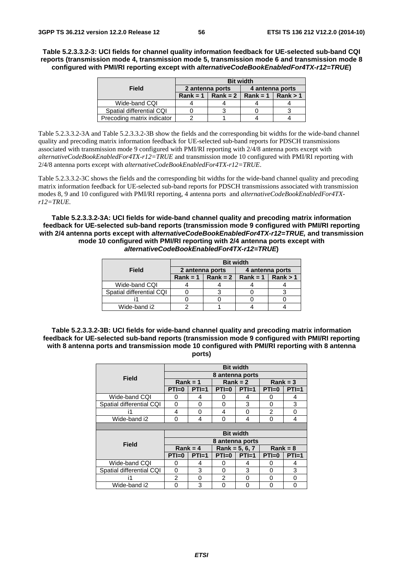**Table 5.2.3.3.2-3: UCI fields for channel quality information feedback for UE-selected sub-band CQI reports (transmission mode 4, transmission mode 5, transmission mode 6 and transmission mode 8 configured with PMI/RI reporting except with** *alternativeCodeBookEnabledFor4TX-r12=TRUE***)** 

|                            | <b>Bit width</b> |            |                 |          |  |  |  |
|----------------------------|------------------|------------|-----------------|----------|--|--|--|
| Field                      | 2 antenna ports  |            | 4 antenna ports |          |  |  |  |
|                            | $Rank = 1$       | $Rank = 2$ | $Rank = 1$      | Rank > 1 |  |  |  |
| Wide-band CQI              |                  |            |                 |          |  |  |  |
| Spatial differential CQI   |                  |            |                 |          |  |  |  |
| Precoding matrix indicator |                  |            |                 |          |  |  |  |

Table 5.2.3.3.2-3A and Table 5.2.3.3.2-3B show the fields and the corresponding bit widths for the wide-band channel quality and precoding matrix information feedback for UE-selected sub-band reports for PDSCH transmissions associated with transmission mode 9 configured with PMI/RI reporting with 2/4/8 antenna ports except with *alternativeCodeBookEnabledFor4TX-r12=TRUE* and transmission mode 10 configured with PMI/RI reporting with 2/4/8 antenna ports except with *alternativeCodeBookEnabledFor4TX-r12=TRUE*.

Table 5.2.3.3.2-3C shows the fields and the corresponding bit widths for the wide-band channel quality and precoding matrix information feedback for UE-selected sub-band reports for PDSCH transmissions associated with transmission modes 8, 9 and 10 configured with PMI/RI reporting, 4 antenna ports and *alternativeCodeBookEnabledFor4TXr12=TRUE.*

**Table 5.2.3.3.2-3A: UCI fields for wide-band channel quality and precoding matrix information feedback for UE-selected sub-band reports (transmission mode 9 configured with PMI/RI reporting with 2/4 antenna ports except with** *alternativeCodeBookEnabledFor4TX-r12=TRUE,* **and transmission mode 10 configured with PMI/RI reporting with 2/4 antenna ports except with**  *alternativeCodeBookEnabledFor4TX-r12=TRUE***)** 

|                          | <b>Bit width</b> |                     |                     |  |  |  |  |
|--------------------------|------------------|---------------------|---------------------|--|--|--|--|
| Field                    | 2 antenna ports  |                     | 4 antenna ports     |  |  |  |  |
|                          |                  | Rank = 1   Rank = 2 | Rank = 1   Rank > 1 |  |  |  |  |
| Wide-band CQI            |                  |                     |                     |  |  |  |  |
| Spatial differential CQI |                  |                     |                     |  |  |  |  |
|                          |                  |                     |                     |  |  |  |  |
| Wide-band i2             |                  |                     |                     |  |  |  |  |

**Table 5.2.3.3.2-3B: UCI fields for wide-band channel quality and precoding matrix information feedback for UE-selected sub-band reports (transmission mode 9 configured with PMI/RI reporting with 8 antenna ports and transmission mode 10 configured with PMI/RI reporting with 8 antenna ports)** 

|                          |                  |            | <b>Bit width</b> |            |                |         |  |
|--------------------------|------------------|------------|------------------|------------|----------------|---------|--|
| Field                    |                  |            | 8 antenna ports  |            |                |         |  |
|                          |                  | $Rank = 1$ |                  | $Rank = 2$ | $Rank = 3$     |         |  |
|                          | $PTI=0$          | $PTI=1$    | $PTI=0$          | $PTI=1$    | $PTI=0$        | $PTI=1$ |  |
| Wide-band CQI            | 0                | 4          | 0                | 4          | O              | 4       |  |
| Spatial differential CQI | 0                | 0          | 0                | 3          | O              | 3       |  |
| i1                       | 4                | 0          | 4                | O          | $\mathfrak{p}$ | 0       |  |
| Wide-band i2             | 0                | 4          | 0                | 4          | 0              | 4       |  |
|                          |                  |            |                  |            |                |         |  |
|                          | <b>Bit width</b> |            |                  |            |                |         |  |
|                          |                  |            |                  |            |                |         |  |
|                          |                  |            | 8 antenna ports  |            |                |         |  |
| <b>Field</b>             |                  | $Rank = 4$ | Rank = $5, 6, 7$ |            | $Rank = 8$     |         |  |
|                          | $PTI=0$          | $PTI=1$    | $PTI=0$          | $PTI=1$    | $PTI=0$        | $PTI=1$ |  |
| Wide-band CQI            | 0                | 4          | 0                | 4          | $\mathbf{0}$   | 4       |  |
| Spatial differential CQI | 0                | 3          | 0                | 3          | 0              | 3       |  |
| i1                       | 2                | 0          | $\mathfrak{p}$   | 0          | O              | 0       |  |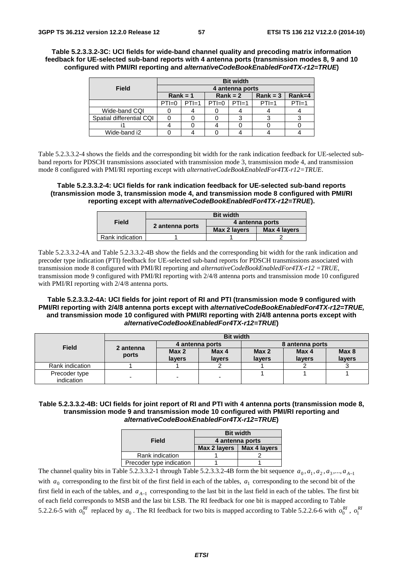**Table 5.2.3.3.2-3C: UCI fields for wide-band channel quality and precoding matrix information feedback for UE-selected sub-band reports with 4 antenna ports (transmission modes 8, 9 and 10 configured with PMI/RI reporting and** *alternativeCodeBookEnabledFor4TX-r12=TRUE***)** 

|                          | <b>Bit width</b> |         |            |         |            |          |
|--------------------------|------------------|---------|------------|---------|------------|----------|
| <b>Field</b>             | 4 antenna ports  |         |            |         |            |          |
|                          | $Rank = 1$       |         | $Rank = 2$ |         | $Rank = 3$ | $Rank=4$ |
|                          | $PTI=0$          | $PTI=1$ | $PTI=0$    | $PTI=1$ | $PTI=1$    | $PTI=1$  |
| Wide-band CQI            |                  |         |            |         |            |          |
| Spatial differential CQI |                  |         |            |         |            |          |
|                          |                  |         |            |         |            |          |
| Wide-band i2             |                  |         |            |         |            |          |

Table 5.2.3.3.2-4 shows the fields and the corresponding bit width for the rank indication feedback for UE-selected subband reports for PDSCH transmissions associated with transmission mode 3, transmission mode 4, and transmission mode 8 configured with PMI/RI reporting except with *alternativeCodeBookEnabledFor4TX-r12=TRUE*.

**Table 5.2.3.3.2-4: UCI fields for rank indication feedback for UE-selected sub-band reports (transmission mode 3, transmission mode 4, and transmission mode 8 configured with PMI/RI reporting except with** *alternativeCodeBookEnabledFor4TX-r12=TRUE***).** 

|                 | <b>Bit width</b> |                 |              |  |
|-----------------|------------------|-----------------|--------------|--|
| Field           | 2 antenna ports  | 4 antenna ports |              |  |
|                 |                  | Max 2 layers    | Max 4 layers |  |
| Rank indication |                  |                 |              |  |

Table 5.2.3.3.2-4A and Table 5.2.3.3.2-4B show the fields and the corresponding bit width for the rank indication and precoder type indication (PTI) feedback for UE-selected sub-band reports for PDSCH transmissions associated with transmission mode 8 configured with PMI/RI reporting and *alternativeCodeBookEnabledFor4TX-r12 =TRUE*, transmission mode 9 configured with PMI/RI reporting with 2/4/8 antenna ports and transmission mode 10 configured with PMI/RI reporting with 2/4/8 antenna ports.

## **Table 5.2.3.3.2-4A: UCI fields for joint report of RI and PTI (transmission mode 9 configured with PMI/RI reporting with 2/4/8 antenna ports except with** *alternativeCodeBookEnabledFor4TX-r12=TRUE,* **and transmission mode 10 configured with PMI/RI reporting with 2/4/8 antenna ports except with**  *alternativeCodeBookEnabledFor4TX-r12=TRUE***)**

|                             | <b>Bit width</b>   |                            |                 |                            |                 |                            |  |
|-----------------------------|--------------------|----------------------------|-----------------|----------------------------|-----------------|----------------------------|--|
| <b>Field</b>                | 2 antenna<br>ports | 4 antenna ports            |                 | 8 antenna ports            |                 |                            |  |
|                             |                    | Max <sub>2</sub><br>lavers | Max 4<br>lavers | Max <sub>2</sub><br>layers | Max 4<br>lavers | Max <sub>8</sub><br>layers |  |
| Rank indication             |                    |                            |                 |                            |                 |                            |  |
| Precoder type<br>indication | -                  |                            | -               |                            |                 |                            |  |

## **Table 5.2.3.3.2-4B: UCI fields for joint report of RI and PTI with 4 antenna ports (transmission mode 8, transmission mode 9 and transmission mode 10 configured with PMI/RI reporting and**  *alternativeCodeBookEnabledFor4TX-r12=TRUE***)**

|                          | <b>Bit width</b> |              |  |  |
|--------------------------|------------------|--------------|--|--|
| Field                    | 4 antenna ports  |              |  |  |
|                          | Max 2 layers     | Max 4 layers |  |  |
| Rank indication          |                  |              |  |  |
| Precoder type indication |                  |              |  |  |

The channel quality bits in Table 5.2.3.3.2-1 through Table 5.2.3.3.2-4B form the bit sequence  $a_0, a_1, a_2, a_3, \ldots, a_{A-1}$ with  $a_0$  corresponding to the first bit of the first field in each of the tables,  $a_1$  corresponding to the second bit of the first field in each of the tables, and  $a_{A-1}$  corresponding to the last bit in the last field in each of the tables. The first bit of each field corresponds to MSB and the last bit LSB. The RI feedback for one bit is mapped according to Table 5.2.2.6-5 with  $o_0^{RI}$  replaced by  $a_0$ . The RI feedback for two bits is mapped according to Table 5.2.2.6-6 with  $o_0^{RI}$ ,  $o_1^{RI}$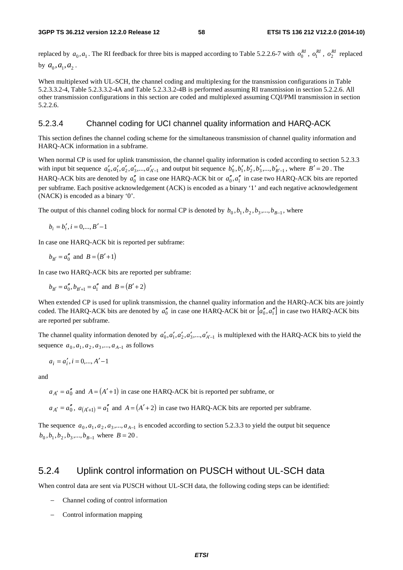replaced by  $a_0, a_1$ . The RI feedback for three bits is mapped according to Table 5.2.2.6-7 with  $o_0^{RI}$ ,  $o_1^{RI}$ ,  $o_2^{RI}$  replaced by  $a_0, a_1, a_2$ .

When multiplexed with UL-SCH, the channel coding and multiplexing for the transmission configurations in Table 5.2.3.3.2-4, Table 5.2.3.3.2-4A and Table 5.2.3.3.2-4B is performed assuming RI transmission in section 5.2.2.6. All other transmission configurations in this section are coded and multiplexed assuming CQI/PMI transmission in section 5.2.2.6.

## 5.2.3.4 Channel coding for UCI channel quality information and HARQ-ACK

This section defines the channel coding scheme for the simultaneous transmission of channel quality information and HARQ-ACK information in a subframe.

When normal CP is used for uplink transmission, the channel quality information is coded according to section 5.2.3.3 with input bit sequence  $a'_0, a'_1, a'_2, a'_3, \dots, a'_{A'-1}$  and output bit sequence  $b'_0, b'_1, b'_2, b'_3, \dots, b'_{B'-1}$ , where  $B' = 20$ . The HARQ-ACK bits are denoted by  $a_0$ <sup>"</sup> in case one HARQ-ACK bit or  $a_0$ <sup>"</sup>,  $a_1$ <sup>"</sup> in case two HARQ-ACK bits are reported per subframe. Each positive acknowledgement (ACK) is encoded as a binary '1' and each negative acknowledgement (NACK) is encoded as a binary '0'.

The output of this channel coding block for normal CP is denoted by  $b_0, b_1, b_2, b_3, ..., b_{B-1}$ , where

$$
b_i = b'_i, i = 0, \dots, B' - 1
$$

In case one HARQ-ACK bit is reported per subframe:

$$
b_{B'} = a_0''
$$
 and  $B = (B' + 1)$ 

In case two HARQ-ACK bits are reported per subframe:

 $b_{B'} = a_0, b_{B'+1} = a_1''$  and  $B = (B'+2)$ 

When extended CP is used for uplink transmission, the channel quality information and the HARQ-ACK bits are jointly coded. The HARQ-ACK bits are denoted by  $a_0''$  in case one HARQ-ACK bit or  $[a_0'', a_1'']$  in case two HARQ-ACK bits are reported per subframe.

The channel quality information denoted by  $a'_0, a'_1, a'_2, a'_3, \dots, a'_{A'-1}$  is multiplexed with the HARQ-ACK bits to yield the sequence  $a_0, a_1, a_2, a_3, ..., a_{A-1}$  as follows

$$
a_i = a'_i, i = 0,..., A'-1
$$

and

 $a_{A'} = a_0''$  and  $A = (A' + 1)$  in case one HARQ-ACK bit is reported per subframe, or

 $a_{A'} = a_0''$ ,  $a_{A'+1} = a_1''$  and  $A = (A'+2)$  in case two HARQ-ACK bits are reported per subframe.

The sequence  $a_0, a_1, a_2, a_3, \dots, a_{A-1}$  is encoded according to section 5.2.3.3 to yield the output bit sequence  $b_0, b_1, b_2, b_3, \dots, b_{B-1}$  where  $B = 20$ .

# 5.2.4 Uplink control information on PUSCH without UL-SCH data

When control data are sent via PUSCH without UL-SCH data, the following coding steps can be identified:

- − Channel coding of control information
- − Control information mapping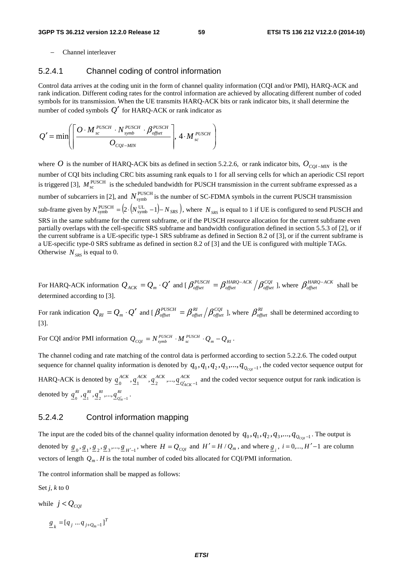− Channel interleaver

## 5.2.4.1 Channel coding of control information

Control data arrives at the coding unit in the form of channel quality information (CQI and/or PMI), HARQ-ACK and rank indication. Different coding rates for the control information are achieved by allocating different number of coded symbols for its transmission. When the UE transmits HARQ-ACK bits or rank indicator bits, it shall determine the number of coded symbols  $Q'$  for HARQ-ACK or rank indicator as

$$
Q' = \min \left( \left\lceil \frac{O \cdot M_{\mathit{sc}}^{\mathit{PUSCH}} \cdot N_{\mathit{symbol}}^{\mathit{PUSCH}} \cdot \beta_{\mathit{offset}}^{\mathit{PUSCH}}}{O_{\mathit{CQI-MIN}}} \right\rceil, 4 \cdot M_{\mathit{sc}}^{\mathit{PUSCH}} \right)
$$

where *O* is the number of HARQ-ACK bits as defined in section 5.2.2.6, or rank indicator bits,  $O_{COI-MIN}$  is the number of CQI bits including CRC bits assuming rank equals to 1 for all serving cells for which an aperiodic CSI report is triggered [3],  $M_{\rm sc}^{\rm PUSCH}$  is the scheduled bandwidth for PUSCH transmission in the current subframe expressed as a number of subcarriers in [2], and  $N_{\text{symbol}}^{\text{PUSCH}}$  is the number of SC-FDMA symbols in the current PUSCH transmission sub-frame given by  $N_{\text{symbol}}^{\text{PUSCH}} = (2 \cdot (N_{\text{symbol}}^{\text{UL}} - 1) - N_{SRS})$ , where  $N_{SRS}$  is equal to 1 if UE is configured to send PUSCH and SRS in the same subframe for the current subframe, or if the PUSCH resource allocation for the current subframe even partially overlaps with the cell-specific SRS subframe and bandwidth configuration defined in section 5.5.3 of [2], or if the current subframe is a UE-specific type-1 SRS subframe as defined in Section 8.2 of [3], or if the current subframe is a UE-specific type-0 SRS subframe as defined in section 8.2 of [3] and the UE is configured with multiple TAGs. Otherwise  $N_{SRS}$  is equal to 0.

For HARQ-ACK information  $Q_{ACK} = Q_m \cdot Q'$  and [  $\beta_{offset}^{PUSCH} = \beta_{offset}^{HARQ-ACK}/\beta_{offset}^{CQI}$ *HARQ ACK offset*  $\beta_{offset}^{PUSCH} = \beta_{offset}^{HARQ-ACK} / \beta_{offset}^{CQI}$  ], where  $\beta_{offset}^{HARQ-ACK}$  shall be determined according to [3].

For rank indication  $Q_{RI} = Q_m \cdot Q'$  and [  $\beta_{offset}^{PUSCH} = \beta_{offset}^{RI} \left/ \beta_{offset}^{CQI} \right)$ *RI offset*  $\beta_{\text{offset}}^{\text{PUSCH}} = \beta_{\text{offset}}^{\text{RI}} / \beta_{\text{offset}}^{\text{CQI}}$  ], where  $\beta_{\text{offset}}^{\text{RI}}$  shall be determined according to [3].

For CQI and/or PMI information  $Q_{CQI} = N_{\text{symb}}^{\text{PUSCH}} \cdot M_{\text{sc}}^{\text{PUSCH}} \cdot Q_m - Q_{RI}$ .

The channel coding and rate matching of the control data is performed according to section 5.2.2.6. The coded output sequence for channel quality information is denoted by  $q_0, q_1, q_2, q_3, \ldots, q_{Q_{COI}-1}$ , the coded vector sequence output for HARQ-ACK is denoted by  $q_0^{ACK}$ ,  $q_1^{ACK}$ ,  $q_2^{ACK}$ , ...,  $q_{Q'_{AC}}^{ACK}$ *ACK ACK ACK*  $q_0^{ACA}$ ,  $q_1^{ACA}$ ,  $q_2^{ACA}$ ,  $..., q_{Q'_{ACK}-1}^{ACA}$  and the coded vector sequence output for rank indication is denoted by  $\underline{q}^{RI}_{0}, \underline{q}^{RI}_{1}, \underline{q}^{RI}_{2}, ..., \underline{q}^{RI}_{Q'_k}$ *RIRIRI*  $q_0^{kl}, q_1^{kl}, q_2^{kl}, ..., q_{Q_{kl}-1}^{kl}$ .

## 5.2.4.2 Control information mapping

The input are the coded bits of the channel quality information denoted by  $q_0, q_1, q_2, q_3, \ldots, q_{Q_{CQI} - 1}$ . The output is denoted by  $\underline{g}_0$ ,  $\underline{g}_1$ ,  $\underline{g}_2$ ,  $\underline{g}_3$ ,...,  $\underline{g}_{H'-1}$ , where  $H = Q_{CQI}$  and  $H' = H/Q_m$ , and where  $\underline{g}_i$ ,  $i = 0,..., H'-1$  are column vectors of length  $Q_m$ . *H* is the total number of coded bits allocated for CQI/PMI information.

The control information shall be mapped as follows:

Set *j*, *k* to 0

while  $j < Q_{COI}$ 

 $\underline{g}_k = [q_j ... q_{j+Q_m-1}]^T$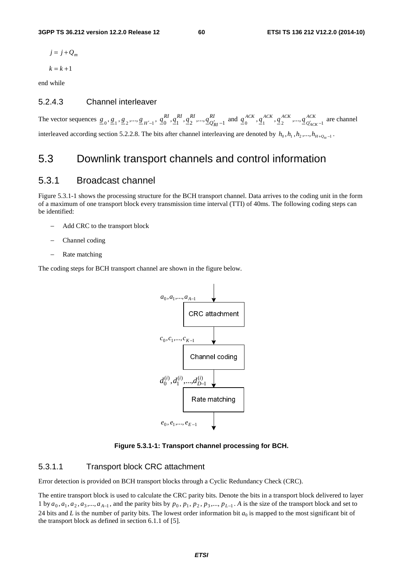- $j = j + Q_m$
- $k = k + 1$

end while

# 5.2.4.3 Channel interleaver

The vector sequences  $g_0$ ,  $g_1$ ,  $g_2$ , ...,  $g_{H'-1}$ ,  $g_0^{RI}$ ,  $g_1^{RI}$ ,  $g_2^{RI}$ , ...,  $g_{Q'_l}^{RI}$ *RIRIRI*  $q_0^{RI}, q_1^{RI}, q_2^{RI}, \dots, q_{Q'_{RI}-1}^{RI}$  and  $q_0^{ACK}, q_1^{ACK}, q_2^{ACK}, \dots, q_{Q'_{AC}}^{ACK}$ *ACK ACK ACK*  $q_0^{ACA}$ ,  $q_1^{ACA}$ ,  $q_2^{ACA}$ , ...,  $q_{Q'ACK-1}^{ACA}$  are channel interleaved according section 5.2.2.8. The bits after channel interleaving are denoted by  $h_0, h_1, h_2, ..., h_{H+0_n-1}$ .

# 5.3 Downlink transport channels and control information

# 5.3.1 Broadcast channel

Figure 5.3.1-1 shows the processing structure for the BCH transport channel. Data arrives to the coding unit in the form of a maximum of one transport block every transmission time interval (TTI) of 40ms. The following coding steps can be identified:

- − Add CRC to the transport block
- − Channel coding
- Rate matching

The coding steps for BCH transport channel are shown in the figure below.



**Figure 5.3.1-1: Transport channel processing for BCH.** 

# 5.3.1.1 Transport block CRC attachment

Error detection is provided on BCH transport blocks through a Cyclic Redundancy Check (CRC).

The entire transport block is used to calculate the CRC parity bits. Denote the bits in a transport block delivered to layer 1 by  $a_0, a_1, a_2, a_3, \dots, a_{A-1}$ , and the parity bits by  $p_0, p_1, p_2, p_3, \dots, p_{L-1}$ . A is the size of the transport block and set to 24 bits and *L* is the number of parity bits. The lowest order information bit  $a_0$  is mapped to the most significant bit of the transport block as defined in section 6.1.1 of [5].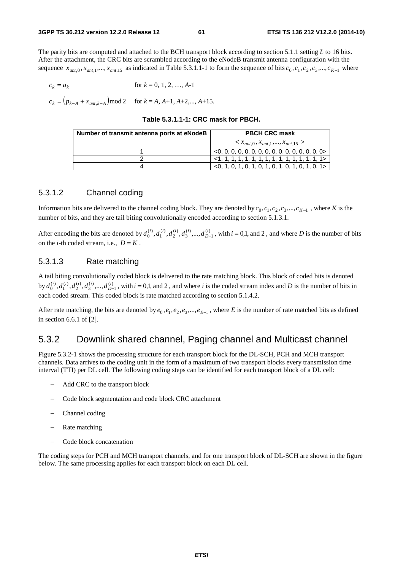The parity bits are computed and attached to the BCH transport block according to section 5.1.1 setting *L* to 16 bits. After the attachment, the CRC bits are scrambled according to the eNodeB transmit antenna configuration with the sequence  $x_{ant,0}, x_{ant,1},..., x_{ant,15}$  as indicated in Table 5.3.1.1-1 to form the sequence of bits  $c_0, c_1, c_2, c_3,..., c_{K-1}$  where

$$
c_k = a_k \qquad \text{for } k = 0, 1, 2, ..., A-1
$$

 $c_k = (p_{k-A} + x_{ant,k-A}) \mod 2$  for  $k = A, A+1, A+2,..., A+15$ .

## **Table 5.3.1.1-1: CRC mask for PBCH.**

| Number of transmit antenna ports at eNodeB | <b>PBCH CRC mask</b>                                               |  |  |
|--------------------------------------------|--------------------------------------------------------------------|--|--|
|                                            | $x_{ant,0}, x_{ant,1},, x_{ant,15} >$                              |  |  |
|                                            |                                                                    |  |  |
|                                            |                                                                    |  |  |
|                                            | $\left[$ <0, 1, 0, 1, 0, 1, 0, 1, 0, 1, 0, 1, 0, 1, 0, 1 $\right]$ |  |  |

# 5.3.1.2 Channel coding

Information bits are delivered to the channel coding block. They are denoted by  $c_0$ ,  $c_1$ ,  $c_2$ ,  $c_3$ ,...,  $c_{K-1}$ , where *K* is the number of bits, and they are tail biting convolutionally encoded according to section 5.1.3.1.

After encoding the bits are denoted by  $d_0^{(i)}$ ,  $d_1^{(i)}$ ,  $d_2^{(i)}$ ,  $d_3^{(i)}$ , ...,  $d_{D-1}^{(i)}$ , with  $i = 0,1$ , and 2, and where *D* is the number of bits on the *i*-th coded stream, i.e.,  $D = K$ .

## 5.3.1.3 Rate matching

A tail biting convolutionally coded block is delivered to the rate matching block. This block of coded bits is denoted by  $d_0^{(i)}$ ,  $d_1^{(i)}$ ,  $d_2^{(i)}$ ,  $d_3^{(i)}$ , ...,  $d_{D-1}^{(i)}$ , with  $i = 0,1$ , and 2, and where *i* is the coded stream index and *D* is the number of bits in each coded stream. This coded block is rate matched according to section 5.1.4.2.

After rate matching, the bits are denoted by  $e_0$ ,  $e_1$ ,  $e_2$ ,  $e_3$ ,...,  $e_{E-1}$ , where *E* is the number of rate matched bits as defined in section 6.6.1 of [2].

# 5.3.2 Downlink shared channel, Paging channel and Multicast channel

Figure 5.3.2-1 shows the processing structure for each transport block for the DL-SCH, PCH and MCH transport channels. Data arrives to the coding unit in the form of a maximum of two transport blocks every transmission time interval (TTI) per DL cell. The following coding steps can be identified for each transport block of a DL cell:

- − Add CRC to the transport block
- − Code block segmentation and code block CRC attachment
- − Channel coding
- Rate matching
- − Code block concatenation

The coding steps for PCH and MCH transport channels, and for one transport block of DL-SCH are shown in the figure below. The same processing applies for each transport block on each DL cell.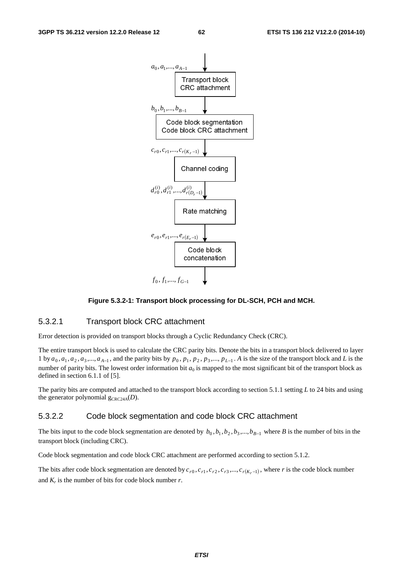

## **Figure 5.3.2-1: Transport block processing for DL-SCH, PCH and MCH.**

## 5.3.2.1 Transport block CRC attachment

Error detection is provided on transport blocks through a Cyclic Redundancy Check (CRC).

The entire transport block is used to calculate the CRC parity bits. Denote the bits in a transport block delivered to layer 1 by  $a_0, a_1, a_2, a_3, \dots, a_{A-1}$ , and the parity bits by  $p_0, p_1, p_2, p_3, \dots, p_{L-1}$ . A is the size of the transport block and *L* is the number of parity bits. The lowest order information bit  $a_0$  is mapped to the most significant bit of the transport block as defined in section 6.1.1 of [5].

The parity bits are computed and attached to the transport block according to section 5.1.1 setting *L* to 24 bits and using the generator polynomial  $g_{CRC24A}(D)$ .

## 5.3.2.2 Code block segmentation and code block CRC attachment

The bits input to the code block segmentation are denoted by  $b_0$ ,  $b_1$ ,  $b_2$ ,  $b_3$ ,...,  $b_{B-1}$  where *B* is the number of bits in the transport block (including CRC).

Code block segmentation and code block CRC attachment are performed according to section 5.1.2.

The bits after code block segmentation are denoted by  $c_{r0}$ ,  $c_{r1}$ ,  $c_{r2}$ ,  $c_{r3}$ ,...,  $c_{r(K_r-1)}$ , where *r* is the code block number and  $K_r$  is the number of bits for code block number  $r$ .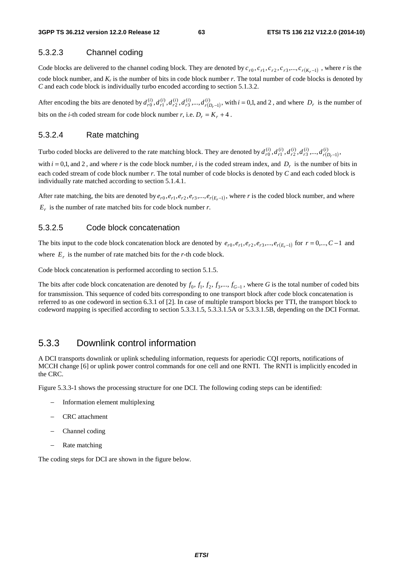# 5.3.2.3 Channel coding

Code blocks are delivered to the channel coding block. They are denoted by  $c_{r0}, c_{r1}, c_{r2}, c_{r3},..., c_{r(K_r-1)}$ , where *r* is the code block number, and *Kr* is the number of bits in code block number *r*. The total number of code blocks is denoted by *C* and each code block is individually turbo encoded according to section 5.1.3.2.

After encoding the bits are denoted by  $d_{r0}^{(i)}, d_{r1}^{(i)}, d_{r2}^{(i)}, d_{r3}^{(i)},..., d_{r(D_r-1)}^{(i)}$ 1  $\hat{d}_{r0}^{(i)},d_{r1}^{(i)},d_{r2}^{(i)},d_{r3}^{(i)},...,d_{r(D)}^{(i)}$  $d_{r0}^{(i)}$ ,  $d_{r1}^{(i)}$ ,  $d_{r2}^{(i)}$ ,  $d_{r3}^{(i)}$ ,...,  $d_{r(D_r-1)}^{(i)}$ , with  $i = 0,1$ , and 2, and where  $D_r$  is the number of bits on the *i*-th coded stream for code block number *r*, i.e.  $D_r = K_r + 4$ .

## 5.3.2.4 Rate matching

Turbo coded blocks are delivered to the rate matching block. They are denoted by  $d_{r0}^{(i)}, d_{r1}^{(i)}, d_{r2}^{(i)}, d_{r3}^{(i)},..., d_{r(p_r-1)}^{(i)}$ 1  $\hat{d}_{r0}^{(i)},d_{r1}^{(i)},d_{r2}^{(i)},d_{r3}^{(i)},...,d_{r(D)}^{(i)}$  $d_{r0}^{(i)}, d_{r1}^{(i)}, d_{r2}^{(i)}, d_{r3}^{(i)},..., d_{r(D_r-1)}^{(i)},$ 

with  $i = 0,1$ , and 2, and where *r* is the code block number, *i* is the coded stream index, and  $D_r$  is the number of bits in each coded stream of code block number *r*. The total number of code blocks is denoted by *C* and each coded block is individually rate matched according to section 5.1.4.1.

After rate matching, the bits are denoted by  $e_{r0}, e_{r1}, e_{r2}, e_{r3}, \dots, e_{r(E_r-1)}$ , where *r* is the coded block number, and where  $E_r$  is the number of rate matched bits for code block number *r*.

## 5.3.2.5 Code block concatenation

The bits input to the code block concatenation block are denoted by  $e_{r0}, e_{r1}, e_{r2}, e_{r3}, \dots, e_{r(E_{r-1})}$  for  $r = 0, \dots, C-1$  and where  $E_r$  is the number of rate matched bits for the *r*-th code block.

Code block concatenation is performed according to section 5.1.5.

The bits after code block concatenation are denoted by  $f_0, f_1, f_2, f_3, \dots, f_{G-1}$ , where *G* is the total number of coded bits for transmission. This sequence of coded bits corresponding to one transport block after code block concatenation is referred to as one codeword in section 6.3.1 of [2]. In case of multiple transport blocks per TTI, the transport block to codeword mapping is specified according to section 5.3.3.1.5, 5.3.3.1.5A or 5.3.3.1.5B, depending on the DCI Format.

# 5.3.3 Downlink control information

A DCI transports downlink or uplink scheduling information, requests for aperiodic CQI reports, notifications of MCCH change [6] or uplink power control commands for one cell and one RNTI. The RNTI is implicitly encoded in the CRC.

Figure 5.3.3-1 shows the processing structure for one DCI. The following coding steps can be identified:

- − Information element multiplexing
- − CRC attachment
- − Channel coding
- Rate matching

The coding steps for DCI are shown in the figure below.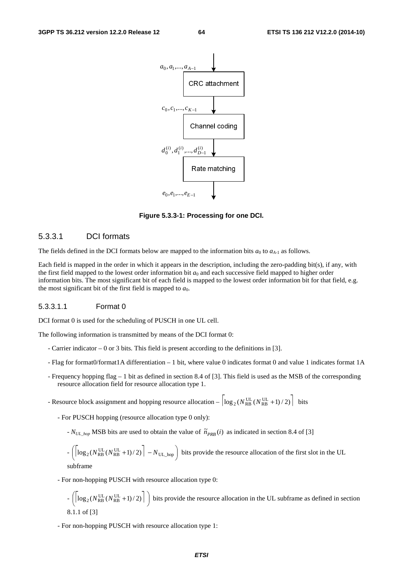

**Figure 5.3.3-1: Processing for one DCI.** 

# 5.3.3.1 DCI formats

The fields defined in the DCI formats below are mapped to the information bits  $a_0$  to  $a_{A-1}$  as follows.

Each field is mapped in the order in which it appears in the description, including the zero-padding bit(s), if any, with the first field mapped to the lowest order information bit  $a_0$  and each successive field mapped to higher order information bits. The most significant bit of each field is mapped to the lowest order information bit for that field, e.g. the most significant bit of the first field is mapped to  $a_0$ .

## 5.3.3.1.1 Format 0

DCI format 0 is used for the scheduling of PUSCH in one UL cell.

The following information is transmitted by means of the DCI format 0:

- Carrier indicator 0 or 3 bits. This field is present according to the definitions in [3].
- Flag for format0/format1A differentiation 1 bit, where value 0 indicates format 0 and value 1 indicates format 1A
- Frequency hopping flag 1 bit as defined in section 8.4 of [3]. This field is used as the MSB of the corresponding resource allocation field for resource allocation type 1.

- Resource block assignment and hopping resource allocation  $- \left| \log_2(N_{RB}^{UL}(N_{RB}^{UL} + 1)/2) \right|$  bits

- For PUSCH hopping (resource allocation type 0 only):
	- $N_{UL\_hop}$  MSB bits are used to obtain the value of  $\tilde{n}_{PRB}(i)$  as indicated in section 8.4 of [3]

 $-\left(\left(\log_2(N_{RB}^{UL}(N_{RB}^{UL}+1)/2)\right)-N_{UL\_hop}\right)$  bits provide the resource allocation of the first slot in the UL  $\overline{a}$ subframe

- For non-hopping PUSCH with resource allocation type 0:

$$
-\left(\left\lceil \log_2(N_{RB}^{UL}(N_{RB}^{UL}+1)/2)\right\rceil\right)
$$
 bits provide the resource allocation in the UL subframe as defined in section 8.1.1 of [3]

- For non-hopping PUSCH with resource allocation type 1: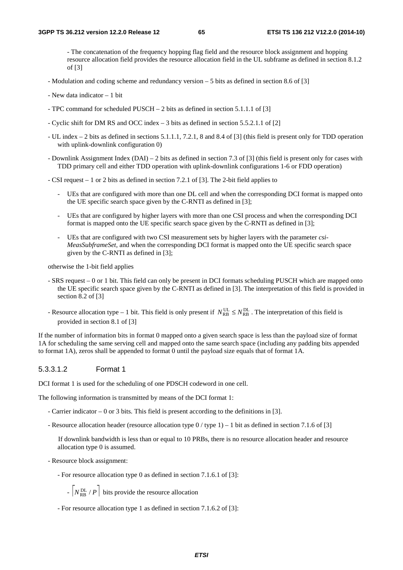- The concatenation of the frequency hopping flag field and the resource block assignment and hopping resource allocation field provides the resource allocation field in the UL subframe as defined in section 8.1.2 of [3]

- Modulation and coding scheme and redundancy version 5 bits as defined in section 8.6 of [3]
- New data indicator 1 bit
- TPC command for scheduled PUSCH 2 bits as defined in section 5.1.1.1 of [3]
- Cyclic shift for DM RS and OCC index 3 bits as defined in section 5.5.2.1.1 of [2]
- UL index 2 bits as defined in sections 5.1.1.1, 7.2.1, 8 and 8.4 of [3] (this field is present only for TDD operation with uplink-downlink configuration 0)
- Downlink Assignment Index (DAI) 2 bits as defined in section 7.3 of [3] (this field is present only for cases with TDD primary cell and either TDD operation with uplink-downlink configurations 1-6 or FDD operation)
- CSI request 1 or 2 bits as defined in section 7.2.1 of [3]. The 2-bit field applies to
	- UEs that are configured with more than one DL cell and when the corresponding DCI format is mapped onto the UE specific search space given by the C-RNTI as defined in [3];
	- UEs that are configured by higher layers with more than one CSI process and when the corresponding DCI format is mapped onto the UE specific search space given by the C-RNTI as defined in [3];
	- UEs that are configured with two CSI measurement sets by higher layers with the parameter *csi-MeasSubframeSet,* and when the corresponding DCI format is mapped onto the UE specific search space given by the C-RNTI as defined in [3];

otherwise the 1-bit field applies

- SRS request 0 or 1 bit. This field can only be present in DCI formats scheduling PUSCH which are mapped onto the UE specific search space given by the C-RNTI as defined in [3]. The interpretation of this field is provided in section 8.2 of [3]
- Resource allocation type 1 bit. This field is only present if  $N_{RB}^{UL} \le N_{RB}^{DL}$ . The interpretation of this field is provided in section 8.1 of [3]

If the number of information bits in format 0 mapped onto a given search space is less than the payload size of format 1A for scheduling the same serving cell and mapped onto the same search space (including any padding bits appended to format 1A), zeros shall be appended to format 0 until the payload size equals that of format 1A.

## 5.3.3.1.2 Format 1

DCI format 1 is used for the scheduling of one PDSCH codeword in one cell.

The following information is transmitted by means of the DCI format 1:

- Carrier indicator 0 or 3 bits. This field is present according to the definitions in [3].
- Resource allocation header (resource allocation type 0 / type 1) 1 bit as defined in section 7.1.6 of [3]

 If downlink bandwidth is less than or equal to 10 PRBs, there is no resource allocation header and resource allocation type 0 is assumed.

- Resource block assignment:

- For resource allocation type 0 as defined in section 7.1.6.1 of [3]:

 $- N_{RB}^{DL} / P$  bits provide the resource allocation

- For resource allocation type 1 as defined in section 7.1.6.2 of [3]: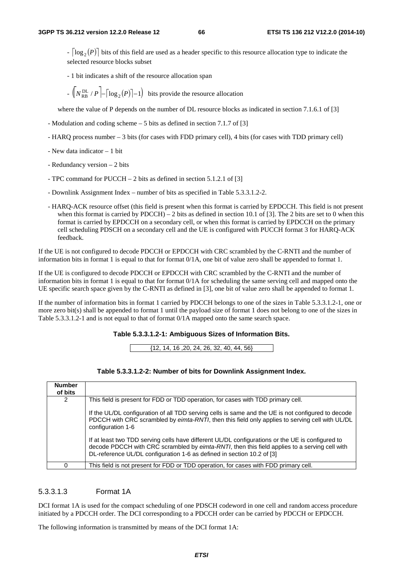$\lceil \log_2(P) \rceil$  bits of this field are used as a header specific to this resource allocation type to indicate the selected resource blocks subset

- 1 bit indicates a shift of the resource allocation span

 $-\left(\sqrt{\frac{PL}{RB}}/P\right) - \left(\log_2(P)\right) - 1\right)$  bits provide the resource allocation

where the value of P depends on the number of DL resource blocks as indicated in section 7.1.6.1 of [3]

- Modulation and coding scheme 5 bits as defined in section 7.1.7 of [3]
- HARQ process number 3 bits (for cases with FDD primary cell), 4 bits (for cases with TDD primary cell)
- New data indicator 1 bit
- Redundancy version 2 bits
- TPC command for PUCCH 2 bits as defined in section 5.1.2.1 of [3]
- Downlink Assignment Index number of bits as specified in Table 5.3.3.1.2-2.
- HARQ-ACK resource offset (this field is present when this format is carried by EPDCCH. This field is not present when this format is carried by PDCCH) – 2 bits as defined in section 10.1 of [3]. The 2 bits are set to 0 when this format is carried by EPDCCH on a secondary cell, or when this format is carried by EPDCCH on the primary cell scheduling PDSCH on a secondary cell and the UE is configured with PUCCH format 3 for HARQ-ACK feedback.

If the UE is not configured to decode PDCCH or EPDCCH with CRC scrambled by the C-RNTI and the number of information bits in format 1 is equal to that for format 0/1A, one bit of value zero shall be appended to format 1.

If the UE is configured to decode PDCCH or EPDCCH with CRC scrambled by the C-RNTI and the number of information bits in format 1 is equal to that for format  $0/1$ A for scheduling the same serving cell and mapped onto the UE specific search space given by the C-RNTI as defined in [3], one bit of value zero shall be appended to format 1.

If the number of information bits in format 1 carried by PDCCH belongs to one of the sizes in Table 5.3.3.1.2-1, one or more zero bit(s) shall be appended to format 1 until the payload size of format 1 does not belong to one of the sizes in Table 5.3.3.1.2-1 and is not equal to that of format 0/1A mapped onto the same search space.

#### **Table 5.3.3.1.2-1: Ambiguous Sizes of Information Bits.**

{12, 14, 16 ,20, 24, 26, 32, 40, 44, 56}

| <b>Number</b><br>of bits |                                                                                                                                                                                                                                                                             |
|--------------------------|-----------------------------------------------------------------------------------------------------------------------------------------------------------------------------------------------------------------------------------------------------------------------------|
| 2                        | This field is present for FDD or TDD operation, for cases with TDD primary cell.                                                                                                                                                                                            |
|                          | If the UL/DL configuration of all TDD serving cells is same and the UE is not configured to decode<br>PDCCH with CRC scrambled by eimta-RNTI, then this field only applies to serving cell with UL/DL<br>configuration 1-6                                                  |
|                          | If at least two TDD serving cells have different UL/DL configurations or the UE is configured to<br>decode PDCCH with CRC scrambled by eimta-RNTI, then this field applies to a serving cell with<br>DL-reference UL/DL configuration 1-6 as defined in section 10.2 of [3] |
|                          | This field is not present for FDD or TDD operation, for cases with FDD primary cell.                                                                                                                                                                                        |

## 5.3.3.1.3 Format 1A

DCI format 1A is used for the compact scheduling of one PDSCH codeword in one cell and random access procedure initiated by a PDCCH order. The DCI corresponding to a PDCCH order can be carried by PDCCH or EPDCCH.

The following information is transmitted by means of the DCI format 1A: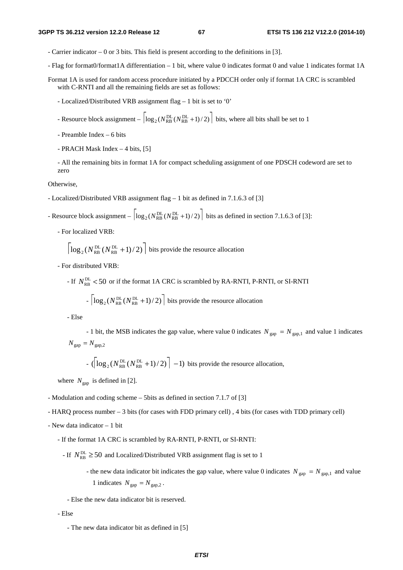- Carrier indicator 0 or 3 bits. This field is present according to the definitions in [3].
- Flag for format0/format1A differentiation 1 bit, where value 0 indicates format 0 and value 1 indicates format 1A
- Format 1A is used for random access procedure initiated by a PDCCH order only if format 1A CRC is scrambled with C-RNTI and all the remaining fields are set as follows:
	- Localized/Distributed VRB assignment flag 1 bit is set to '0'
	- Resource block assignment  $\left| \log_2(N_{RB}^{DL}(N_{RB}^{DL}+1)/2) \right|$  bits, where all bits shall be set to 1
	- Preamble Index 6 bits
	- PRACH Mask Index 4 bits, [5]

- All the remaining bits in format 1A for compact scheduling assignment of one PDSCH codeword are set to zero

Otherwise,

- Localized/Distributed VRB assignment flag 1 bit as defined in 7.1.6.3 of [3]
- Resource block assignment  $\left| \log_2(N_{RB}^{DL}(N_{RB}^{DL}+1)/2) \right|$  bits as defined in section 7.1.6.3 of [3]:
	- For localized VRB:

$$
\left\lceil \log_2(N_{\text{RB}}^{\text{DL}}(N_{\text{RB}}^{\text{DL}}+1)/2) \right\rceil
$$
 bits provide the resource allocation

- For distributed VRB:
	- If  $N_{\text{RR}}^{\text{DL}}$  < 50 or if the format 1A CRC is scrambled by RA-RNTI, P-RNTI, or SI-RNTI

$$
- \left\lceil \log_2(N_{\text{RB}}^{\text{DL}}(N_{\text{RB}}^{\text{DL}} + 1)/2) \right\rceil
$$
 bits provide the resource allocation

- Else

- 1 bit, the MSB indicates the gap value, where value 0 indicates  $N_{\text{gap}} = N_{\text{gap,1}}$  and value 1 indicates  $N_{\text{gap}} = N_{\text{gap},2}$ 

- 
$$
(\left\lceil \log_2(N_{RB}^{DL}(N_{RB}^{DL}+1)/2)\right\rceil -1)
$$
 bits provide the resource allocation,

where  $N_{\text{gap}}$  is defined in [2].

- Modulation and coding scheme 5bits as defined in section 7.1.7 of [3]
- HARQ process number 3 bits (for cases with FDD primary cell) , 4 bits (for cases with TDD primary cell)
- New data indicator 1 bit
	- If the format 1A CRC is scrambled by RA-RNTI, P-RNTI, or SI-RNTI:
		- If  $N_{\text{RB}}^{\text{DL}} \ge 50$  and Localized/Distributed VRB assignment flag is set to 1
			- the new data indicator bit indicates the gap value, where value 0 indicates  $N_{\text{gap}} = N_{\text{gap,1}}$  and value 1 indicates  $N_{\text{gap}} = N_{\text{gap},2}$ .

- Else the new data indicator bit is reserved.

- Else

 <sup>-</sup> The new data indicator bit as defined in [5]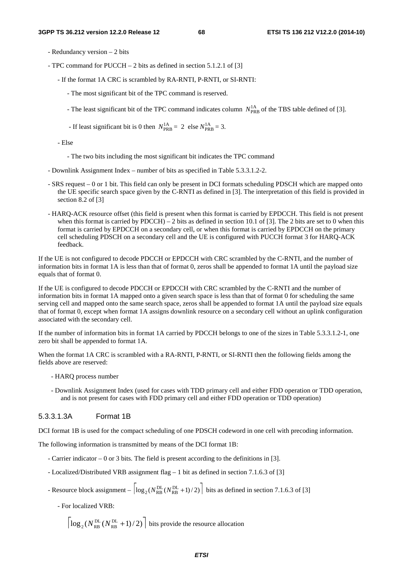- Redundancy version 2 bits
- TPC command for PUCCH 2 bits as defined in section 5.1.2.1 of [3]
	- If the format 1A CRC is scrambled by RA-RNTI, P-RNTI, or SI-RNTI:
		- The most significant bit of the TPC command is reserved.
		- The least significant bit of the TPC command indicates column  $N_{\text{PRB}}^{\text{1A}}$  of the TBS table defined of [3].
		- If least significant bit is 0 then  $N_{\text{PRB}}^{1A} = 2$  else  $N_{\text{PRB}}^{1A} = 3$ .

- Else

- The two bits including the most significant bit indicates the TPC command
- Downlink Assignment Index number of bits as specified in Table 5.3.3.1.2-2.
- SRS request 0 or 1 bit. This field can only be present in DCI formats scheduling PDSCH which are mapped onto the UE specific search space given by the C-RNTI as defined in [3]. The interpretation of this field is provided in section 8.2 of [3]
- HARQ-ACK resource offset (this field is present when this format is carried by EPDCCH. This field is not present when this format is carried by PDCCH) – 2 bits as defined in section 10.1 of [3]. The 2 bits are set to 0 when this format is carried by EPDCCH on a secondary cell, or when this format is carried by EPDCCH on the primary cell scheduling PDSCH on a secondary cell and the UE is configured with PUCCH format 3 for HARQ-ACK feedback.

If the UE is not configured to decode PDCCH or EPDCCH with CRC scrambled by the C-RNTI, and the number of information bits in format 1A is less than that of format 0, zeros shall be appended to format 1A until the payload size equals that of format 0.

If the UE is configured to decode PDCCH or EPDCCH with CRC scrambled by the C-RNTI and the number of information bits in format 1A mapped onto a given search space is less than that of format 0 for scheduling the same serving cell and mapped onto the same search space, zeros shall be appended to format 1A until the payload size equals that of format 0, except when format 1A assigns downlink resource on a secondary cell without an uplink configuration associated with the secondary cell.

If the number of information bits in format 1A carried by PDCCH belongs to one of the sizes in Table 5.3.3.1.2-1, one zero bit shall be appended to format 1A.

When the format 1A CRC is scrambled with a RA-RNTI, P-RNTI, or SI-RNTI then the following fields among the fields above are reserved:

- HARQ process number
- Downlink Assignment Index (used for cases with TDD primary cell and either FDD operation or TDD operation, and is not present for cases with FDD primary cell and either FDD operation or TDD operation)

## 5.3.3.1.3A Format 1B

DCI format 1B is used for the compact scheduling of one PDSCH codeword in one cell with precoding information.

The following information is transmitted by means of the DCI format 1B:

- Carrier indicator 0 or 3 bits. The field is present according to the definitions in [3].
- Localized/Distributed VRB assignment flag 1 bit as defined in section 7.1.6.3 of [3]
- Resource block assignment  $\left| \log_2(N_{\text{RB}}^{\text{DL}}(N_{\text{RB}}^{\text{DL}}+1)/2) \right|$  bits as defined in section 7.1.6.3 of [3]
	- For localized VRB:

 $\log_2(N_{\text{RB}}^{\text{DL}}(N_{\text{RB}}^{\text{DL}}+1)/2)$  $_2(N_{RB}^{DL}(N_{RB}^{DL}+1)/2)$  bits provide the resource allocation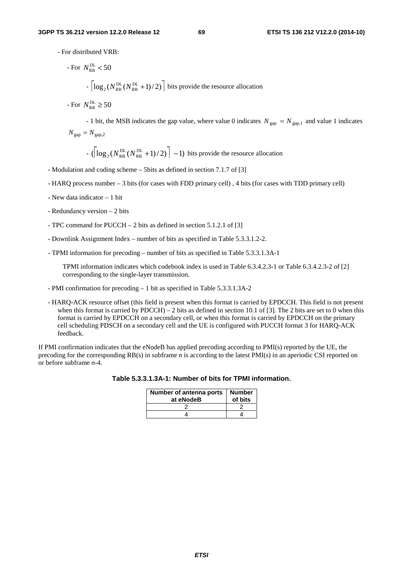- For distributed VRB:

For 
$$
N_{RB}^{DL} < 50
$$
  
\n
$$
- \left[ \log_2(N_{RB}^{DL} (N_{RB}^{DL} + 1)/2) \right]
$$
 bits provide the resource allocation  
\n- For  $N_{RB}^{DL} \ge 50$ 

- 1 bit, the MSB indicates the gap value, where value 0 indicates  $N_{\text{gap}} = N_{\text{gap,1}}$  and value 1 indicates  $N_{\text{gap}} = N_{\text{gap},2}$ 

 $-$  ( $\log_2(N_{\text{RB}}^{\text{DL}}(N_{\text{RB}}^{\text{DL}}+1)/2)$  | -1) bits provide the resource allocation

- Modulation and coding scheme 5bits as defined in section 7.1.7 of [3]
- HARQ process number 3 bits (for cases with FDD primary cell) , 4 bits (for cases with TDD primary cell)
- New data indicator 1 bit
- Redundancy version 2 bits
- TPC command for PUCCH 2 bits as defined in section 5.1.2.1 of [3]
- Downlink Assignment Index number of bits as specified in Table 5.3.3.1.2-2.
- TPMI information for precoding number of bits as specified in Table 5.3.3.1.3A-1

TPMI information indicates which codebook index is used in Table 6.3.4.2.3-1 or Table 6.3.4.2.3-2 of [2] corresponding to the single-layer transmission.

- PMI confirmation for precoding 1 bit as specified in Table 5.3.3.1.3A-2
- HARQ-ACK resource offset (this field is present when this format is carried by EPDCCH. This field is not present when this format is carried by PDCCH) – 2 bits as defined in section 10.1 of [3]. The 2 bits are set to 0 when this format is carried by EPDCCH on a secondary cell, or when this format is carried by EPDCCH on the primary cell scheduling PDSCH on a secondary cell and the UE is configured with PUCCH format 3 for HARQ-ACK feedback.

If PMI confirmation indicates that the eNodeB has applied precoding according to PMI(s) reported by the UE, the precoding for the corresponding RB(s) in subframe *n* is according to the latest PMI(s) in an aperiodic CSI reported on or before subframe *n-*4.

| Table 5.3.3.1.3A-1: Number of bits for TPMI information |  |
|---------------------------------------------------------|--|

| <b>Number of antenna ports</b><br>at eNodeB | <b>Number</b><br>of bits |
|---------------------------------------------|--------------------------|
|                                             |                          |
|                                             |                          |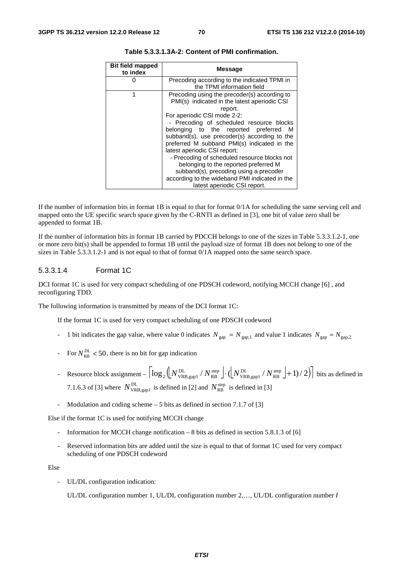| <b>Bit field mapped</b><br>to index | <b>Message</b>                                                                                                                          |
|-------------------------------------|-----------------------------------------------------------------------------------------------------------------------------------------|
|                                     | Precoding according to the indicated TPMI in                                                                                            |
|                                     | the TPMI information field                                                                                                              |
| 1                                   | Precoding using the precoder(s) according to<br>PMI(s) indicated in the latest aperiodic CSI                                            |
|                                     | report.                                                                                                                                 |
|                                     | For aperiodic CSI mode 2-2:                                                                                                             |
|                                     | - Precoding of scheduled resource blocks                                                                                                |
|                                     | belonging to the reported preferred<br>M<br>subband(s), use precoder(s) according to the<br>preferred M subband PMI(s) indicated in the |
|                                     | latest aperiodic CSI report;                                                                                                            |
|                                     | - Precoding of scheduled resource blocks not                                                                                            |
|                                     | belonging to the reported preferred M                                                                                                   |
|                                     | subband(s), precoding using a precoder                                                                                                  |
|                                     | according to the wideband PMI indicated in the                                                                                          |
|                                     | latest aperiodic CSI report.                                                                                                            |

**Table 5.3.3.1.3A-2: Content of PMI confirmation.** 

If the number of information bits in format  $1B$  is equal to that for format  $0/1A$  for scheduling the same serving cell and mapped onto the UE specific search space given by the C-RNTI as defined in [3], one bit of value zero shall be appended to format 1B.

If the number of information bits in format 1B carried by PDCCH belongs to one of the sizes in Table 5.3.3.1.2-1, one or more zero bit(s) shall be appended to format 1B until the payload size of format 1B does not belong to one of the sizes in Table 5.3.3.1.2-1 and is not equal to that of format 0/1A mapped onto the same search space.

## 5.3.3.1.4 Format 1C

DCI format 1C is used for very compact scheduling of one PDSCH codeword, notifying MCCH change [6] , and reconfiguring TDD.

The following information is transmitted by means of the DCI format 1C:

If the format 1C is used for very compact scheduling of one PDSCH codeword

- 1 bit indicates the gap value, where value 0 indicates  $N_{\text{gap}} = N_{\text{gap,1}}$  and value 1 indicates  $N_{\text{gap}} = N_{\text{gap,2}}$
- For  $N_{\text{RR}}^{\text{DL}}$  < 50, there is no bit for gap indication
- Resource block assignment  $\left[ \log_2 \left( \frac{N_{\text{VRB, gap1}}^{\text{DL}}}{N_{\text{RB. gap1}}^{\text{step}}} \right) \cdot \left( \left[ \frac{N_{\text{VRB, gap1}}^{\text{DL}}}{N_{\text{RB. gap1}}^{\text{step}}} \right] + 1 \right) / 2 \right) \right]$ DL VRB,gap1 step RB  $\frac{1}{2} \left( \left[ N_{\text{VRB, gap}}^{\text{DL}} \right] / N_{\text{RB}}^{\text{step}} \right] \cdot \left( \left[ N_{\text{VRB, gap}}^{\text{DL}} \right] / N_{\text{RB}}^{\text{step}} \right] + 1 \right) / 2 \right)$  bits as defined in 7.1.6.3 of [3] where  $N_{VRB,gap1}^{DL}$  is defined in [2] and  $N_{RB}^{step}$  is defined in [3]
- Modulation and coding scheme  $5$  bits as defined in section 7.1.7 of [3]

Else if the format 1C is used for notifying MCCH change

- Information for MCCH change notification 8 bits as defined in section 5.8.1.3 of [6]
- Reserved information bits are added until the size is equal to that of format 1C used for very compact scheduling of one PDSCH codeword

Else

UL/DL configuration indication:

UL/DL configuration number 1, UL/DL configuration number 2,…, UL/DL configuration number *I*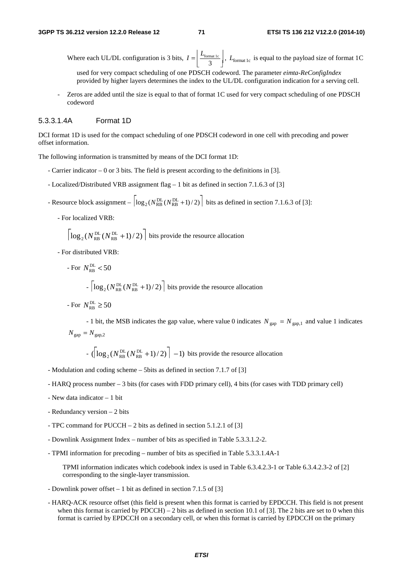Where each UL/DL configuration is 3 bits,  $I = \frac{L_{\text{format le}}}{3}$  $I = \left[ \frac{L_{\text{format lc}}}{3} \right]$ ,  $L_{\text{format lc}}$  is equal to the payload size of format 1C

used for very compact scheduling of one PDSCH codeword. The parameter *eimta-ReConfigIndex*  provided by higher layers determines the index to the UL/DL configuration indication for a serving cell.

- Zeros are added until the size is equal to that of format 1C used for very compact scheduling of one PDSCH codeword

## 5.3.3.1.4A Format 1D

DCI format 1D is used for the compact scheduling of one PDSCH codeword in one cell with precoding and power offset information.

The following information is transmitted by means of the DCI format 1D:

- Carrier indicator 0 or 3 bits. The field is present according to the definitions in [3].
- Localized/Distributed VRB assignment flag 1 bit as defined in section 7.1.6.3 of [3]
- Resource block assignment  $\left| \log_2(N_{RB}^{DL}(N_{RB}^{DL}+1)/2) \right|$  bits as defined in section 7.1.6.3 of [3]:
	- For localized VRB:

$$
\left\lceil \log_2(N_{\text{RB}}^{\text{DL}}(N_{\text{RB}}^{\text{DL}}+1)/2) \right\rceil
$$
 bits provide the resource allocation

- For distributed VRB:

For 
$$
N_{\text{RB}}^{\text{DL}} < 50
$$
  
-  $\left\lceil \log_2(N_{\text{RB}}^{\text{DL}}(N_{\text{RB}}^{\text{DL}} + 1)/2) \right\rceil$  bits provide the resource allocation

- For  $N_{\text{\tiny BR}}^{\text{DL}} \geq 50$ 

- 1 bit, the MSB indicates the gap value, where value 0 indicates  $N_{\text{gap}} = N_{\text{gap,1}}$  and value 1 indicates  $N_{\text{gap}} = N_{\text{gap},2}$ 

- 
$$
\left(\log_2(N_{\text{RB}}^{\text{DL}}(N_{\text{RB}}^{\text{DL}}+1)/2)\right] - 1
$$
 bits provide the resource allocation

- Modulation and coding scheme 5bits as defined in section 7.1.7 of [3]
- HARQ process number 3 bits (for cases with FDD primary cell), 4 bits (for cases with TDD primary cell)
- New data indicator 1 bit
- Redundancy version 2 bits
- TPC command for PUCCH 2 bits as defined in section 5.1.2.1 of [3]
- Downlink Assignment Index number of bits as specified in Table 5.3.3.1.2-2.
- TPMI information for precoding number of bits as specified in Table 5.3.3.1.4A-1

TPMI information indicates which codebook index is used in Table 6.3.4.2.3-1 or Table 6.3.4.2.3-2 of [2] corresponding to the single-layer transmission.

- Downlink power offset 1 bit as defined in section 7.1.5 of [3]
- HARQ-ACK resource offset (this field is present when this format is carried by EPDCCH. This field is not present when this format is carried by PDCCH) – 2 bits as defined in section 10.1 of [3]. The 2 bits are set to 0 when this format is carried by EPDCCH on a secondary cell, or when this format is carried by EPDCCH on the primary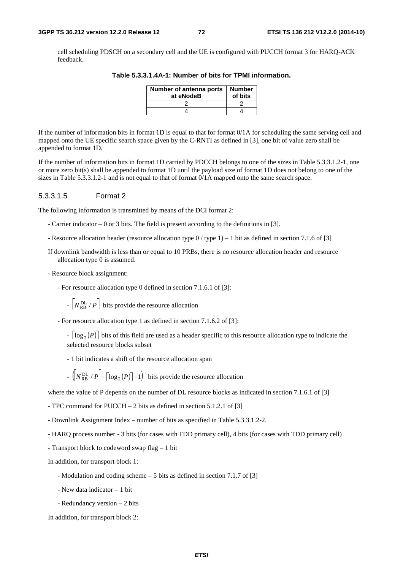cell scheduling PDSCH on a secondary cell and the UE is configured with PUCCH format 3 for HARQ-ACK feedback.

| Number of antenna ports<br>at eNodeB | <b>Number</b><br>of bits |
|--------------------------------------|--------------------------|
|                                      |                          |
|                                      |                          |

**Table 5.3.3.1.4A-1: Number of bits for TPMI information.** 

If the number of information bits in format 1D is equal to that for format 0/1A for scheduling the same serving cell and mapped onto the UE specific search space given by the C-RNTI as defined in [3], one bit of value zero shall be appended to format 1D.

If the number of information bits in format 1D carried by PDCCH belongs to one of the sizes in Table 5.3.3.1.2-1, one or more zero bit(s) shall be appended to format 1D until the payload size of format 1D does not belong to one of the sizes in Table 5.3.3.1.2-1 and is not equal to that of format 0/1A mapped onto the same search space.

#### 5.3.3.1.5 Format 2

The following information is transmitted by means of the DCI format 2:

- Carrier indicator 0 or 3 bits. The field is present according to the definitions in [3].
- Resource allocation header (resource allocation type 0 / type 1) 1 bit as defined in section 7.1.6 of [3]

If downlink bandwidth is less than or equal to 10 PRBs, there is no resource allocation header and resource allocation type 0 is assumed.

- Resource block assignment:

- For resource allocation type 0 defined in section 7.1.6.1 of [3]:

 $- N_{RB}^{DL} / P$  bits provide the resource allocation

- For resource allocation type 1 as defined in section 7.1.6.2 of [3]:

 $\lceil \log_2(P) \rceil$  bits of this field are used as a header specific to this resource allocation type to indicate the selected resource blocks subset

- 1 bit indicates a shift of the resource allocation span

 $-\left(\sqrt{\frac{PL}{RB}}/P\right) - \left(\log_2(P)\right) - 1\right)$  bits provide the resource allocation

where the value of P depends on the number of DL resource blocks as indicated in section 7.1.6.1 of [3]

- TPC command for PUCCH – 2 bits as defined in section 5.1.2.1 of [3]

- Downlink Assignment Index – number of bits as specified in Table 5.3.3.1.2-2.

- HARQ process number - 3 bits (for cases with FDD primary cell), 4 bits (for cases with TDD primary cell)

- Transport block to codeword swap flag – 1 bit

In addition, for transport block 1:

- Modulation and coding scheme 5 bits as defined in section 7.1.7 of [3]
- New data indicator 1 bit
- Redundancy version 2 bits

In addition, for transport block 2: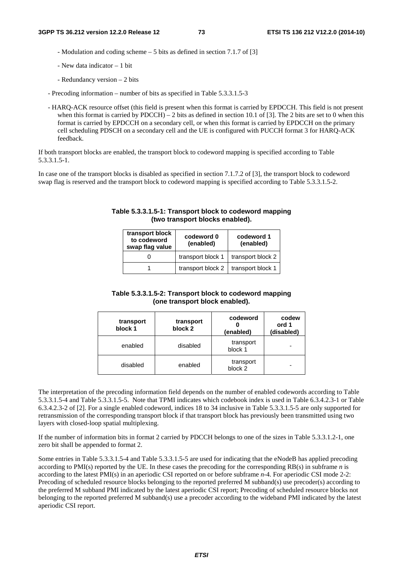- Modulation and coding scheme – 5 bits as defined in section 7.1.7 of [3]

- New data indicator 1 bit
- Redundancy version 2 bits
- Precoding information number of bits as specified in Table 5.3.3.1.5-3
- HARQ-ACK resource offset (this field is present when this format is carried by EPDCCH. This field is not present when this format is carried by  $PDCCH$ ) – 2 bits as defined in section 10.1 of [3]. The 2 bits are set to 0 when this format is carried by EPDCCH on a secondary cell, or when this format is carried by EPDCCH on the primary cell scheduling PDSCH on a secondary cell and the UE is configured with PUCCH format 3 for HARQ-ACK feedback.

If both transport blocks are enabled, the transport block to codeword mapping is specified according to Table 5.3.3.1.5-1.

In case one of the transport blocks is disabled as specified in section 7.1.7.2 of [3], the transport block to codeword swap flag is reserved and the transport block to codeword mapping is specified according to Table 5.3.3.1.5-2.

| transport block<br>to codeword<br>swap flag value | codeword 0<br>(enabled) | codeword 1<br>(enabled) |
|---------------------------------------------------|-------------------------|-------------------------|
|                                                   | transport block 1       | transport block 2       |
|                                                   | transport block 2       | transport block 1       |

#### **Table 5.3.3.1.5-1: Transport block to codeword mapping (two transport blocks enabled).**

| Table 5.3.3.1.5-2: Transport block to codeword mapping |
|--------------------------------------------------------|
| (one transport block enabled).                         |

| transport<br>block 1 | transport<br>block 2 | codeword<br>(enabled)           | codew<br>ord 1<br>(disabled) |
|----------------------|----------------------|---------------------------------|------------------------------|
| enabled              | disabled             | transport<br>block 1            |                              |
| disabled             | enabled              | transport<br>block <sub>2</sub> |                              |

The interpretation of the precoding information field depends on the number of enabled codewords according to Table 5.3.3.1.5-4 and Table 5.3.3.1.5-5. Note that TPMI indicates which codebook index is used in Table 6.3.4.2.3-1 or Table 6.3.4.2.3-2 of [2]. For a single enabled codeword, indices 18 to 34 inclusive in Table 5.3.3.1.5-5 are only supported for retransmission of the corresponding transport block if that transport block has previously been transmitted using two layers with closed-loop spatial multiplexing.

If the number of information bits in format 2 carried by PDCCH belongs to one of the sizes in Table 5.3.3.1.2-1, one zero bit shall be appended to format 2.

Some entries in Table 5.3.3.1.5-4 and Table 5.3.3.1.5-5 are used for indicating that the eNodeB has applied precoding according to PMI(s) reported by the UE. In these cases the precoding for the corresponding RB(s) in subframe *n* is according to the latest PMI(s) in an aperiodic CSI reported on or before subframe *n*-4. For aperiodic CSI mode 2-2: Precoding of scheduled resource blocks belonging to the reported preferred M subband(s) use precoder(s) according to the preferred M subband PMI indicated by the latest aperiodic CSI report; Precoding of scheduled resource blocks not belonging to the reported preferred M subband(s) use a precoder according to the wideband PMI indicated by the latest aperiodic CSI report.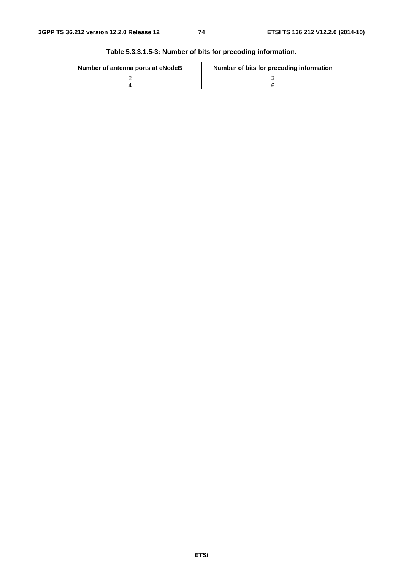| Number of antenna ports at eNodeB | Number of bits for precoding information |
|-----------------------------------|------------------------------------------|
|                                   |                                          |
|                                   |                                          |

**Table 5.3.3.1.5-3: Number of bits for precoding information.**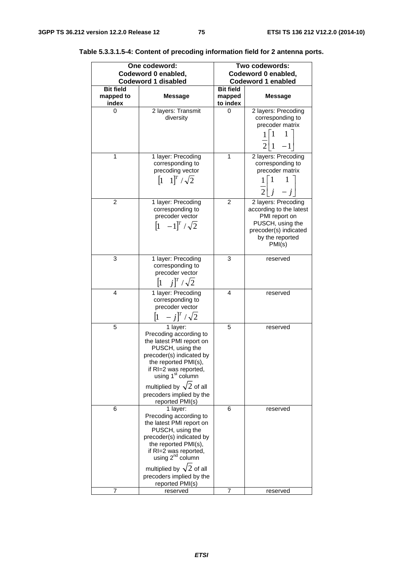| One codeword:<br>Codeword 0 enabled,<br><b>Codeword 1 disabled</b> |                                        | Two codewords:<br>Codeword 0 enabled,<br><b>Codeword 1 enabled</b>                                                                                                                                                                                                                |                                        |                                                                                                                                           |
|--------------------------------------------------------------------|----------------------------------------|-----------------------------------------------------------------------------------------------------------------------------------------------------------------------------------------------------------------------------------------------------------------------------------|----------------------------------------|-------------------------------------------------------------------------------------------------------------------------------------------|
|                                                                    | <b>Bit field</b><br>mapped to<br>index | Message                                                                                                                                                                                                                                                                           | <b>Bit field</b><br>mapped<br>to index | <b>Message</b>                                                                                                                            |
|                                                                    | 0                                      | 2 layers: Transmit<br>diversity                                                                                                                                                                                                                                                   | 0                                      | 2 layers: Precoding<br>corresponding to<br>precoder matrix<br>$\frac{1}{2}\begin{bmatrix} 1 & 1 \\ 1 & -1 \end{bmatrix}$                  |
|                                                                    | 1                                      | 1 layer: Precoding<br>corresponding to<br>precoding vector<br>$[1 \ 1]^T / \sqrt{2}$                                                                                                                                                                                              | 1                                      | 2 layers: Precoding<br>corresponding to<br>precoder matrix<br>$\frac{1}{2}\begin{bmatrix} 1 & 1 \\ j & -j \end{bmatrix}$                  |
|                                                                    | $\overline{2}$                         | 1 layer: Precoding<br>corresponding to<br>precoder vector<br>$[1 \ -1]^T / \sqrt{2}$                                                                                                                                                                                              | 2                                      | 2 layers: Precoding<br>according to the latest<br>PMI report on<br>PUSCH, using the<br>precoder(s) indicated<br>by the reported<br>PMI(s) |
|                                                                    | 3                                      | 1 layer: Precoding<br>corresponding to<br>precoder vector<br>$\begin{bmatrix} 1 & j \end{bmatrix}^T / \sqrt{2}$                                                                                                                                                                   | 3                                      | reserved                                                                                                                                  |
|                                                                    | 4                                      | 1 layer: Precoding<br>corresponding to<br>precoder vector<br>$[1 \ -j]^T / \sqrt{2}$                                                                                                                                                                                              | 4                                      | reserved                                                                                                                                  |
|                                                                    | 5                                      | 1 layer:<br>Precoding according to<br>the latest PMI report on<br>PUSCH, using the<br>precoder(s) indicated by<br>the reported PMI(s).<br>if RI=2 was reported,<br>using 1 <sup>st</sup> column<br>multiplied by $\sqrt{2}$ of all<br>precoders implied by the<br>reported PMI(s) | 5                                      | reserved                                                                                                                                  |
|                                                                    | 6                                      | 1 layer:<br>Precoding according to<br>the latest PMI report on<br>PUSCH, using the<br>precoder(s) indicated by<br>the reported PMI(s),<br>if RI=2 was reported,<br>using 2 <sup>nd</sup> column<br>multiplied by $\sqrt{2}$ of all<br>precoders implied by the<br>reported PMI(s) | 6                                      | reserved                                                                                                                                  |
|                                                                    | 7                                      | reserved                                                                                                                                                                                                                                                                          | 7                                      | reserved                                                                                                                                  |

**Table 5.3.3.1.5-4: Content of precoding information field for 2 antenna ports.**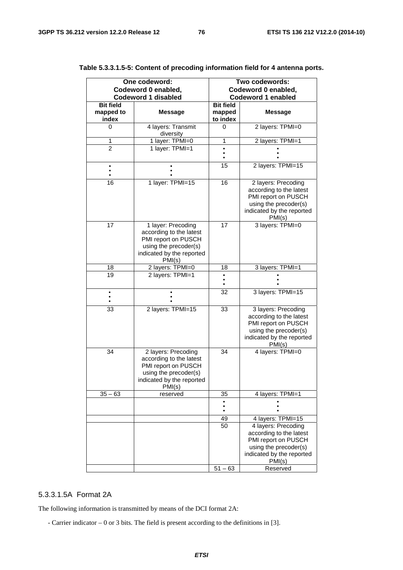| One codeword:      |                                                                                                                                       | Two codewords:            |                                                                                                                                       |
|--------------------|---------------------------------------------------------------------------------------------------------------------------------------|---------------------------|---------------------------------------------------------------------------------------------------------------------------------------|
|                    | Codeword 0 enabled,                                                                                                                   | Codeword 0 enabled,       |                                                                                                                                       |
|                    | <b>Codeword 1 disabled</b>                                                                                                            | <b>Codeword 1 enabled</b> |                                                                                                                                       |
| <b>Bit field</b>   |                                                                                                                                       | <b>Bit field</b>          |                                                                                                                                       |
| mapped to<br>index | <b>Message</b>                                                                                                                        | mapped<br>to index        | <b>Message</b>                                                                                                                        |
| 0                  | 4 layers: Transmit                                                                                                                    | 0                         | 2 layers: TPMI=0                                                                                                                      |
|                    | diversity                                                                                                                             |                           |                                                                                                                                       |
| 1                  | 1 layer: TPMI=0                                                                                                                       | 1                         | 2 layers: TPMI=1                                                                                                                      |
| $\overline{2}$     | 1 layer: TPMI=1                                                                                                                       |                           |                                                                                                                                       |
|                    |                                                                                                                                       |                           |                                                                                                                                       |
|                    |                                                                                                                                       | 15                        | 2 layers: TPMI=15                                                                                                                     |
| 16                 | 1 layer: TPMI=15                                                                                                                      | 16                        | 2 layers: Precoding<br>according to the latest<br>PMI report on PUSCH<br>using the precoder(s)<br>indicated by the reported<br>PMI(s) |
| 17                 | 1 layer: Precoding<br>according to the latest<br>PMI report on PUSCH<br>using the precoder(s)<br>indicated by the reported<br>PMI(s)  | 17                        | 3 layers: TPMI=0                                                                                                                      |
| 18                 | 2 layers: TPMI=0                                                                                                                      | 18                        | 3 layers: TPMI=1                                                                                                                      |
| 19                 | 2 layers: TPMI=1                                                                                                                      |                           |                                                                                                                                       |
|                    |                                                                                                                                       |                           |                                                                                                                                       |
|                    |                                                                                                                                       | 32                        | 3 layers: TPMI=15                                                                                                                     |
| 33                 | 2 layers: TPMI=15                                                                                                                     | 33                        | 3 layers: Precoding<br>according to the latest<br>PMI report on PUSCH<br>using the precoder(s)<br>indicated by the reported<br>PMI(s) |
| 34                 | 2 layers: Precoding<br>according to the latest<br>PMI report on PUSCH<br>using the precoder(s)<br>indicated by the reported<br>PMI(s) | 34                        | 4 layers: TPMI=0                                                                                                                      |
| $35 - 63$          | reserved                                                                                                                              | 35                        | 4 layers: TPMI=1                                                                                                                      |
|                    |                                                                                                                                       |                           |                                                                                                                                       |
|                    |                                                                                                                                       | 49                        | 4 layers: TPMI=15                                                                                                                     |
|                    |                                                                                                                                       | 50                        | 4 layers: Precoding                                                                                                                   |
|                    |                                                                                                                                       |                           | according to the latest<br>PMI report on PUSCH<br>using the precoder(s)<br>indicated by the reported                                  |
|                    |                                                                                                                                       |                           | PMI(s)                                                                                                                                |
|                    |                                                                                                                                       | $51 - 63$                 | Reserved                                                                                                                              |

## **Table 5.3.3.1.5-5: Content of precoding information field for 4 antenna ports.**

## 5.3.3.1.5A Format 2A

The following information is transmitted by means of the DCI format 2A:

- Carrier indicator – 0 or 3 bits. The field is present according to the definitions in [3].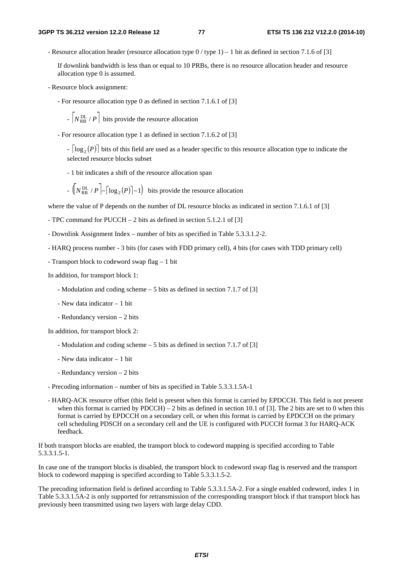- Resource allocation header (resource allocation type 0 / type 1) – 1 bit as defined in section 7.1.6 of [3]

If downlink bandwidth is less than or equal to 10 PRBs, there is no resource allocation header and resource allocation type 0 is assumed.

- Resource block assignment:

- For resource allocation type 0 as defined in section 7.1.6.1 of [3]

 $- N_{RB}^{DL} / P$  bits provide the resource allocation

- For resource allocation type 1 as defined in section 7.1.6.2 of [3]

 $\log_2(P)$  bits of this field are used as a header specific to this resource allocation type to indicate the selected resource blocks subset

- 1 bit indicates a shift of the resource allocation span

$$
- \left( N_{RB}^{DL} / P \right) - \left\lceil \log_2(P) \right\rceil - 1
$$
 bits provide the resource allocation

where the value of P depends on the number of DL resource blocks as indicated in section 7.1.6.1 of [3]

- TPC command for PUCCH 2 bits as defined in section 5.1.2.1 of [3]
- Downlink Assignment Index number of bits as specified in Table 5.3.3.1.2-2.
- HARQ process number 3 bits (for cases with FDD primary cell), 4 bits (for cases with TDD primary cell)
- Transport block to codeword swap flag 1 bit

In addition, for transport block 1:

- Modulation and coding scheme 5 bits as defined in section 7.1.7 of [3]
- New data indicator 1 bit
- Redundancy version 2 bits

In addition, for transport block 2:

- Modulation and coding scheme 5 bits as defined in section 7.1.7 of [3]
- New data indicator 1 bit
- Redundancy version 2 bits
- Precoding information number of bits as specified in Table 5.3.3.1.5A-1
- HARQ-ACK resource offset (this field is present when this format is carried by EPDCCH. This field is not present when this format is carried by PDCCH) – 2 bits as defined in section 10.1 of [3]. The 2 bits are set to 0 when this format is carried by EPDCCH on a secondary cell, or when this format is carried by EPDCCH on the primary cell scheduling PDSCH on a secondary cell and the UE is configured with PUCCH format 3 for HARQ-ACK feedback.

If both transport blocks are enabled, the transport block to codeword mapping is specified according to Table 5.3.3.1.5-1.

In case one of the transport blocks is disabled, the transport block to codeword swap flag is reserved and the transport block to codeword mapping is specified according to Table 5.3.3.1.5-2.

The precoding information field is defined according to Table 5.3.3.1.5A-2. For a single enabled codeword, index 1 in Table 5.3.3.1.5A-2 is only supported for retransmission of the corresponding transport block if that transport block has previously been transmitted using two layers with large delay CDD.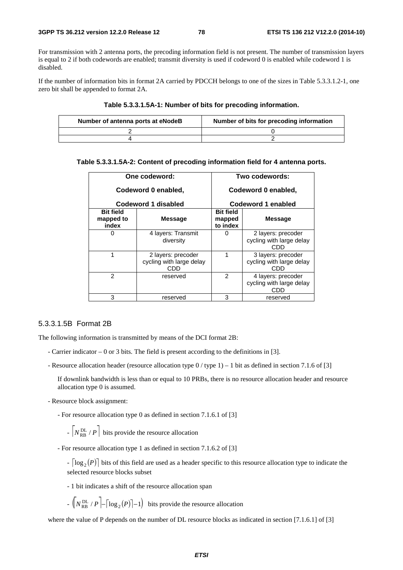For transmission with 2 antenna ports, the precoding information field is not present. The number of transmission layers is equal to 2 if both codewords are enabled; transmit diversity is used if codeword 0 is enabled while codeword 1 is disabled.

If the number of information bits in format 2A carried by PDCCH belongs to one of the sizes in Table 5.3.3.1.2-1, one zero bit shall be appended to format 2A.

| Table 5.3.3.1.5A-1: Number of bits for precoding information. |  |
|---------------------------------------------------------------|--|
|---------------------------------------------------------------|--|

| Number of antenna ports at eNodeB | Number of bits for precoding information |
|-----------------------------------|------------------------------------------|
|                                   |                                          |
|                                   |                                          |

#### **Table 5.3.3.1.5A-2: Content of precoding information field for 4 antenna ports.**

| One codeword:<br>Codeword 0 enabled,   |                                                       | Two codewords:<br>Codeword 0 enabled,                    |                                                       |
|----------------------------------------|-------------------------------------------------------|----------------------------------------------------------|-------------------------------------------------------|
|                                        | Codeword 1 disabled                                   | Codeword 1 enabled                                       |                                                       |
| <b>Bit field</b><br>mapped to<br>index | <b>Message</b>                                        | <b>Bit field</b><br><b>Message</b><br>mapped<br>to index |                                                       |
|                                        | 4 layers: Transmit<br>diversity                       |                                                          | 2 layers: precoder<br>cycling with large delay<br>CDD |
| 1                                      | 2 layers: precoder<br>cycling with large delay<br>CDD | 1                                                        | 3 layers: precoder<br>cycling with large delay<br>CDD |
| $\mathfrak{p}$                         | reserved                                              | $\mathcal{P}$                                            | 4 layers: precoder<br>cycling with large delay<br>CDD |
| 3                                      | reserved                                              | 3                                                        | reserved                                              |

#### 5.3.3.1.5B Format 2B

The following information is transmitted by means of the DCI format 2B:

- Carrier indicator 0 or 3 bits. The field is present according to the definitions in [3].
- Resource allocation header (resource allocation type 0 / type 1) 1 bit as defined in section 7.1.6 of [3]

If downlink bandwidth is less than or equal to 10 PRBs, there is no resource allocation header and resource allocation type 0 is assumed.

- Resource block assignment:

- For resource allocation type 0 as defined in section 7.1.6.1 of [3]

 $- N_{RB}^{DL} / P$  bits provide the resource allocation

- For resource allocation type 1 as defined in section 7.1.6.2 of [3]

- $\lceil \log_2(P) \rceil$  bits of this field are used as a header specific to this resource allocation type to indicate the selected resource blocks subset
- 1 bit indicates a shift of the resource allocation span
- $-\left(\sqrt{\frac{PL}{RB}}/P\right) \left(\log_2(P)\right) 1\right)$  bits provide the resource allocation

where the value of P depends on the number of DL resource blocks as indicated in section [7.1.6.1] of [3]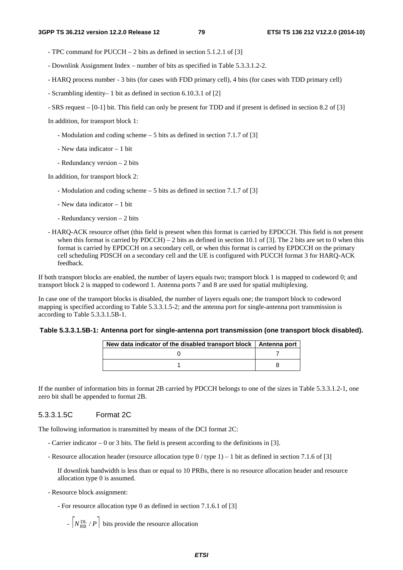- TPC command for PUCCH 2 bits as defined in section 5.1.2.1 of [3]
- Downlink Assignment Index number of bits as specified in Table 5.3.3.1.2-2.
- HARQ process number 3 bits (for cases with FDD primary cell), 4 bits (for cases with TDD primary cell)
- Scrambling identity– 1 bit as defined in section 6.10.3.1 of [2]
- SRS request [0-1] bit. This field can only be present for TDD and if present is defined in section 8.2 of [3]

In addition, for transport block 1:

- Modulation and coding scheme 5 bits as defined in section 7.1.7 of [3]
- New data indicator 1 bit
- Redundancy version 2 bits

In addition, for transport block 2:

- Modulation and coding scheme 5 bits as defined in section 7.1.7 of [3]
- New data indicator 1 bit
- Redundancy version 2 bits
- HARQ-ACK resource offset (this field is present when this format is carried by EPDCCH. This field is not present when this format is carried by  $PDCCH$ ) – 2 bits as defined in section 10.1 of [3]. The 2 bits are set to 0 when this format is carried by EPDCCH on a secondary cell, or when this format is carried by EPDCCH on the primary cell scheduling PDSCH on a secondary cell and the UE is configured with PUCCH format 3 for HARQ-ACK feedback.

If both transport blocks are enabled, the number of layers equals two; transport block 1 is mapped to codeword 0; and transport block 2 is mapped to codeword 1. Antenna ports 7 and 8 are used for spatial multiplexing.

In case one of the transport blocks is disabled, the number of layers equals one; the transport block to codeword mapping is specified according to Table 5.3.3.1.5-2; and the antenna port for single-antenna port transmission is according to Table 5.3.3.1.5B-1.

#### **Table 5.3.3.1.5B-1: Antenna port for single-antenna port transmission (one transport block disabled).**

| New data indicator of the disabled transport block   Antenna port |  |
|-------------------------------------------------------------------|--|
|                                                                   |  |
|                                                                   |  |

If the number of information bits in format 2B carried by PDCCH belongs to one of the sizes in Table 5.3.3.1.2-1, one zero bit shall be appended to format 2B.

#### 5.3.3.1.5C Format 2C

The following information is transmitted by means of the DCI format 2C:

- Carrier indicator 0 or 3 bits. The field is present according to the definitions in [3].
- Resource allocation header (resource allocation type 0 / type 1) 1 bit as defined in section 7.1.6 of [3]

If downlink bandwidth is less than or equal to 10 PRBs, there is no resource allocation header and resource allocation type 0 is assumed.

- Resource block assignment:
	- For resource allocation type 0 as defined in section 7.1.6.1 of [3]
		- $N_{RB}^{DL} / P$  bits provide the resource allocation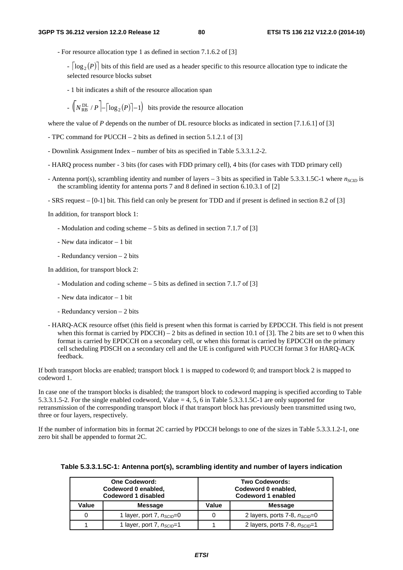- For resource allocation type 1 as defined in section 7.1.6.2 of [3]

 $\lceil \log_2(P) \rceil$  bits of this field are used as a header specific to this resource allocation type to indicate the selected resource blocks subset

- 1 bit indicates a shift of the resource allocation span

 $-\left(N_{\text{RB}}^{\text{DL}}/P\right) - \left[\log_2(P)\right] - 1\right)$  bits provide the resource allocation

where the value of *P* depends on the number of DL resource blocks as indicated in section [7.1.6.1] of [3]

- TPC command for PUCCH 2 bits as defined in section 5.1.2.1 of [3]
- Downlink Assignment Index number of bits as specified in Table 5.3.3.1.2-2.
- HARQ process number 3 bits (for cases with FDD primary cell), 4 bits (for cases with TDD primary cell)
- Antenna port(s), scrambling identity and number of layers  $-3$  bits as specified in Table 5.3.3.1.5C-1 where  $n_{SCID}$  is the scrambling identity for antenna ports 7 and 8 defined in section 6.10.3.1 of [2]
- SRS request [0-1] bit. This field can only be present for TDD and if present is defined in section 8.2 of [3]

In addition, for transport block 1:

- Modulation and coding scheme 5 bits as defined in section 7.1.7 of [3]
- New data indicator 1 bit
- Redundancy version 2 bits

In addition, for transport block 2:

- Modulation and coding scheme 5 bits as defined in section 7.1.7 of [3]
- New data indicator 1 bit
- Redundancy version 2 bits

- HARQ-ACK resource offset (this field is present when this format is carried by EPDCCH. This field is not present when this format is carried by  $PDCCH$ ) – 2 bits as defined in section 10.1 of [3]. The 2 bits are set to 0 when this format is carried by EPDCCH on a secondary cell, or when this format is carried by EPDCCH on the primary cell scheduling PDSCH on a secondary cell and the UE is configured with PUCCH format 3 for HARQ-ACK feedback.

If both transport blocks are enabled; transport block 1 is mapped to codeword 0; and transport block 2 is mapped to codeword 1.

In case one of the transport blocks is disabled; the transport block to codeword mapping is specified according to Table 5.3.3.1.5-2. For the single enabled codeword, Value = 4, 5, 6 in Table 5.3.3.1.5C-1 are only supported for retransmission of the corresponding transport block if that transport block has previously been transmitted using two, three or four layers, respectively.

If the number of information bits in format 2C carried by PDCCH belongs to one of the sizes in Table 5.3.3.1.2-1, one zero bit shall be appended to format 2C.

| <b>One Codeword:</b><br>Codeword 0 enabled,<br>Codeword 1 disabled |                                       | <b>Two Codewords:</b><br>Codeword 0 enabled,<br>Codeword 1 enabled |                                           |
|--------------------------------------------------------------------|---------------------------------------|--------------------------------------------------------------------|-------------------------------------------|
| Value                                                              | <b>Message</b>                        | Value                                                              | <b>Message</b>                            |
|                                                                    | 1 layer, port 7, $n_{SCID}=0$         |                                                                    | 2 layers, ports 7-8, $n_{SCID}=0$         |
|                                                                    | 1 layer, port 7, n <sub>sclD</sub> =1 |                                                                    | 2 layers, ports 7-8, n <sub>sclD</sub> =1 |

## **Table 5.3.3.1.5C-1: Antenna port(s), scrambling identity and number of layers indication**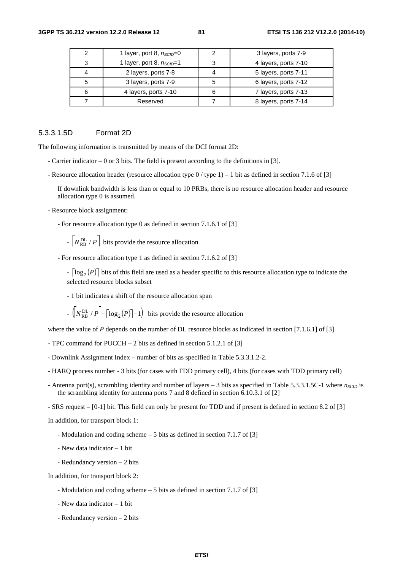|   | 1 layer, port 8, $n_{SCID}=0$ |   | 3 layers, ports 7-9  |
|---|-------------------------------|---|----------------------|
| 3 | 1 layer, port 8, $n_{SCID}=1$ |   | 4 layers, ports 7-10 |
| 4 | 2 layers, ports 7-8           |   | 5 layers, ports 7-11 |
| 5 | 3 layers, ports 7-9           | 5 | 6 layers, ports 7-12 |
| 6 | 4 layers, ports 7-10          | 6 | 7 layers, ports 7-13 |
|   | Reserved                      |   | 8 layers, ports 7-14 |

## 5.3.3.1.5D Format 2D

The following information is transmitted by means of the DCI format 2D:

- Carrier indicator 0 or 3 bits. The field is present according to the definitions in [3].
- Resource allocation header (resource allocation type 0 / type 1) 1 bit as defined in section 7.1.6 of [3]

If downlink bandwidth is less than or equal to 10 PRBs, there is no resource allocation header and resource allocation type 0 is assumed.

- Resource block assignment:

- For resource allocation type 0 as defined in section 7.1.6.1 of [3]

 $- N_{RB}^{DL} / P$  bits provide the resource allocation

- For resource allocation type 1 as defined in section 7.1.6.2 of [3]

 $\lceil \log_2(P) \rceil$  bits of this field are used as a header specific to this resource allocation type to indicate the selected resource blocks subset

- 1 bit indicates a shift of the resource allocation span

 $-\left(\sqrt{\frac{PL}{RB}}/P\right) - \left(\log_2(P)\right) - 1\right)$  bits provide the resource allocation

where the value of *P* depends on the number of DL resource blocks as indicated in section [7.1.6.1] of [3]

- TPC command for PUCCH 2 bits as defined in section 5.1.2.1 of [3]
- Downlink Assignment Index number of bits as specified in Table 5.3.3.1.2-2.
- HARQ process number 3 bits (for cases with FDD primary cell), 4 bits (for cases with TDD primary cell)
- Antenna port(s), scrambling identity and number of layers 3 bits as specified in Table 5.3.3.1.5C-1 where  $n_{SCID}$  is the scrambling identity for antenna ports 7 and 8 defined in section 6.10.3.1 of [2]

- SRS request – [0-1] bit. This field can only be present for TDD and if present is defined in section 8.2 of [3]

In addition, for transport block 1:

- Modulation and coding scheme 5 bits as defined in section 7.1.7 of [3]
- New data indicator 1 bit
- Redundancy version 2 bits

In addition, for transport block 2:

- Modulation and coding scheme 5 bits as defined in section 7.1.7 of [3]
- New data indicator 1 bit
- Redundancy version 2 bits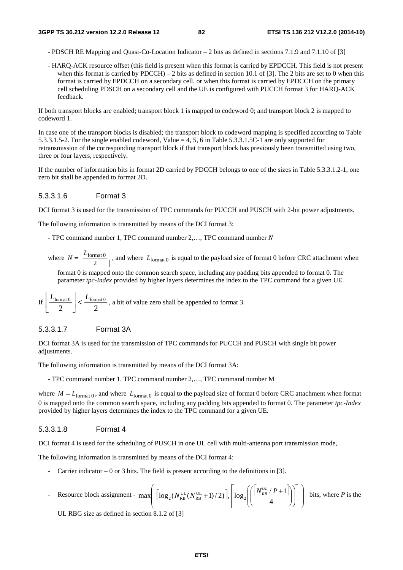- PDSCH RE Mapping and Quasi-Co-Location Indicator 2 bits as defined in sections 7.1.9 and 7.1.10 of [3]
- HARQ-ACK resource offset (this field is present when this format is carried by EPDCCH. This field is not present when this format is carried by  $PDCCH$ ) – 2 bits as defined in section 10.1 of [3]. The 2 bits are set to 0 when this format is carried by EPDCCH on a secondary cell, or when this format is carried by EPDCCH on the primary cell scheduling PDSCH on a secondary cell and the UE is configured with PUCCH format 3 for HARQ-ACK feedback.

If both transport blocks are enabled; transport block 1 is mapped to codeword 0; and transport block 2 is mapped to codeword 1.

In case one of the transport blocks is disabled; the transport block to codeword mapping is specified according to Table 5.3.3.1.5-2. For the single enabled codeword, Value = 4, 5, 6 in Table 5.3.3.1.5C-1 are only supported for retransmission of the corresponding transport block if that transport block has previously been transmitted using two, three or four layers, respectively.

If the number of information bits in format 2D carried by PDCCH belongs to one of the sizes in Table 5.3.3.1.2-1, one zero bit shall be appended to format 2D.

#### 5.3.3.1.6 Format 3

DCI format 3 is used for the transmission of TPC commands for PUCCH and PUSCH with 2-bit power adjustments.

The following information is transmitted by means of the DCI format 3:

- TPC command number 1, TPC command number 2,…, TPC command number *N*
- where  $N = \left[ \frac{L_{\text{format 0}}}{2} \right]$ , and where  $L_{\text{format 0}}$  is equal to the payload size of format 0 before CRC attachment when

format 0 is mapped onto the common search space, including any padding bits appended to format 0. The parameter *tpc-Index* provided by higher layers determines the index to the TPC command for a given UE.

If 
$$
\left| \frac{L_{\text{format 0}}}{2} \right|
$$
 <  $\frac{L_{\text{format 0}}}{2}$ , a bit of value zero shall be appended to format 3.

#### 5.3.3.1.7 Format 3A

DCI format 3A is used for the transmission of TPC commands for PUCCH and PUSCH with single bit power adjustments.

The following information is transmitted by means of the DCI format 3A:

- TPC command number 1, TPC command number 2,…, TPC command number M

where  $M = L_{format0}$ , and where  $L_{format0}$  is equal to the payload size of format 0 before CRC attachment when format 0 is mapped onto the common search space, including any padding bits appended to format 0. The parameter *tpc-Index* provided by higher layers determines the index to the TPC command for a given UE.

#### 5.3.3.1.8 Format 4

DCI format 4 is used for the scheduling of PUSCH in one UL cell with multi-antenna port transmission mode,

The following information is transmitted by means of the DCI format 4:

- Carrier indicator  $0$  or 3 bits. The field is present according to the definitions in [3].
- Resource block assignment  $\max \left[ \left[ \log_2(N_{\text{RB}}^{\text{UL}}(N_{\text{RB}}^{\text{UL}}+1)/2) \right], \left[ \log_2 \right] \right] \left[ \left| N_{\text{RB}}^{\text{UL}}/P + 1 \right] \right]$ ⎟  $\overline{\phantom{a}}$  $\overline{a}$ ⎜  $\overline{\phantom{a}}$  $\overline{a}$  $\overline{\phantom{a}}$ ⎥ ⎤  $\mathbb{L}$  $\mathsf I$ ı.  $\overline{\phantom{a}}$  $\int$ ⎠  $\overline{\phantom{a}}$  $\overline{a}$  $\int$  $\overline{a}$ ⎞  $\overline{\mathcal{L}}$  $\overline{a}$  $+1)/2$ ],  $\log_2[(N_{RB}^{UL}/P +$ 4  $\max \left[ \left[ \log_2(N_{\text{RB}}^{\text{UL}}(N_{\text{RB}}^{\text{UL}}+1)/2) \right], \left[ \log_2 \right] \left( \left[ \frac{N_{\text{RB}}^{\text{UL}}}{4} / P + 1 \right] \right] \right]$  $N_{\rm RB}^{\rm UL}(N_{\rm RB}^{\rm UL}+1)/2)\bigg],\bigg|\log_2\bigg| \bigg[\frac{N_{RB}^{\rm UL}/P}{N_{RB}^{\rm UL}}\bigg]$  $\left\{ \left. \begin{array}{c} U_L \\ P+1 \end{array} \right| \right\}$  bits, where *P* is the

UL RBG size as defined in section 8.1.2 of [3]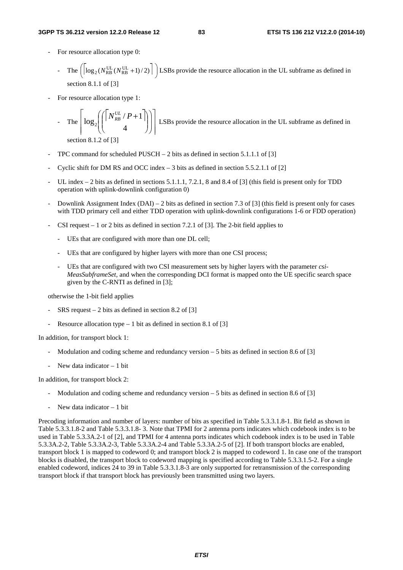- For resource allocation type 0:
	- The  $\left( \log_2(N_{RB}^{UL}(N_{RB}^{UL}+1)/2) \right)$  LSBs provide the resource allocation in the UL subframe as defined in  $\overline{a}$ section 8.1.1 of  $[3]$
- For resource allocation type 1:

The 
$$
\left[\log_2\left(\left(\begin{bmatrix}N_{RB}^{UL}/P+1\\4\end{bmatrix}\right)\right)\right]
$$
 LSBs provide the resource allocation in the UL subframe as defined in  
section 8.1.2 of [31]

section 8.1.2 of [3]

- TPC command for scheduled PUSCH 2 bits as defined in section 5.1.1.1 of [3]
- Cyclic shift for DM RS and OCC index  $3$  bits as defined in section 5.5.2.1.1 of [2]
- UL index  $-$  2 bits as defined in sections 5.1.1.1, 7.2.1, 8 and 8.4 of [3] (this field is present only for TDD operation with uplink-downlink configuration 0)
- Downlink Assignment Index  $(DAI) 2$  bits as defined in section 7.3 of [3] (this field is present only for cases with TDD primary cell and either TDD operation with uplink-downlink configurations 1-6 or FDD operation)
- CSI request  $-1$  or 2 bits as defined in section 7.2.1 of [3]. The 2-bit field applies to
	- UEs that are configured with more than one DL cell;
	- UEs that are configured by higher layers with more than one CSI process;
	- UEs that are configured with two CSI measurement sets by higher layers with the parameter *csi-MeasSubframeSet,* and when the corresponding DCI format is mapped onto the UE specific search space given by the C-RNTI as defined in [3];

otherwise the 1-bit field applies

- $SRS$  request 2 bits as defined in section 8.2 of [3]
- Resource allocation type  $-1$  bit as defined in section 8.1 of [3]

In addition, for transport block 1:

- Modulation and coding scheme and redundancy version 5 bits as defined in section 8.6 of [3]
- New data indicator 1 bit

In addition, for transport block 2:

- Modulation and coding scheme and redundancy version  $-5$  bits as defined in section 8.6 of [3]
- New data indicator  $-1$  bit

Precoding information and number of layers: number of bits as specified in Table 5.3.3.1.8-1. Bit field as shown in Table 5.3.3.1.8-2 and Table 5.3.3.1.8- 3. Note that TPMI for 2 antenna ports indicates which codebook index is to be used in Table 5.3.3A.2-1 of [2], and TPMI for 4 antenna ports indicates which codebook index is to be used in Table 5.3.3A.2-2, Table 5.3.3A.2-3, Table 5.3.3A.2-4 and Table 5.3.3A.2-5 of [2]. If both transport blocks are enabled, transport block 1 is mapped to codeword 0; and transport block 2 is mapped to codeword 1. In case one of the transport blocks is disabled, the transport block to codeword mapping is specified according to Table 5.3.3.1.5-2. For a single enabled codeword, indices 24 to 39 in Table 5.3.3.1.8-3 are only supported for retransmission of the corresponding transport block if that transport block has previously been transmitted using two layers.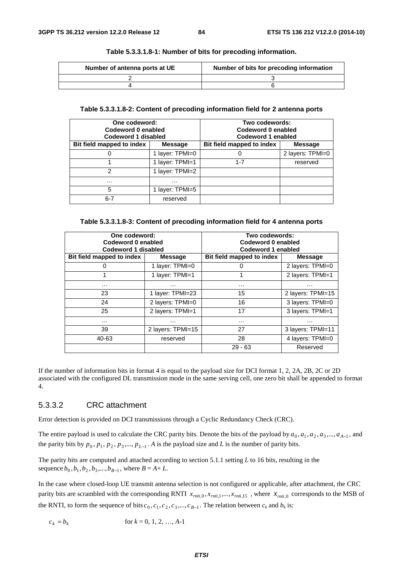| Number of antenna ports at UE | Number of bits for precoding information |
|-------------------------------|------------------------------------------|
|                               |                                          |
|                               |                                          |

#### **Table 5.3.3.1.8-1: Number of bits for precoding information.**

## **Table 5.3.3.1.8-2: Content of precoding information field for 2 antenna ports**

| One codeword:<br>Codeword 0 enabled<br>Codeword 1 disabled |                 | Two codewords:<br>Codeword 0 enabled<br>Codeword 1 enabled |                  |  |
|------------------------------------------------------------|-----------------|------------------------------------------------------------|------------------|--|
| Bit field mapped to index                                  | <b>Message</b>  | Bit field mapped to index                                  | <b>Message</b>   |  |
|                                                            | 1 layer: TPMI=0 |                                                            | 2 layers: TPMI=0 |  |
|                                                            | 1 layer: TPMI=1 | $1 - 7$                                                    | reserved         |  |
| っ                                                          | 1 layer: TPMI=2 |                                                            |                  |  |
| $\cdots$                                                   | .               |                                                            |                  |  |
| 5                                                          | 1 layer: TPMI=5 |                                                            |                  |  |
| $6 - 7$                                                    | reserved        |                                                            |                  |  |

#### **Table 5.3.3.1.8-3: Content of precoding information field for 4 antenna ports**

| One codeword:<br>Codeword 0 enabled<br>Codeword 1 disabled |                   | Two codewords:<br>Codeword 0 enabled<br>Codeword 1 enabled |                   |  |  |
|------------------------------------------------------------|-------------------|------------------------------------------------------------|-------------------|--|--|
| Bit field mapped to index                                  | <b>Message</b>    | Bit field mapped to index                                  | <b>Message</b>    |  |  |
| 0                                                          | 1 layer: TPMI=0   | 0                                                          | 2 layers: TPMI=0  |  |  |
|                                                            | 1 layer: TPMI=1   | 1                                                          | 2 layers: TPMI=1  |  |  |
| $\cdots$                                                   | $\cdots$          | .                                                          | $\cdots$          |  |  |
| 23                                                         | 1 layer: TPMI=23  | 15                                                         | 2 layers: TPMI=15 |  |  |
| 24                                                         | 2 layers: TPMI=0  | 16                                                         | 3 layers: TPMI=0  |  |  |
| 25                                                         | 2 layers: TPMI=1  | 17                                                         | 3 layers: TPMI=1  |  |  |
| $\cdots$                                                   | $\cdots$          | .                                                          | $\cdots$          |  |  |
| 39                                                         | 2 layers: TPMI=15 | 27                                                         | 3 layers: TPMI=11 |  |  |
| 40-63                                                      | reserved          | 28                                                         | 4 layers: TPMI=0  |  |  |
|                                                            |                   | $29 - 63$                                                  | Reserved          |  |  |

If the number of information bits in format 4 is equal to the payload size for DCI format 1, 2, 2A, 2B, 2C or 2D associated with the configured DL transmission mode in the same serving cell, one zero bit shall be appended to format 4.

#### 5.3.3.2 CRC attachment

Error detection is provided on DCI transmissions through a Cyclic Redundancy Check (CRC).

The entire payload is used to calculate the CRC parity bits. Denote the bits of the payload by  $a_0, a_1, a_2, a_3, \ldots, a_{A-1}$ , and the parity bits by  $p_0, p_1, p_2, p_3, \dots, p_{L-1}$ . A is the payload size and *L* is the number of parity bits.

The parity bits are computed and attached according to section 5.1.1 setting *L* to 16 bits, resulting in the sequence  $b_0$ ,  $b_1$ ,  $b_2$ ,  $b_3$ , ...,  $b_{B-1}$ , where  $B = A + L$ .

In the case where closed-loop UE transmit antenna selection is not configured or applicable, after attachment, the CRC parity bits are scrambled with the corresponding RNTI  $x_{rnti,0}, x_{rnti,1},..., x_{rnti,15}$ , where  $x_{rnti,0}$  corresponds to the MSB of the RNTI, to form the sequence of bits  $c_0$ ,  $c_1$ ,  $c_2$ ,  $c_3$ ,...,  $c_{B-1}$ . The relation between  $c_k$  and  $b_k$  is:

 $c_k = b_k$  for  $k = 0, 1, 2, ..., A-1$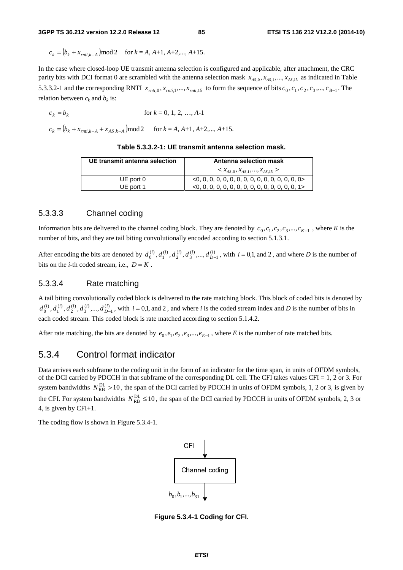$c_k = (b_k + x_{rnti,k-A}) \mod 2$  for  $k = A, A+1, A+2,..., A+15$ .

In the case where closed-loop UE transmit antenna selection is configured and applicable, after attachment, the CRC parity bits with DCI format 0 are scrambled with the antenna selection mask  $x_{AS,0}, x_{AS,1},..., x_{AS,15}$  as indicated in Table 5.3.3.2-1 and the corresponding RNTI  $x_{rnti,0}, x_{rnti,1},..., x_{rnti,15}$  to form the sequence of bits  $c_0, c_1, c_2, c_3,..., c_{B-1}$ . The relation between  $c_k$  and  $b_k$  is:

$$
c_k = b_k \qquad \text{for } k = 0, 1, 2, ..., A-1
$$

 $c_k = (b_k + x_{\text{unit}, k-A} + x_{\text{AS}, k-A}) \text{mod } 2$  for  $k = A, A+1, A+2, \dots, A+15$ .

| Table 5.3.3.2-1: UE transmit antenna selection mask. |  |
|------------------------------------------------------|--|
|------------------------------------------------------|--|

| UE transmit antenna selection | Antenna selection mask            |
|-------------------------------|-----------------------------------|
|                               | $x_{A5.0}, x_{A5.1},,x_{A5.15} >$ |
| UE port 0                     |                                   |
| UE port 1                     |                                   |

## 5.3.3.3 Channel coding

Information bits are delivered to the channel coding block. They are denoted by  $c_0, c_1, c_2, c_3, ..., c_{K-1}$ , where *K* is the number of bits, and they are tail biting convolutionally encoded according to section 5.1.3.1.

After encoding the bits are denoted by  $d_0^{(i)}$ ,  $d_1^{(i)}$ ,  $d_2^{(i)}$ ,  $d_3^{(i)}$ , ...,  $d_{D-1}^{(i)}$ , with  $i = 0,1$ , and 2, and where *D* is the number of bits on the *i*-th coded stream, i.e.,  $D = K$ .

#### 5.3.3.4 Rate matching

A tail biting convolutionally coded block is delivered to the rate matching block. This block of coded bits is denoted by  $d_0^{(i)}$ ,  $d_1^{(i)}$ ,  $d_2^{(i)}$ ,  $d_3^{(i)}$ , ...,  $d_{D-1}^{(i)}$ , with  $i = 0,1$ , and 2, and where *i* is the coded stream index and *D* is the number of bits in each coded stream. This coded block is rate matched according to section 5.1.4.2.

After rate matching, the bits are denoted by  $e_0$ ,  $e_1$ ,  $e_2$ ,  $e_3$ , ...,  $e_{E-1}$ , where *E* is the number of rate matched bits.

## 5.3.4 Control format indicator

Data arrives each subframe to the coding unit in the form of an indicator for the time span, in units of OFDM symbols, of the DCI carried by PDCCH in that subframe of the corresponding DL cell. The CFI takes values CFI = 1, 2 or 3. For system bandwidths  $N_{RB}^{DL} > 10$ , the span of the DCI carried by PDCCH in units of OFDM symbols, 1, 2 or 3, is given by the CFI. For system bandwidths  $N_{RB}^{DL} \le 10$ , the span of the DCI carried by PDCCH in units of OFDM symbols, 2, 3 or 4, is given by CFI+1.

The coding flow is shown in Figure 5.3.4-1.



**Figure 5.3.4-1 Coding for CFI.**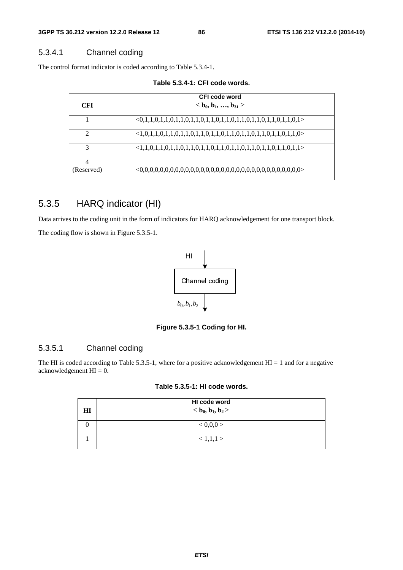## 5.3.4.1 Channel coding

The control format indicator is coded according to Table 5.3.4-1.

**Table 5.3.4-1: CFI code words.** 

| <b>CFI</b>    | CFI code word<br>$<$ b <sub>0</sub> , b <sub>1</sub> , , b <sub>31</sub> >  |
|---------------|-----------------------------------------------------------------------------|
|               | $<0,1,1,0,1,1,0,1,1,0,1,1,0,1,1,0,1,1,0,1,1,0,1,1,0,1,1,0,1,1,0,1>$         |
| $\mathcal{D}$ | $\langle 1,0,1,1,0,1,1,0,1,1,0,1,1,0,1,1,0,1,1,0,1,1,0,1,1,0,1,1,0 \rangle$ |
| 3             | $\langle 1,1,0,1,1,0,1,1,0,1,1,0,1,1,0,1,1,0,1,1,0,1,1,0,1,1,0,1,1 \rangle$ |
| (Reserved)    |                                                                             |

# 5.3.5 HARQ indicator (HI)

Data arrives to the coding unit in the form of indicators for HARQ acknowledgement for one transport block. The coding flow is shown in Figure 5.3.5-1.



**Figure 5.3.5-1 Coding for HI.** 

## 5.3.5.1 Channel coding

The HI is coded according to Table 5.3.5-1, where for a positive acknowledgement  $HI = 1$  and for a negative acknowledgement  $HI = 0$ .

## **Table 5.3.5-1: HI code words.**

|                                            | Ÿ<br>$b_0, b_1, b_2$                                                                            |
|--------------------------------------------|-------------------------------------------------------------------------------------------------|
|                                            | Figure 5.3.5-1 Coding for HI.                                                                   |
|                                            | Channel coding                                                                                  |
| ment $HI = 0$ .                            | ed according to Table 5.3.5-1, where for a positive acknowledgement $HI = 1$ and for a negation |
|                                            | Table 5.3.5-1: HI code words.<br>HI code word                                                   |
| $\mathbf{H}\mathbf{I}$<br>$\boldsymbol{0}$ | $b0, b1, b2$<br>< 0, 0, 0 >                                                                     |
| $\,1\,$                                    | $<1,\!1,\!1>$                                                                                   |
|                                            |                                                                                                 |
|                                            |                                                                                                 |
|                                            |                                                                                                 |
|                                            |                                                                                                 |
|                                            | <b>ETSI</b>                                                                                     |
|                                            |                                                                                                 |
|                                            |                                                                                                 |
|                                            |                                                                                                 |
|                                            |                                                                                                 |
|                                            |                                                                                                 |
|                                            |                                                                                                 |
|                                            |                                                                                                 |
|                                            |                                                                                                 |
|                                            |                                                                                                 |
|                                            |                                                                                                 |
|                                            |                                                                                                 |
|                                            |                                                                                                 |
|                                            |                                                                                                 |
|                                            |                                                                                                 |
|                                            |                                                                                                 |
|                                            |                                                                                                 |
|                                            |                                                                                                 |
|                                            |                                                                                                 |
|                                            |                                                                                                 |
|                                            |                                                                                                 |
|                                            |                                                                                                 |
|                                            |                                                                                                 |
|                                            |                                                                                                 |
|                                            |                                                                                                 |
|                                            |                                                                                                 |
|                                            |                                                                                                 |
|                                            |                                                                                                 |
|                                            |                                                                                                 |
|                                            |                                                                                                 |
|                                            |                                                                                                 |
|                                            |                                                                                                 |
|                                            |                                                                                                 |
|                                            |                                                                                                 |
|                                            |                                                                                                 |
|                                            |                                                                                                 |
|                                            |                                                                                                 |
|                                            |                                                                                                 |
|                                            |                                                                                                 |
|                                            |                                                                                                 |
|                                            |                                                                                                 |
|                                            |                                                                                                 |
|                                            |                                                                                                 |
|                                            |                                                                                                 |
|                                            |                                                                                                 |
|                                            |                                                                                                 |
|                                            |                                                                                                 |
|                                            |                                                                                                 |
|                                            |                                                                                                 |
|                                            |                                                                                                 |
|                                            |                                                                                                 |
|                                            |                                                                                                 |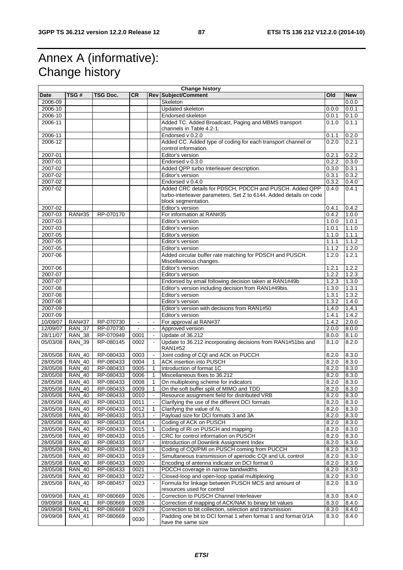# Annex A (informative): Change history

|          | <b>Change history</b> |           |           |                          |                                                                    |       |            |
|----------|-----------------------|-----------|-----------|--------------------------|--------------------------------------------------------------------|-------|------------|
| Date     | TSG#                  | TSG Doc.  | <b>CR</b> |                          | <b>Rev Subject/Comment</b>                                         | Old   | <b>New</b> |
| 2006-09  |                       |           |           |                          | Skeleton                                                           |       | 0.0.0      |
| 2006-10  |                       |           |           |                          | Updated skeleton                                                   | 0.0.0 | 0.0.1      |
| 2006-10  |                       |           |           |                          | Endorsed skeleton                                                  | 0.0.1 | 0.1.0      |
| 2006-11  |                       |           |           |                          | Added TC. Added Broadcast, Paging and MBMS transport               | 0.1.0 | 0.1.1      |
|          |                       |           |           |                          | channels in Table 4.2-1.                                           |       |            |
| 2006-11  |                       |           |           |                          | Endorsed v 0.2.0                                                   | 0.1.1 | 0.2.0      |
| 2006-12  |                       |           |           |                          |                                                                    | 0.2.0 | 0.2.1      |
|          |                       |           |           |                          | Added CC. Added type of coding for each transport channel or       |       |            |
|          |                       |           |           |                          | control information.                                               |       |            |
| 2007-01  |                       |           |           |                          | Editor's version                                                   | 0.2.1 | 0.2.2      |
| 2007-01  |                       |           |           |                          | Endorsed v 0.3.0                                                   | 0.2.2 | 0.3.0      |
| 2007-02  |                       |           |           |                          | Added QPP turbo Interleaver description.                           | 0.3.0 | 0.3.1      |
| 2007-02  |                       |           |           |                          | Editor's version                                                   | 0.3.1 | 0.3.2      |
| 2007-02  |                       |           |           |                          | Endorsed v 0.4.0                                                   | 0.3.2 | 0.4.0      |
| 2007-02  |                       |           |           |                          | Added CRC details for PDSCH, PDCCH and PUSCH. Added QPP            | 0.4.0 | 0.4.1      |
|          |                       |           |           |                          | turbo-interleaver parameters. Set Z to 6144. Added details on code |       |            |
|          |                       |           |           |                          | block segmentation.                                                |       |            |
| 2007-02  |                       |           |           |                          | Editor's version                                                   | 0.4.1 | 0.4.2      |
| 2007-03  | <b>RAN#35</b>         | RP-070170 |           |                          | For information at RAN#35                                          | 0.4.2 | 1.0.0      |
| 2007-03  |                       |           |           |                          | Editor's version                                                   | 1.0.0 | 1.0.1      |
| 2007-03  |                       |           |           |                          | Editor's version                                                   | 1.0.1 | 1.1.0      |
|          |                       |           |           |                          |                                                                    |       |            |
| 2007-05  |                       |           |           |                          | Editor's version                                                   | 1.1.0 | 1.1.1      |
| 2007-05  |                       |           |           |                          | Editor's version                                                   | 1.1.1 | 1.1.2      |
| 2007-05  |                       |           |           |                          | Editor's version                                                   | 1.1.2 | 1.2.0      |
| 2007-06  |                       |           |           |                          | Added circular buffer rate matching for PDSCH and PUSCH.           | 1.2.0 | 1.2.1      |
|          |                       |           |           |                          | Miscellaneous changes.                                             |       |            |
| 2007-06  |                       |           |           |                          | Editor's version                                                   | 1.2.1 | 1.2.2      |
| 2007-07  |                       |           |           |                          | Editor's version                                                   | 1.2.2 | 1.2.3      |
| 2007-07  |                       |           |           |                          | Endorsed by email following decision taken at RAN1#49b             | 1.2.3 | 1.3.0      |
| 2007-08  |                       |           |           |                          | Editor's version including decision from RAN1#49bis.               | 1.3.0 | 1.3.1      |
| 2007-08  |                       |           |           |                          | Editor's version                                                   | 1.3.1 | 1.3.2      |
| 2007-08  |                       |           |           |                          | Editor's version                                                   | 1.3.2 | 1.4.0      |
| 2007-09  |                       |           |           |                          | Editor's version with decisions from RAN1#50                       | 1,4.0 | 1, 4, 1    |
| 2007-09  |                       |           |           |                          | Editor's version                                                   | 1.4.1 | 1.4.2      |
|          |                       |           |           |                          |                                                                    |       |            |
| 10/09/07 | <b>RAN#37</b>         | RP-070730 |           |                          | For approval at RAN#37                                             | 1.4.2 | 2.0.0      |
| 12/09/07 | $RAN_37$              | RP-070730 | $\omega$  | $\blacksquare$           | Approved version                                                   | 2.0.0 | 8.0.0      |
| 28/11/07 | <b>RAN_38</b>         | RP-070949 | 0001      | $\blacksquare$           | Update of 36.212                                                   | 8.0.0 | 8.1.0      |
| 05/03/08 | <b>RAN_39</b>         | RP-080145 | 0002      | $\blacksquare$           | Update to 36.212 incorporating decisions from RAN1#51bis and       | 8.1.0 | 8.2.0      |
|          |                       |           |           |                          | <b>RAN1#52</b>                                                     |       |            |
| 28/05/08 | <b>RAN_40</b>         | RP-080433 | 0003      | $\sim$                   | Joint coding of CQI and ACK on PUCCH                               | 8.2.0 | 8.3.0      |
| 28/05/08 | <b>RAN 40</b>         | RP-080433 | 0004      | $\mathbf{1}$             | <b>ACK insertion into PUSCH</b>                                    | 8.2.0 | 8.3.0      |
| 28/05/08 | <b>RAN 40</b>         | RP-080433 | 0005      | $\mathbf{1}$             | Introduction of format 1C                                          | 8.2.0 | 8.3.0      |
| 28/05/08 | <b>RAN_40</b>         | RP-080433 | 0006      | 1                        | Miscellaneous fixes to 36.212                                      | 8.2.0 | 8.3.0      |
| 28/05/08 | <b>RAN 40</b>         | RP-080433 | 0008      | 1                        | On multiplexing scheme for indicators                              | 8.2.0 | 8.3.0      |
| 28/05/08 | <b>RAN_40</b>         | RP-080433 | 0009      | $\mathbf{1}$             | On the soft buffer split of MIMO and TDD                           | 8.2.0 | 8.3.0      |
| 28/05/08 | <b>RAN_40</b>         | RP-080433 | 0010      | $\sim$                   | Resource assignment field for distributed VRB                      | 8.2.0 | 8.3.0      |
| 28/05/08 | <b>RAN_40</b>         | RP-080433 | 0011      |                          | Clarifying the use of the different DCI formats                    | 8.2.0 | 8.3.0      |
|          |                       |           |           |                          |                                                                    |       |            |
| 28/05/08 | <b>RAN_40</b>         | RP-080433 | 0012      | 1                        | Clarifying the value of $N_L$                                      | 8.2.0 | 8.3.0      |
| 28/05/08 | <b>RAN_40</b>         | RP-080433 | 0013      | $\blacksquare$           | Payload size for DCI formats 3 and 3A                              | 8.2.0 | 8.3.0      |
| 28/05/08 | <b>RAN_40</b>         | RP-080433 | 0014      |                          | Coding of ACK on PUSCH                                             | 8.2.0 | 8.3.0      |
| 28/05/08 | <b>RAN_40</b>         | RP-080433 | 0015      | 1                        | Coding of RI on PUSCH and mapping                                  | 8.2.0 | 8.3.0      |
| 28/05/08 | <b>RAN_40</b>         | RP-080433 | 0016      | $\blacksquare$           | CRC for control information on PUSCH                               | 8.2.0 | 8.3.0      |
| 28/05/08 | <b>RAN_40</b>         | RP-080433 | 0017      |                          | Introduction of Downlink Assignment Index                          | 8.2.0 | 8.3.0      |
| 28/05/08 | <b>RAN_40</b>         | RP-080433 | 0018      | $\blacksquare$           | Coding of CQI/PMI on PUSCH coming from PUCCH                       | 8.2.0 | 8.3.0      |
| 28/05/08 | <b>RAN_40</b>         | RP-080433 | 0019      |                          | Simultaneous transmission of aperiodic CQI and UL control          | 8.2.0 | 8.3.0      |
| 28/05/08 | <b>RAN_40</b>         | RP-080433 | 0020      | $\overline{\phantom{a}}$ | Encoding of antenna indicator on DCI format 0                      | 8.2.0 | 8.3.0      |
| 28/05/08 | <b>RAN_40</b>         | RP-080433 | 0021      | $\blacksquare$           | PDCCH coverage in narrow bandwidths                                | 8.2.0 | 8.3.0      |
| 28/05/08 | <b>RAN_40</b>         | RP-080433 | 0022      | $\blacksquare$           | Closed-loop and open-loop spatial multiplexing                     | 8.2.0 | 8.3.0      |
|          |                       |           |           | $\blacksquare$           | Formula for linkage between PUSCH MCS and amount of                |       |            |
| 28/05/08 | <b>RAN_40</b>         | RP-080457 | 0023      |                          |                                                                    | 8.2.0 | 8.3.0      |
|          |                       |           |           |                          | resources used for control                                         |       |            |
| 09/09/08 | <b>RAN_41</b>         | RP-080669 | 0026      | $\blacksquare$           | Correction to PUSCH Channel Interleaver                            | 8.3.0 | 8.4.0      |
| 09/09/08 | <b>RAN_41</b>         | RP-080669 | 0028      | $\blacksquare$           | Correction of mapping of ACK/NAK to binary bit values              | 8.3.0 | 8.4.0      |
| 09/09/08 | <b>RAN_41</b>         | RP-080669 | 0029      | $\blacksquare$           | Correction to bit collection, selection and transmission           | 8.3.0 | 8.4.0      |
| 09/09/08 | <b>RAN_41</b>         | RP-080669 | 0030      |                          | Padding one bit to DCI format 1 when format 1 and format 0/1A      | 8.3.0 | 8.4.0      |
|          |                       |           |           |                          | have the same size                                                 |       |            |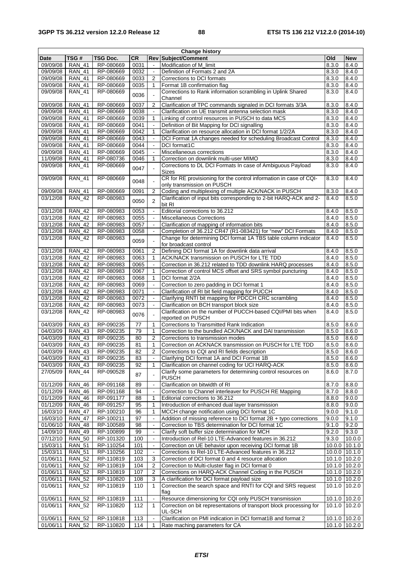| <b>Change history</b> |               |           |                 |                          |                                                                     |       |                   |
|-----------------------|---------------|-----------|-----------------|--------------------------|---------------------------------------------------------------------|-------|-------------------|
| <b>Date</b>           | TSG #         | TSG Doc.  | <b>CR</b>       |                          | <b>Rev Subject/Comment</b>                                          | Old   | <b>New</b>        |
| 09/09/08              | <b>RAN 41</b> | RP-080669 | 0031            | ÷,                       | Modification of M_limit                                             | 8.3.0 | 8.4.0             |
| 09/09/08              | <b>RAN 41</b> | RP-080669 | 0032            | $\sim$                   | Definition of Formats 2 and 2A                                      | 8.3.0 | 8.4.0             |
| 09/09/08              | <b>RAN 41</b> | RP-080669 | 0033            | $\overline{2}$           | Corrections to DCI formats                                          | 8.3.0 | 8.4.0             |
| 09/09/08              | <b>RAN_41</b> | RP-080669 | 0035            | 1                        | Format 1B confirmation flag                                         | 8.3.0 | 8.4.0             |
| 09/09/08              | <b>RAN_41</b> | RP-080669 |                 |                          | Corrections to Rank information scrambling in Uplink Shared         | 8.3.0 | 8.4.0             |
|                       |               |           | 0036            |                          | Channel                                                             |       |                   |
| 09/09/08              | <b>RAN_41</b> | RP-080669 | 0037            | $\overline{2}$           | Clarification of TPC commands signaled in DCI formats 3/3A          | 8.3.0 | 8.4.0             |
| 09/09/08              | <b>RAN 41</b> | RP-080669 | 0038            | $\mathcal{L}$            | Clarification on UE transmit antenna selection mask                 | 8.3.0 | 8.4.0             |
| 09/09/08              | <b>RAN 41</b> | RP-080669 | 0039            | 1                        | Linking of control resources in PUSCH to data MCS                   | 8.3.0 | 8.4.0             |
| 09/09/08              | <b>RAN_41</b> | RP-080669 | 0041            |                          | Definition of Bit Mapping for DCI signalling                        | 8.3.0 | 8.4.0             |
| 09/09/08              |               | RP-080669 | 0042            | $\mathbf{1}$             |                                                                     | 8.3.0 |                   |
|                       | <b>RAN 41</b> |           |                 |                          | Clarification on resource allocation in DCI format 1/2/2A           |       | 8.4.0             |
| 09/09/08              | <b>RAN 41</b> | RP-080669 | 0043            |                          | DCI Format 1A changes needed for scheduling Broadcast Control       | 8.3.0 | 8.4.0             |
| 09/09/08              | <b>RAN 41</b> | RP-080669 | 0044            |                          | DCI format1C                                                        | 8.3.0 | 8.4.0             |
| 09/09/08              | <b>RAN 41</b> | RP-080669 | 0045            | $\overline{\phantom{a}}$ | Miscellaneous corrections                                           | 8.3.0 | 8.4.0             |
| 11/09/08              | <b>RAN_41</b> | RP-080736 | 0046            | 1                        | Correction on downlink multi-user MIMO                              | 8.3.0 | 8.4.0             |
| 09/09/08              | <b>RAN_41</b> | RP-080669 | 0047            |                          | Corrections to DL DCI Formats In case of Ambiguous Payload          | 8.3.0 | 8.4.0             |
|                       |               |           |                 |                          | <b>Sizes</b>                                                        |       |                   |
| 09/09/08              | <b>RAN_41</b> | RP-080669 | 0048            |                          | CR for RE provisioning for the control information in case of CQI-  | 8.3.0 | 8.4.0             |
|                       |               |           |                 |                          | only transmission on PUSCH                                          |       |                   |
| 09/09/08              | <b>RAN_41</b> | RP-080669 | 0091            | 2                        | Coding and multiplexing of multiple ACK/NACK in PUSCH               | 8.3.0 | 8.4.0             |
| 03/12/08              | <b>RAN_42</b> | RP-080983 | 0050            | 2                        | Clarification of input bits corresponding to 2-bit HARQ-ACK and 2-  | 8.4.0 | 8.5.0             |
|                       |               |           |                 |                          | bit RI                                                              |       |                   |
| 03/12/08              | <b>RAN_42</b> | RP-080983 | 0053            | $\tilde{\phantom{a}}$    | Editorial corrections to 36.212                                     | 8.4.0 | 8.5.0             |
| 03/12/08              | <b>RAN 42</b> | RP-080983 | 0055            | $\blacksquare$           | <b>Miscellaneous Corrections</b>                                    | 8.4.0 | 8.5.0             |
| 03/12/08              | <b>RAN 42</b> | RP-080983 | 0057            | $\blacksquare$           | Clarification of mapping of information bits                        | 8.4.0 | 8.5.0             |
| 03/12/08              | <b>RAN_42</b> | RP-080983 | 0058            | $\blacksquare$           | Completion of 36.212 CR47 (R1-083421) for "new" DCI Formats         | 8.4.0 | 8.5.0             |
| 03/12/08              | <b>RAN_42</b> | RP-080983 |                 |                          | Change for determining DCI format 1A TBS table column indicator     | 8.4.0 | 8.5.0             |
|                       |               |           | 0059            |                          | for broadcast control                                               |       |                   |
| 03/12/08              | <b>RAN_42</b> | RP-080983 | 0061            | $\overline{2}$           | Defining DCI format 1A for downlink data arrival                    | 8.4.0 | 8.5.0             |
| 03/12/08              | <b>RAN 42</b> | RP-080983 | 0063            | $\mathbf{1}$             | ACK/NACK transmission on PUSCH for LTE TDD                          | 8.4.0 | 8.5.0             |
| 03/12/08              | <b>RAN 42</b> | RP-080983 | 0065            |                          | Correction in 36.212 related to TDD downlink HARQ processes         | 8.4.0 | 8.5.0             |
| 03/12/08              | <b>RAN 42</b> | RP-080983 | 0067            | 1                        | Correction of control MCS offset and SRS symbol puncturing          | 8.4.0 | 8.5.0             |
|                       |               |           |                 |                          |                                                                     |       |                   |
| 03/12/08              | <b>RAN 42</b> | RP-080983 | 0068            | $\mathbf{1}$             | DCI format 2/2A                                                     | 8.4.0 | 8.5.0             |
| 03/12/08              | <b>RAN_42</b> | RP-080983 | 0069            |                          | Correction to zero padding in DCI format 1                          | 8.4.0 | 8.5.0             |
| 03/12/08              | <b>RAN 42</b> | RP-080983 | 0071            | $\blacksquare$           | Clarification of RI bit field mapping for PUCCH                     | 8.4.0 | 8.5.0             |
| 03/12/08              | <b>RAN 42</b> | RP-080983 | 0072            | $\overline{\phantom{a}}$ | Clarifying RNTI bit mapping for PDCCH CRC scrambling                | 8.4.0 | 8.5.0             |
| 03/12/08              | $RAN_42$      | RP-080983 | 0073            |                          | Clarification on BCH transport block size                           | 8.4.0 | 8.5.0             |
| 03/12/08              | <b>RAN_42</b> | RP-080983 | 0076            | $\blacksquare$           | Clarification on the number of PUCCH-based CQI/PMI bits when        | 8.4.0 | 8.5.0             |
|                       |               |           |                 |                          | reported on PUSCH                                                   |       |                   |
| 04/03/09              | <b>RAN 43</b> | RP-090235 | 77              | $\mathbf{1}$             | Corrections to Transmitted Rank Indication                          | 8.5.0 | 8.6.0             |
| 04/03/09              | <b>RAN_43</b> | RP-090235 | 79              | $\mathbf{1}$             | Correction to the bundled ACK/NACK and DAI transmission             | 8.5.0 | 8.6.0             |
| 04/03/09              | <b>RAN_43</b> | RP-090235 | 80              | $\overline{2}$           | Corrections to transmission modes                                   | 8.5.0 | 8.6.0             |
| 04/03/09              | <b>RAN_43</b> | RP-090235 | 81              | 1                        | Correction on ACKNACK transmission on PUSCH for LTE TDD             | 8.5.0 | 8.6.0             |
| 04/03/09              | RAN_43        | RP-090235 | $\overline{82}$ | $\overline{2}$           | Corrections to CQI and RI fields description                        | 8.5.0 | 8.6.0             |
| 04/03/09              | <b>RAN_43</b> | RP-090235 | 83              | $\tilde{\phantom{a}}$    | Clarifying DCI format 1A and DCI Format 1B                          | 8.5.0 | 8.6.0             |
| 04/03/09              | <b>RAN 43</b> | RP-090235 | 92              | 1                        | Clarification on channel coding for UCI HARQ-ACK                    | 8.5.0 | 8.6.0             |
| 27/05/09              | <b>RAN_44</b> | RP-090528 |                 |                          | Clarify some parameters for determining control resources on        | 8.6.0 | 8.7.0             |
|                       |               |           | 87              |                          | <b>PUSCH</b>                                                        |       |                   |
| 01/12/09              | <b>RAN_46</b> | RP-091168 | 89              | $\sim$                   | Clarification on bitwidth of RI                                     | 8.7.0 | 8.8.0             |
| 01/12/09              | RAN_46        | RP-091168 | 94              | $\ddot{\phantom{1}}$     | Correction to Channel interleaver for PUSCH RE Mapping              | 8.7.0 | 8.8.0             |
| 01/12/09              | <b>RAN_46</b> | RP-091177 | 88              | $\mathbf{1}$             | Editorial corrections to 36.212                                     | 8.8.0 | 9.0.0             |
| 01/12/09              | <b>RAN_46</b> | RP-091257 | 95              | 1                        | Introduction of enhanced dual layer transmission                    | 8.8.0 | 9.0.0             |
| 16/03/10              | <b>RAN_47</b> | RP-100210 | 96              | 1                        | MCCH change notification using DCI format 1C                        | 9.0.0 | 9.1.0             |
|                       |               | RP-100211 | 97              | $\blacksquare$           | Addition of missing reference to DCI format 2B + typo corrections   | 9.0.0 |                   |
| 16/03/10              | <b>RAN_47</b> |           |                 |                          |                                                                     |       | 9.1.0             |
| 01/06/10              | RAN_48        | RP-100589 | 98              | $\blacksquare$           | Correction to TBS determination for DCI format 1C                   | 9.1.0 | 9.2.0             |
| $\sqrt{14/09/10}$     | <b>RAN_49</b> | RP-100899 | 99              | $\blacksquare$           | Clarify soft buffer size determination for MCH                      | 9.2.0 | 9.3.0             |
| 07/12/10              | <b>RAN_50</b> | RP-101320 | 100             | $\blacksquare$           | Introduction of Rel-10 LTE-Advanced features in 36.212              | 9.3.0 | 10.0.0            |
| 15/03/11              | <b>RAN_51</b> | RP-110254 | 101             | $\blacksquare$           | Correction on UE behavior upon receiving DCI format 1B              |       | 10.0.0 10.1.0     |
| 15/03/11              | <b>RAN_51</b> | RP-110256 | 102             | $\overline{\phantom{a}}$ | Corrections to Rel-10 LTE-Advanced features in 36.212               |       | 10.0.0 10.1.0     |
| 01/06/11              | <b>RAN_52</b> | RP-110819 | 103             | 3                        | Correction of DCI format 0 and 4 resource allocation                |       | $10.1.0$   10.2.0 |
| 01/06/11              | <b>RAN_52</b> | RP-110819 | 104             | 2                        | Correction to Multi-cluster flag in DCI format 0                    |       | 10.1.0 10.2.0     |
| 01/06/11              | <b>RAN_52</b> | RP-110819 | 107             | $\overline{2}$           | Corrections on HARQ-ACK Channel Coding in the PUSCH                 |       | 10.1.0 10.2.0     |
| 01/06/11              | <b>RAN_52</b> | RP-110820 | 108             | 3                        | A clarification for DCI format payload size                         |       | 10.1.0 10.2.0     |
| 01/06/11              | <b>RAN_52</b> | RP-110819 | 110             | 1                        | Correction the search space and RNTI for CQI and SRS request        |       | 10.1.0 10.2.0     |
|                       |               |           |                 |                          | flag                                                                |       |                   |
| 01/06/11              | <b>RAN_52</b> | RP-110819 | 111             |                          | Resource dimensioning for CQI only PUSCH transmission               |       | 10.1.0 10.2.0     |
| 01/06/11              | <b>RAN_52</b> | RP-110820 | 112             | 1                        | Correction on bit representations of transport block processing for |       | 10.1.0 10.2.0     |
|                       |               |           |                 |                          | UL-SCH                                                              |       |                   |
| 01/06/11              | <b>RAN_52</b> | RP-110818 | 113             | $\overline{\phantom{a}}$ | Clarification on PMI indication in DCI format1B and format 2        |       | $10.1.0$ 10.2.0   |
| 01/06/11              | <b>RAN_52</b> | RP-110820 | 114             | $\overline{1}$           | Rate maching parameters for CA                                      |       | 10.1.0 10.2.0     |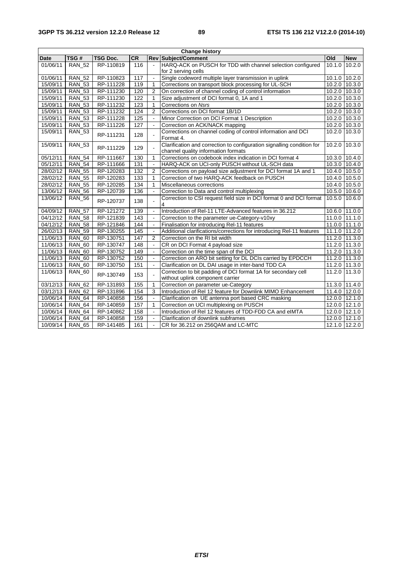| <b>Change history</b>  |               |                 |                  |                          |                                                                                                               |               |                 |
|------------------------|---------------|-----------------|------------------|--------------------------|---------------------------------------------------------------------------------------------------------------|---------------|-----------------|
| <b>Date</b>            | TSG#          | <b>TSG Doc.</b> | <b>CR</b>        |                          | <b>Rev Subject/Comment</b>                                                                                    | Old           | <b>New</b>      |
| 01/06/11               | <b>RAN 52</b> | RP-110819       | 116              | $\sim$                   | HARQ-ACK on PUSCH for TDD with channel selection configured                                                   | 10.1.0        | 10.2.0          |
|                        |               |                 |                  |                          | for 2 serving cells                                                                                           |               |                 |
| 01/06/11               | <b>RAN_52</b> | RP-110823       | 117              | $\sim$                   | Single codeword multiple layer transmission in uplink                                                         | 10.1.0        | 10.2.0          |
| 15/09/11               | <b>RAN_53</b> | RP-111228       | 119              | $\mathbf{1}$             | Corrections on transport block processing for UL-SCH                                                          |               | 10.2.0 10.3.0   |
| 15/09/11               | <b>RAN 53</b> | RP-111230       | 120              | $\overline{2}$           | On correction of channel coding of control information                                                        |               | 10.2.0 10.3.0   |
| 15/09/11               | <b>RAN_53</b> | RP-111230       | 122              | $\mathbf{1}$             | Size adjustment of DCI format 0, 1A and 1                                                                     | 10.2.0        | 10.3.0          |
| 15/09/11               | <b>RAN 53</b> | RP-111232       | 123              | $\mathbf{1}$             | Corrections on Nsrs                                                                                           |               | 10.2.0 10.3.0   |
| 15/09/11               | <b>RAN_53</b> | RP-111232       | 124              | $\overline{2}$           | Corrections on DCI format 1B/1D                                                                               |               | $10.2.0$ 10.3.0 |
| 15/09/11               | <b>RAN_53</b> | RP-111228       | 125              |                          | Minor Correction on DCI Format 1 Description                                                                  |               | 10.2.0 10.3.0   |
| 15/09/11               | <b>RAN_53</b> | RP-111226       | $\overline{127}$ | $\mathbf{r}$             | Correction on ACK/NACK mapping                                                                                |               | $10.2.0$ 10.3.0 |
| 15/09/11               | <b>RAN_53</b> | RP-111231       | 128              |                          | Corrections on channel coding of control information and DCI<br>Format 4.                                     | 10.2.0        | 10.3.0          |
| 15/09/11               | <b>RAN_53</b> | RP-111229       | 129              |                          | Clarification and correction to configuration signalling condition for<br>channel quality information formats | 10.2.0        | 10.3.0          |
| 05/12/11               | <b>RAN 54</b> | RP-111667       | 130              | $\mathbf{1}$             | Corrections on codebook index indication in DCI format 4                                                      | 10.3.0 10.4.0 |                 |
| 05/12/11               | <b>RAN 54</b> | RP-111666       | 131              | $\sim$                   | HARQ-ACK on UCI-only PUSCH without UL-SCH data                                                                |               | 10.3.0 10.4.0   |
| 28/02/12               | <b>RAN 55</b> | RP-120283       | 132              | $\overline{2}$           | Corrections on payload size adjustment for DCI format 1A and 1                                                |               | 10.4.0 10.5.0   |
| 28/02/12               | <b>RAN 55</b> | RP-120283       | 133              | $\mathbf{1}$             | Correction of two HARQ-ACK feedback on PUSCH                                                                  |               | 10.4.0 10.5.0   |
| 28/02/12               | <b>RAN 55</b> | RP-120285       | 134              | $\mathbf{1}$             | Miscellaneous corrections                                                                                     |               | 10.4.0 10.5.0   |
| 13/06/12               | <b>RAN_56</b> | RP-120739       | 136              |                          | Correction to Data and control multiplexing                                                                   | 10.5.0        | 10.6.0          |
| 13/06/12               | <b>RAN 56</b> | RP-120737       | 138              |                          | Correction to CSI request field size in DCI format 0 and DCI format<br>4                                      | 10.5.0        | 10.6.0          |
| 04/09/12               | <b>RAN 57</b> | RP-121272       | 139              | $\sim$                   | Introduction of Rel-11 LTE-Advanced features in 36.212                                                        | 10.6.0 11.0.0 |                 |
| 04/12/12               | <b>RAN_58</b> | RP-121839       | 143              | $\overline{\phantom{a}}$ | Correction to the parameter ue-Category-v10xy                                                                 |               | $11.0.0$ 11.1.0 |
| $\overline{04/1}$ 2/12 | <b>RAN 58</b> | RP-121846       | 144              | $\overline{\phantom{a}}$ | Finalisation for introducing Rel-11 features                                                                  |               | 11.0.0 11.1.0   |
| 26/02/13               | <b>RAN_59</b> | RP-130255       | 145              | $\sim$                   | Additional clarifications/corrections for introducing Rel-11 features                                         |               | 11.1.0 11.2.0   |
| 11/06/13               | <b>RAN 60</b> | RP-130751       | 147              | $\overline{2}$           | Correction on the RI bit width                                                                                | 11.2.0        | 11.3.0          |
| 11/06/13               | <b>RAN_60</b> | RP-130747       | 148              | $\sim$                   | CR on DCI Format 4 payload size                                                                               | 11.2.0 11.3.0 |                 |
| 11/06/13               | <b>RAN 60</b> | RP-130752       | 149              | $\ddot{\phantom{a}}$     | Correction on the time span of the DCI                                                                        |               | 11.2.0 11.3.0   |
| 11/06/13               | <b>RAN_60</b> | RP-130752       | 150              | $\sim$                   | Correction on ARO bit setting for DL DCIs carried by EPDCCH                                                   |               | 11.2.0 11.3.0   |
| 11/06/13               | <b>RAN_60</b> | RP-130750       | 151              | $\sim$                   | Clarification on DL DAI usage in inter-band TDD CA                                                            | 11.2.0        | 11.3.0          |
| 11/06/13               | <b>RAN 60</b> | RP-130749       | 153              | $\sim$                   | Correction to bit padding of DCI format 1A for secondary cell<br>without uplink component carrier             | 11.2.0        | 11.3.0          |
| 03/12/13               | <b>RAN_62</b> | RP-131893       | 155              | $\mathbf{1}$             | Correction on parameter ue-Category                                                                           | 11.3.0 11.4.0 |                 |
| 03/12/13               | <b>RAN 62</b> | RP-131896       | 154              | 3                        | Introduction of Rel 12 feature for Downlink MIMO Enhancement                                                  |               | 11.4.0 12.0.0   |
| 10/06/14               | <b>RAN 64</b> | RP-140858       | 156              |                          | Clarification on UE antenna port based CRC masking                                                            |               | 12.0.0 12.1.0   |
| 10/06/14               | <b>RAN_64</b> | RP-140859       | 157              | $\mathbf{1}$             | Correction on UCI multiplexing on PUSCH                                                                       | 12.0.0        | 12.1.0          |
| 10/06/14               | <b>RAN 64</b> | RP-140862       | 158              | $\tilde{\phantom{a}}$    | Introduction of Rel 12 features of TDD-FDD CA and eIMTA                                                       | 12.0.0        | 12.1.0          |
| 10/06/14               | <b>RAN_64</b> | RP-140858       | 159              | $\tilde{\phantom{a}}$    | Clarification of downlink subframes                                                                           |               | 12.0.0 12.1.0   |
| 10/09/14               | <b>RAN_65</b> | RP-141485       | 161              | $\overline{\phantom{a}}$ | CR for 36.212 on 256QAM and LC-MTC                                                                            |               | 12.1.0 12.2.0   |